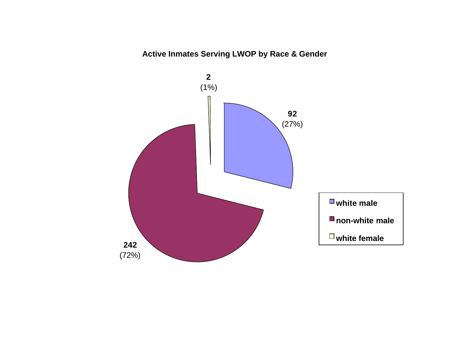# **Active Inmates Serving LWOP by Race & Gender**

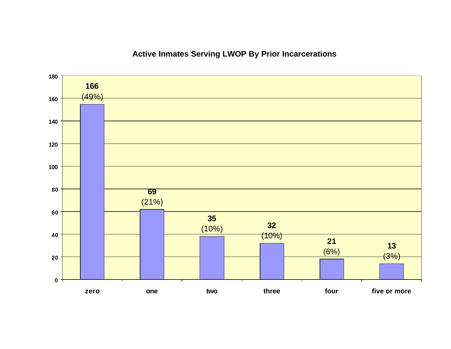# **Active Inmates Serving LWOP By Prior Incarcerations**

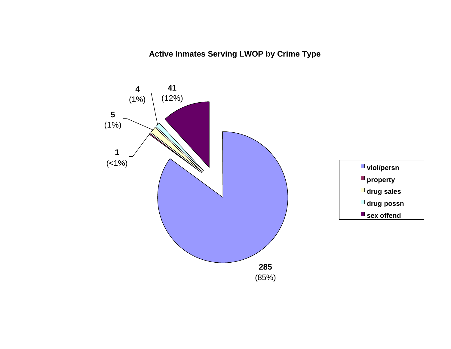**Active Inmates Serving LWOP by Crime Type**

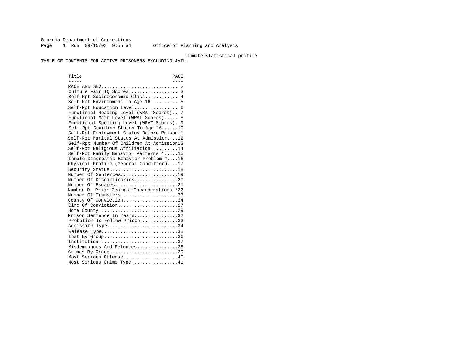Georgia Department of Corrections Page 1 Run 09/15/03 9:55 am Office of Planning and Analysis

#### Inmate statistical profile

TABLE OF CONTENTS FOR ACTIVE PRISONERS EXCLUDING JAIL

Title PAGE ----- ---- RACE AND SEX............................ 2 Culture Fair IQ Scores.................. 3 Self-Rpt Socioeconomic Class............ 4 Self-Rpt Environment To Age 16.......... 5 Self-Rpt Education Level................ 6 Functional Reading Level (WRAT Scores).. 7 Functional Math Level (WRAT Scores)..... 8 Functional Spelling Level (WRAT Scores). 9 Self-Rpt Guardian Status To Age 16......10 Self-Rpt Employment Status Before Prison11 Self-Rpt Marital Status At Admission....12 Self-Rpt Number Of Children At Admission13 Self-Rpt Religious Affiliation..........14 Self-Rpt Family Behavior Patterns \*.....15 Inmate Diagnostic Behavior Problem \*....16 Physical Profile (General Condition)....17 Security Status............................18 Number Of Sentences.....................19 Number Of Disciplinaries................20 Number Of Escapes.........................21 Number Of Prior Georgia Incarcerations \*22 Number Of Transfers.....................23 County Of Conviction....................24 Circ Of Conviction........................27 Home County.............................29 Prison Sentence In Years................32 Probation To Follow Prison...............33 Admission Type.............................34 Release Type................................35 Inst By Group..............................36 Institution.............................37 Misdemeanors And Felonies...............38 Crimes By Group.............................39 Most Serious Offense....................40 Most Serious Crime Type.................41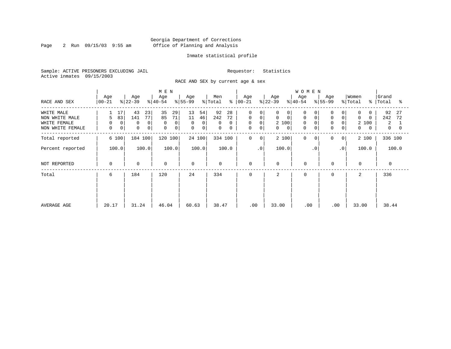Page 2 Run  $09/15/03$  9:55 am

#### Inmate statistical profile

Sample: ACTIVE PRISONERS EXCLUDING JAIL Requestor: Statistics Active inmates 09/15/2003

RACE AND SEX by current age & sex

|                                                                  |                                   |                                                      | M E N                                                     |                                                                               |                                                            |                                                                           |                                                                                        | <b>WOMEN</b>                                           |                                                                   |                                                                  |                                              |
|------------------------------------------------------------------|-----------------------------------|------------------------------------------------------|-----------------------------------------------------------|-------------------------------------------------------------------------------|------------------------------------------------------------|---------------------------------------------------------------------------|----------------------------------------------------------------------------------------|--------------------------------------------------------|-------------------------------------------------------------------|------------------------------------------------------------------|----------------------------------------------|
| RACE AND SEX                                                     | Age<br>  00-21                    | Age<br>$ 22-39 $                                     | Age<br>$ 40-54 $                                          | Age<br>$ 55-99 $                                                              | Men<br>ိ<br>% Total                                        | Age<br>00-21                                                              | Age<br>$ 22-39 $                                                                       | Age<br>$ 40-54 $                                       | Age<br>$ 55-99 $                                                  | Women<br>% Total<br>ႜႜႜ                                          | Grand<br>Total<br>°≈                         |
| WHITE MALE<br>NON WHITE MALE<br>WHITE FEMALE<br>NON WHITE FEMALE | 17<br>83<br>5<br>0<br>0<br>0<br>0 | 43<br>23<br>77<br>141<br>0<br>0<br>0<br>$\mathbf{0}$ | 35<br>29<br>71<br>85<br>0<br>$\Omega$<br>$\mathbf 0$<br>0 | 13<br>54<br>11<br>46<br>0<br>$\overline{0}$<br>$\mathbf{0}$<br>$\overline{0}$ | 92<br>28<br>242<br>72<br>$\Omega$<br>0<br>$\mathbf 0$<br>0 | $\Omega$<br>0<br>$\mathbf 0$<br>$\mathbf 0$<br>0<br>0<br>$\mathbf 0$<br>0 | 0<br>$\Omega$<br>$\mathbf 0$<br>$\mathbf 0$<br>2 100<br>$\mathbf{0}$<br>$\overline{0}$ | O<br>0<br>$\mathbf 0$<br>$\Omega$<br>$\mathbf{0}$<br>0 | 0<br>0<br>$\mathbf 0$<br>$\Omega$<br>$\mathbf 0$<br>$\Omega$<br>0 | $\Omega$<br>$\Omega$<br>$\Omega$<br>2 100<br>0<br>$\overline{0}$ | 92<br>27<br>242<br>72<br>2<br>$\overline{0}$ |
| Total reported                                                   | 6 100                             | 184 100                                              | 120 100                                                   | 24 100                                                                        | 334 100                                                    | $\mathbf 0$<br>0                                                          | 2 100                                                                                  | 0<br>$\Omega$                                          | 0<br>$\overline{0}$                                               | 2 100                                                            | 336 100                                      |
| Percent reported                                                 | 100.0                             | 100.0                                                | 100.0                                                     | 100.0                                                                         | 100.0                                                      | .0 <sup>′</sup>                                                           | 100.0                                                                                  | $\cdot$ 0                                              | $\cdot$ 0                                                         | 100.0                                                            | 100.0                                        |
| NOT REPORTED                                                     | 0                                 | $\mathbf 0$                                          | $\mathbf 0$                                               | $\Omega$                                                                      | 0                                                          | 0                                                                         | $\mathbf 0$                                                                            | $\mathbf 0$                                            | $\mathbf 0$                                                       | $\mathbf{0}$                                                     | $\Omega$                                     |
| Total                                                            | 6                                 | 184                                                  | 120                                                       | 24                                                                            | 334                                                        | 0                                                                         | 2                                                                                      | $\Omega$                                               | 0                                                                 | 2                                                                | 336                                          |
| AVERAGE AGE                                                      | 20.17                             | 31.24                                                | 46.04                                                     | 60.63                                                                         | 38.47                                                      | .00                                                                       | 33.00                                                                                  | .00                                                    | .00                                                               | 33.00                                                            | 38.44                                        |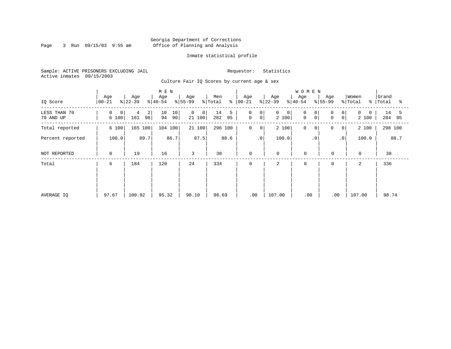Page 3 Run  $09/15/03$  9:55 am

#### Inmate statistical profile

Sample: ACTIVE PRISONERS EXCLUDING JAIL Requestor: Statistics Active inmates 09/15/2003

Culture Fair IQ Scores by current age & sex

|                           |                  |                                  | M E N                |                                          |                      |                                                                |                                      | <b>WOMEN</b>                |                                      |                   |                         |
|---------------------------|------------------|----------------------------------|----------------------|------------------------------------------|----------------------|----------------------------------------------------------------|--------------------------------------|-----------------------------|--------------------------------------|-------------------|-------------------------|
| IQ Score                  | Age<br>$ 00-21 $ | Age<br>$ 22-39 $                 | Age<br>$ 40-54 $     | Age<br>$ 55-99$                          | Men<br>% Total       | Age<br>$8   00 - 21$                                           | Age<br>$ 22-39 $                     | Age<br>$8 40-54$            | Age<br>$ 55-99 $                     | Women<br>% Total  | Grand<br>%   Total<br>ႜ |
| LESS THAN 70<br>70 AND UP | 0<br>0<br>6 100  | $\overline{2}$<br>4<br>161<br>98 | 10<br>10<br>94<br>90 | $\mathbf{0}$<br>0 <sup>1</sup><br>21 100 | 14<br>5<br>95<br>282 | $\mathbf 0$<br>0 <sup>1</sup><br>$\overline{0}$<br>$\mathbf 0$ | $\mathbf 0$<br>$\mathbf{0}$<br>2 100 | 0<br>0<br>$\mathsf{O}$<br>0 | $\Omega$<br>0<br>0<br>0 <sup>1</sup> | $\Omega$<br>2 100 | 14<br>5<br>284 95       |
| Total reported            | 6 100            | 165 100                          | 104 100              | 21 100                                   | 296 100              | $\mathbf 0$<br>$\mathbf 0$                                     | 2 100                                | $\mathbf 0$<br>0            | 0<br>0                               | 2 100             | 298 100                 |
| Percent reported          |                  | 89.7<br>86.7<br>100.0            |                      |                                          | 88.6                 | $\cdot$ 0                                                      | 100.0                                | $\cdot$ 0                   | $\cdot$ 0                            | 100.0             | 88.7                    |
| NOT REPORTED              | 0                | 19                               | 16                   | 3                                        | 38                   | 0                                                              | $\mathbf 0$                          | $\mathbf 0$                 | $\mathbf 0$                          | $\mathbf 0$       | 38                      |
| Total                     | 6                | 184                              | 120                  | 24                                       | 334                  | 0                                                              | 2                                    | $\mathbf 0$                 | $\mathbf 0$                          | 2                 | 336                     |
|                           |                  |                                  |                      |                                          |                      |                                                                |                                      |                             |                                      |                   |                         |
|                           |                  |                                  |                      |                                          |                      |                                                                |                                      |                             |                                      |                   |                         |
| AVERAGE IQ                | 97.67            | 100.92                           | 95.32                | 98.10                                    | 98.69                | .00                                                            | 107.00                               | .00                         | .00                                  | 107.00            | 98.74                   |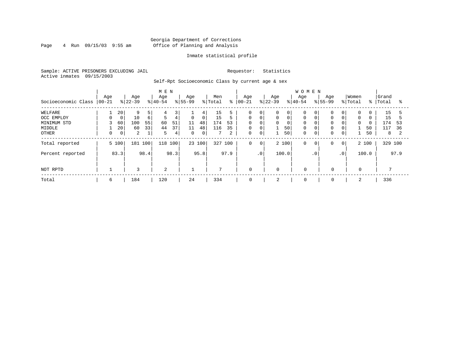#### Georgia Department of Corrections Page 4 Run 09/15/03 9:55 am Office of Planning and Analysis

#### Inmate statistical profile

Sample: ACTIVE PRISONERS EXCLUDING JAIL Requestor: Statistics Active inmates 09/15/2003

Self-Rpt Socioeconomic Class by current age & sex

|                     | M E N           |             |                  |                  |                  |      |                  |                |                |      |                   |                |                  |       | <b>WOMEN</b>     |             |                  |             |                  |          |                |      |
|---------------------|-----------------|-------------|------------------|------------------|------------------|------|------------------|----------------|----------------|------|-------------------|----------------|------------------|-------|------------------|-------------|------------------|-------------|------------------|----------|----------------|------|
| Socioeconomic Class | Age<br>$ 00-21$ |             | Age<br>$ 22-39 $ |                  | Age<br>$8 40-54$ |      | Age<br>$8 55-99$ |                | Men<br>% Total | နွ   | Age<br>$ 00 - 21$ |                | Age<br>$ 22-39 $ |       | Age<br>$8 40-54$ |             | Age<br>$ 55-99 $ |             | Women<br>% Total | % ၂      | Grand<br>Total | °≈   |
| WELFARE             |                 | 20          | 9                | 5                | 4                | 3    |                  | 4              | 15             |      | 0                 | $\mathbf 0$    | 0                | 0     | 0                |             |                  | 0           | 0                |          | 15             |      |
| OCC EMPLOY          | $\Omega$        | $\mathbf 0$ | 10               | $6 \overline{6}$ | 5                | 4    | $\mathbf 0$      | 0 <sup>1</sup> | 15             | 5    | $\mathbf 0$       | $\mathbf 0$    | 0                | 0     | $\mathbf 0$      |             | $\Omega$         | $\mathbf 0$ | $\mathbf 0$      | $\Omega$ | 15             |      |
| MINIMUM STD         |                 | 60          | 100              | 55               | 60               | 51   | 11               | 48             | 174            | 53   | $\Omega$          | $\Omega$       | 0                | 0     | $\Omega$         |             | $\Omega$         | $\Omega$    | $\Omega$         | $\Omega$ | 174            | 53   |
| MIDDLE              |                 | 20          | 60               | 33               | 44               | 37   | 11               | 48             | 116            | 35   | 0                 | $\overline{0}$ |                  | 50    | $\mathbf 0$      |             | 0                | 0           |                  | 50       | 117            | 36   |
| OTHER               |                 | 0           | 2                |                  | 5                | 4    | $\mathbf{0}$     | 0 <sup>1</sup> |                | 2    | 0                 | 0              |                  | 50    | $\mathbf 0$      | $\mathbf 0$ | 0                | $\mathbf 0$ |                  | 50       | 8              |      |
| Total reported      |                 | 5 100       | 181 100          |                  | 118 100          |      |                  | 23 100         | 327 100        |      | 0                 | $\mathbf 0$    |                  | 2 100 | 0                | $\circ$     | 0                | 0           |                  | 2 100    | 329 100        |      |
| Percent reported    |                 | 83.3        |                  | 98.4             |                  | 98.3 |                  | 95.8           |                | 97.9 |                   | $\cdot$ 0      |                  | 100.0 |                  | $\cdot$ 0   |                  | $\cdot$ 0   |                  | 100.0    |                | 97.9 |
| NOT RPTD            |                 |             | 3                |                  | 2                |      |                  |                | $\mathbf{z}$   |      | 0                 |                | $\mathbf 0$      |       | $\mathbf 0$      |             | $\mathbf 0$      |             | 0                |          |                |      |
| Total               | 6               |             | 184              |                  | 120              |      | 24               |                | 334            |      | 0                 |                | 2                |       | 0                |             | 0                |             |                  |          | 336            |      |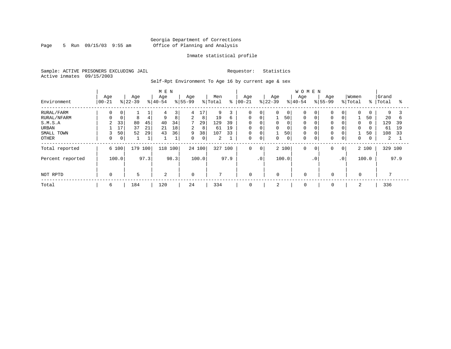Page 5 Run 09/15/03 9:55 am

#### Inmate statistical profile

Sample: ACTIVE PRISONERS EXCLUDING JAIL Requestor: Statistics Active inmates 09/15/2003

Self-Rpt Environment To Age 16 by current age & sex

|                  |                   |                |                  |      | M E N            |              |                  |        |                |      |                  |                |                  |             | WOMEN            |             |                  |                 |                  |             |                |      |
|------------------|-------------------|----------------|------------------|------|------------------|--------------|------------------|--------|----------------|------|------------------|----------------|------------------|-------------|------------------|-------------|------------------|-----------------|------------------|-------------|----------------|------|
| Environment      | Age<br>$ 00 - 21$ |                | Age<br>$ 22-39 $ |      | Age<br>$ 40-54 $ |              | Age<br>$8 55-99$ |        | Men<br>% Total | နွ   | Age<br>$00 - 21$ |                | Age<br>$ 22-39 $ |             | Age<br>$8 40-54$ |             | Age<br>$8 55-99$ |                 | Women<br>% Total | $\approx$ 1 | Grand<br>Total | °    |
| RURAL/FARM       | 0                 | 0              |                  |      | 4                | 3            | 4                | 17     | 9              |      | 0                | 0              | $\Omega$         | 0           | $\Omega$         |             | $\mathbf 0$      | $\overline{0}$  | $\Omega$         | 0           | 9              |      |
| RURAL/NFARM      | 0                 | 0              | 8                | 4    | 9                | 8            | $\overline{a}$   | 8      | 19             | 6    | $\Omega$         | $\overline{0}$ |                  | 50          | $\Omega$         |             | 0                | $\overline{0}$  |                  | 50          | 20             | b    |
| S.M.S.A          | 2                 | 33             | 80               | 45   | 40               | 34           | 7                | 29     | 129            | 39   | 0                | $\mathbf 0$    | 0                | 0           |                  |             | $\mathbf 0$      | 0               | $\Omega$         | $\Omega$    | 129            | 39   |
| URBAN            |                   | 17             | 37               | 21   | 21               | 18           | $\overline{a}$   | 8      | 61             | 19   | 0                | 0              | 0                | 0           |                  |             | $\mathbf 0$      | $\mathbf{0}$    | $\mathbf 0$      | 0           | 61             | 19   |
| SMALL TOWN       | 3                 | 50             | 52               | 29   | 43               | 36           | 9                | 38     | 107            | 33   | 0                | $\mathbf 0$    |                  | 50          |                  |             | $\mathbf 0$      | 0               |                  | 50          | 108            | 33   |
| OTHER            | 0                 | $\overline{0}$ |                  | ┻    |                  | $\mathbf{1}$ | 0                | 0      | 2              |      | $\Omega$         | $\mathbf 0$    | $\Omega$         | $\mathbf 0$ |                  |             | $\mathbf 0$      | 0 <sub>1</sub>  | $\mathbf 0$      | 0           | 2              |      |
| Total reported   | 6 100             |                | 179              | 100  | 118              | 100          |                  | 24 100 | 327            | 100  | $\mathbf 0$      | $\overline{0}$ |                  | 2 100       | $\Omega$         | $\mathbf 0$ | $\mathbf 0$      | $\circ$         |                  | 2 100       | 329 100        |      |
| Percent reported |                   | 100.0          |                  | 97.3 |                  | 98.3         |                  | 100.0  |                | 97.9 |                  | $\cdot$ 0      |                  | 100.0       |                  | $\cdot$ 0   |                  | .0 <sup>1</sup> |                  | 100.0       |                | 97.9 |
|                  |                   |                |                  |      |                  |              |                  |        |                |      |                  |                |                  |             |                  |             |                  |                 |                  |             |                |      |
| NOT RPTD         | $\mathbf 0$       |                | 5                |      | 2                |              | $\Omega$         |        | $\mathcal{L}$  |      | $\mathbf 0$      |                | $\Omega$         |             | $\Omega$         |             | 0                |                 | $\Omega$         |             |                |      |
| Total            | 6                 |                | 184              |      | 120              |              | 24               |        | 334            |      | 0                |                | 2                |             | 0                |             | 0                |                 |                  |             | 336            |      |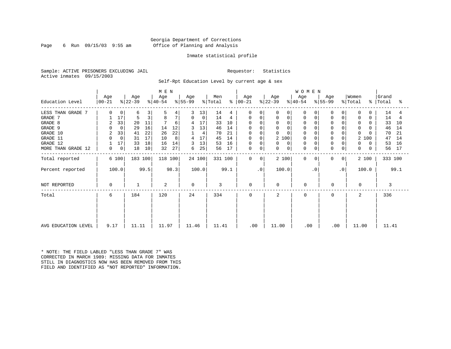Page 6 Run  $09/15/03$  9:55 am

#### Inmate statistical profile

Sample: ACTIVE PRISONERS EXCLUDING JAIL Requestor: Statistics Active inmates 09/15/2003

Self-Rpt Education Level by current age & sex

| M E N               |                  |             |                  |      |                  |      |                  |             |                |         |                  |           |                  | <b>WOMEN</b>   |                  |             |                  |             |                              |               |                |      |
|---------------------|------------------|-------------|------------------|------|------------------|------|------------------|-------------|----------------|---------|------------------|-----------|------------------|----------------|------------------|-------------|------------------|-------------|------------------------------|---------------|----------------|------|
| Education Level     | Age<br>$ 00-21 $ |             | Age<br>$ 22-39 $ |      | Age<br>$ 40-54 $ |      | Age<br>$ 55-99 $ |             | Men<br>% Total | န္      | Age<br>$ 00-21 $ |           | Age<br>$ 22-39 $ |                | Age<br>$ 40-54 $ |             | Age<br>$ 55-99 $ |             | Women<br>$\frac{1}{2}$ Total | $\frac{8}{3}$ | Grand<br>Total | ႜ    |
| LESS THAN GRADE 7   | U                | 0           | 6                | 3    | 5                |      |                  | 13          | 14             | 4       | $\Omega$         | $\Omega$  | U                | 0              | $\Omega$         |             |                  |             | 0                            | 0             | 14             |      |
| GRADE 7             |                  | 17          | 5                | 3    | 8                | 7    | 0                | $\mathbf 0$ | 14             | 4       | 0                | 0         | 0                | 0              | 0                | 0           | <sup>0</sup>     | $\mathbf 0$ | $\mathbf 0$                  | $\Omega$      | 14             | 4    |
| GRADE 8             | 2                | 33          | 20               | 11   |                  | 6    | 4                | 17          | 33             | 10      | $\Omega$         | $\cap$    | $\mathbf 0$      |                | 0                |             |                  |             | 0                            | 0             | 33             | 10   |
| GRADE 9             |                  | $\mathbf 0$ | 29               | 16   | 14               | 12   |                  | 13          | 46             | 14      | $\Omega$         |           | $\mathbf 0$      | 0              | $\Omega$         |             |                  |             | $\Omega$                     | $\Omega$      | 46             | 14   |
| GRADE 10            | 2                | 33          | 41               | 22   | 26               | 22   |                  | 4           | 70             | 21      | $\mathbf 0$      | $\Omega$  | 0                | $\Omega$       | $\mathbf 0$      | $\Omega$    |                  | $\mathbf 0$ | $\Omega$                     |               | 70             | 21   |
| GRADE 11            |                  | $\mathbf 0$ | 31               | 17   | 10               | 8    | 4                | 17          | 45             | 14      | 0                | $\Omega$  | 2 100            |                | 0                |             |                  | 0           | 2                            | 100           | 47             | 14   |
| GRADE 12            |                  | 17          | 33               | 18   | 16               | 14   | 3                | 13          | 53             | 16      | 0                | 0         | 0                | $\Omega$       | $\Omega$         |             |                  |             | 0                            | 0             | 53             | 16   |
| MORE THAN GRADE 12  | 0                | $\mathbf 0$ | 18               | 10   | 32               | 27   | 6                | 25          | 56             | 17      | $\mathbf 0$      | 0         | 0                | $\overline{0}$ | $\Omega$         | $\mathbf 0$ | $\Omega$         | $\mathbf 0$ | 0                            | $\Omega$      | 56             | 17   |
| Total reported      |                  | 6 100       | 183 100          |      | 118 100          |      |                  | 24 100      |                | 331 100 | $\Omega$         | $\Omega$  | 2 100            |                | $\Omega$         | $\Omega$    | 0                | 0           |                              | 2 100         | 333 100        |      |
| Percent reported    |                  | 100.0       |                  | 99.5 |                  | 98.3 |                  | 100.0       |                | 99.1    |                  | $\cdot$ 0 | 100.0            |                |                  | $\cdot$ 0   |                  | $\cdot$ 0   |                              | 100.0         |                | 99.1 |
| NOT REPORTED        | 0                |             |                  |      | 2                |      | $\Omega$         |             | 3              |         | $\mathbf 0$      |           | $\Omega$         |                | $\mathbf 0$      |             | 0                |             | $\Omega$                     |               | 3              |      |
| Total               | 6                |             | 184              |      | 120              |      | 24               |             | 334            |         | $\Omega$         |           | $\mathbf{2}$     |                | $\Omega$         |             | $\Omega$         |             | $\mathcal{L}$                |               | 336            |      |
|                     |                  |             |                  |      |                  |      |                  |             |                |         |                  |           |                  |                |                  |             |                  |             |                              |               |                |      |
| AVG EDUCATION LEVEL | 9.17             |             | 11.11            |      | 11.97            |      | 11.46            |             | 11.41          |         | .00              |           | 11.00            |                | .00              |             | .00              |             | 11.00                        |               | 11.41          |      |

\* NOTE: THE FIELD LABLED "LESS THAN GRADE 7" WAS CORRECTED IN MARCH 1989: MISSING DATA FOR INMATES STILL IN DIAGNOSTICS NOW HAS BEEN REMOVED FROM THIS FIELD AND IDENTIFIED AS "NOT REPORTED" INFORMATION.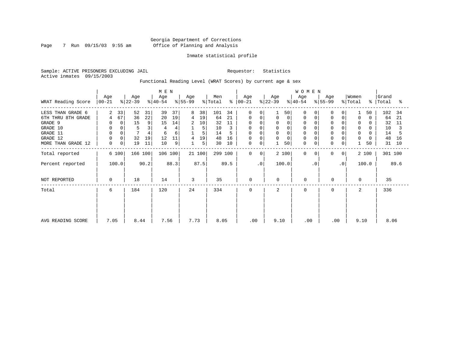Page 7 Run 09/15/03 9:55 am

#### Inmate statistical profile

Sample: ACTIVE PRISONERS EXCLUDING JAIL Requestor: Statistics Active inmates 09/15/2003

Functional Reading Level (WRAT Scores) by current age & sex

|                    |                  |                  | M E N            |                  |                                 |                      |                     | <b>WOMEN</b>        |                   |                  |                         |
|--------------------|------------------|------------------|------------------|------------------|---------------------------------|----------------------|---------------------|---------------------|-------------------|------------------|-------------------------|
| WRAT Reading Score | Age<br>$ 00-21 $ | Age<br>$ 22-39 $ | Age<br>$ 40-54 $ | Age<br>$ 55-99 $ | Men<br>$\frac{1}{2}$ Total<br>⊱ | Age<br>$ 00-21 $     | Age<br>$ 22-39 $    | Age<br>$ 40-54 $    | Age<br>$ 55-99 $  | Women<br>% Total | Grand<br>%   Total<br>ႜ |
| LESS THAN GRADE 6  | 33<br>2          | 52<br>31         | 39<br>37         | 38<br>8          | 101<br>34                       | $\Omega$<br>$\Omega$ | 50                  | $\Omega$            | 0                 | 50               | 102<br>-34              |
| 6TH THRU 8TH GRADE | 67<br>4          | 22<br>36         | 20<br>19         | 19<br>4          | 64<br>21                        | 0<br>0               | 0<br>0              | $\Omega$            | 0<br>$\Omega$     | $\Omega$<br>0    | 64<br>21                |
| GRADE 9            | 0                | 15<br>9          | 14<br>15         | 2<br>10          | 32<br>11                        | 0                    | 0                   | 0                   | 0                 | 0                | 32<br>11                |
| GRADE 10           | 0<br>0           | 5<br>3           |                  | 5                | 10                              | 0<br>0               | 0<br>$\overline{0}$ | 0                   | $\mathbf 0$       | $\mathbf 0$<br>0 | 10                      |
| GRADE 11           |                  |                  | 6<br>6           | 5                | 14                              | $\Omega$             | $\mathbf 0$         |                     |                   | 0                | 14                      |
| GRADE 12           |                  | 32<br>19         | 12<br>11         | 19<br>4          | 48<br>16                        | 0                    | 0                   | $\Omega$            | $\mathbf 0$       | 0<br>0           | 16<br>48                |
| MORE THAN GRADE 12 | 0<br>0           | 19<br>11         | 10<br>9          | 5<br>1           | 30<br>10                        | 0<br>0               | 50                  | $\mathbf 0$<br>0    | 0<br>0            | 50               | 31<br>10                |
| Total reported     | 6 100            | 166 100          | 106 100          | 21100            | 299 100                         | $\mathbf 0$<br>0     | 2 100               | $\Omega$<br>$\circ$ | 0<br>$\mathbf{0}$ | 2 100            | 301 100                 |
| Percent reported   | 100.0            | 90.2             | 88.3             | 87.5             | 89.5                            | $\cdot$ 0            | 100.0               | $\cdot$ 0           | $\cdot$ 0         | 100.0            | 89.6                    |
| NOT REPORTED       | $\mathbf 0$      | 18               | 14               | 3                | 35                              | $\mathbf 0$          | $\mathbf 0$         | $\mathbf 0$         | 0                 | 0                | 35                      |
| Total              | 6                | 184              | 120              | 24               | 334                             | 0                    | 2                   | $\Omega$            | $\mathbf 0$       | 2                | 336                     |
|                    |                  |                  |                  |                  |                                 |                      |                     |                     |                   |                  |                         |
| AVG READING SCORE  | 7.05             | 8.44             | 7.56             | 7.73             | 8.05                            | .00                  | 9.10                | .00                 | .00               | 9.10             | 8.06                    |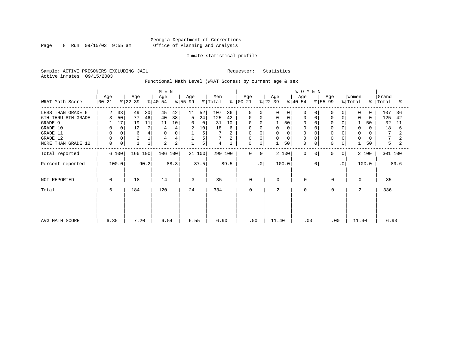Page 8 Run  $09/15/03$  9:55 am

#### Inmate statistical profile

Sample: ACTIVE PRISONERS EXCLUDING JAIL Requestor: Statistics Active inmates 09/15/2003

Functional Math Level (WRAT Scores) by current age & sex

|                    |                  |    |                  | M E N |                  |      |                  |          |                |               |              |              |                  | <b>WOMEN</b> |                  |           |                |           |                  |          |                    |      |
|--------------------|------------------|----|------------------|-------|------------------|------|------------------|----------|----------------|---------------|--------------|--------------|------------------|--------------|------------------|-----------|----------------|-----------|------------------|----------|--------------------|------|
| WRAT Math Score    | Age<br>$00 - 21$ |    | Age<br>$ 22-39 $ |       | Age<br>$ 40-54 $ |      | Age<br>$ 55-99 $ |          | Men<br>% Total | $\frac{8}{6}$ | Age<br>00-21 |              | Age<br>$ 22-39 $ |              | Age<br>$ 40-54 $ |           | Age<br>% 55-99 |           | Women<br>% Total |          | Grand<br>%   Total | ႜ    |
| LESS THAN GRADE 6  | 2                | 33 | 49               | 30    | 45               | 42   | 11               | 52       | 107            | 36            | $\Omega$     | $\Omega$     | 0                | $\Omega$     | O                |           |                |           | 0                | $\Omega$ | 107                | 36   |
| 6TH THRU 8TH GRADE | 3                | 50 | 77               | 46    | 40               | 38   | 5                | 24       | 125            | 42            | 0            | 0            | 0                | $\mathbf 0$  | 0                |           |                |           | 0                | $\Omega$ | 125                | 42   |
| GRADE 9            |                  | 17 | 19               | 11    | 11               | 10   | $\mathbf 0$      | $\Omega$ | 31             | 10            | 0            | $\Omega$     |                  | 50           | 0                |           |                |           |                  | 50       | 32                 | 11   |
| GRADE 10           |                  | 0  | 12               |       |                  |      | 2                | 10       | 18             | 6             | 0            |              |                  | 0            | 0                |           |                |           | 0                | 0        | 18                 | 6    |
| GRADE 11           |                  |    | 6                |       | $\Omega$         | 0    |                  | 5        |                |               | $\mathbf 0$  |              |                  | $\Omega$     |                  |           |                |           | $\Omega$         |          | 7                  |      |
| GRADE 12           |                  |    | $\sqrt{2}$       |       | 4                |      |                  | 5        |                |               | 0            | $\Omega$     | 0                | $\Omega$     | $\Omega$         |           |                |           | $\mathbf 0$      |          |                    |      |
| MORE THAN GRADE 12 | 0                | 0  |                  |       | 2                | 2    |                  | 5        | 4              |               | 0            | 0            |                  | 50           | $\mathbf 0$      | 0         | $\mathbf 0$    | 0         |                  | 50       | 5                  |      |
| Total reported     | 6 100            |    | 166 100          |       | 106 100          |      |                  | 21100    | 299 100        |               | $\mathbf 0$  | $\mathbf{0}$ |                  | 2 100        | $\Omega$         | $\Omega$  | 0              | 0         |                  | 2 100    | 301 100            |      |
| Percent reported   | 100.0            |    |                  | 90.2  |                  | 88.3 |                  | 87.5     |                | 89.5          |              | $\cdot$ 0    |                  | 100.0        |                  | $\cdot$ 0 |                | $\cdot$ 0 |                  | 100.0    |                    | 89.6 |
| NOT REPORTED       | 0                |    | 18               |       | 14               |      | 3                |          | 35             |               | 0            |              | $\Omega$         |              | $\mathbf 0$      |           | 0              |           | $\Omega$         |          | 35                 |      |
| Total              | 6                |    | 184              |       | 120              |      | 24               |          | 334            |               | 0            |              | 2                |              | $\Omega$         |           | $\Omega$       |           | 2                |          | 336                |      |
|                    |                  |    |                  |       |                  |      |                  |          |                |               |              |              |                  |              |                  |           |                |           |                  |          |                    |      |
|                    |                  |    |                  |       |                  |      |                  |          |                |               |              |              |                  |              |                  |           |                |           |                  |          |                    |      |
| AVG MATH SCORE     | 6.35             |    | 7.20             |       | 6.54             |      | 6.55             |          | 6.90           |               | .00          |              | 11.40            |              | .00              |           | .00            |           | 11.40            |          | 6.93               |      |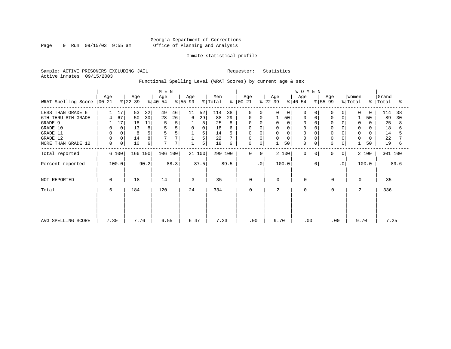Page 9 Run 09/15/03 9:55 am

#### Inmate statistical profile

Sample: ACTIVE PRISONERS EXCLUDING JAIL Requestor: Statistics Active inmates 09/15/2003

Functional Spelling Level (WRAT Scores) by current age & sex

|                     |                 |       |                  |      | M E N            |      |                  |             |                |      |                      |                |                  |             | WOMEN            |           |                  |                |                              |       |                    |      |
|---------------------|-----------------|-------|------------------|------|------------------|------|------------------|-------------|----------------|------|----------------------|----------------|------------------|-------------|------------------|-----------|------------------|----------------|------------------------------|-------|--------------------|------|
| WRAT Spelling Score | Age<br>$ 00-21$ |       | Age<br>$ 22-39 $ |      | Age<br>$8 40-54$ |      | Age<br>$8 55-99$ |             | Men<br>% Total |      | Age<br>$8   00 - 21$ |                | Age<br>$ 22-39 $ |             | Age<br>$ 40-54 $ |           | Age<br>$ 55-99 $ |                | Women<br>$\frac{1}{2}$ Total |       | Grand<br>%   Total | ႜ    |
| LESS THAN GRADE 6   |                 | 17    | 53               | 32   | 49               | 46   | 11               | 52          | 114            | 38   | $\mathbf 0$          | 0              | $\Omega$         | $\mathbf 0$ | $\Omega$         | $\Omega$  | 0                | 0              | $\Omega$                     | 0     | 114                | 38   |
| 6TH THRU 8TH GRADE  |                 | 67    | 50               | 30   | 28               | 26   | 6                | 29          | 88             | 29   | 0                    | 0              |                  | 50          | 0                | 0         | 0                | 0              |                              | 50    | 89                 | 30   |
| GRADE 9             |                 | 17    | 18               | 11   | 5                | 5    |                  | 5           | 25             |      | 0                    |                | 0                | 0           |                  |           | $\Omega$         |                | $\Omega$                     |       | 25                 | 8    |
| GRADE 10            | 0               | 0     | 13               | 8    |                  | 5    | $\mathbf 0$      | $\mathbf 0$ | 18             | 6    | 0                    | 0              | 0                |             | $\Omega$         |           | 0                | 0              | 0                            | U     | 18                 |      |
| GRADE 11            | 0               |       | 8                | 5    |                  | 5    |                  | 5           | 14             |      |                      |                | $\Omega$         |             |                  |           |                  |                | $\Omega$                     |       | 14                 |      |
| GRADE 12            | $\mathbf 0$     | 0     | 14               | 8    |                  | 7    |                  | 5           | 22             |      | 0                    |                | 0                | 0           | $\Omega$         |           | 0                | 0              | 0                            | 0     | 22                 |      |
| MORE THAN GRADE 12  | 0               | 0     | 10               | 6    | 7                | 7    |                  | 5           | 18             | 6    | 0                    | $\mathbf 0$    |                  | 50          | $\mathbf 0$      | 0         | 0                | 0              |                              | 50    | 19                 | 6    |
| Total reported      |                 | 6 100 | 166 100          |      | 106 100          |      |                  | 21 100      | 299 100        |      | $\mathbf 0$          | 0 <sup>1</sup> |                  | 2 100       | $\Omega$         | $\Omega$  | $\mathbf 0$      | 0 <sup>1</sup> |                              | 2 100 | 301 100            |      |
| Percent reported    |                 | 100.0 |                  | 90.2 |                  | 88.3 |                  | 87.5        |                | 89.5 |                      | $\cdot$ 0      |                  | 100.0       |                  | $\cdot$ 0 |                  | $\cdot$ 0      |                              | 100.0 |                    | 89.6 |
| NOT REPORTED        | 0               |       | 18               |      | 14               |      | 3                |             | 35             |      | $\mathbf 0$          |                | $\mathbf 0$      |             | $\Omega$         |           | 0                |                | $\Omega$                     |       | 35                 |      |
| Total               | 6               |       | 184              |      | 120              |      | 24               |             | 334            |      | $\mathbf 0$          |                | 2                |             | $\Omega$         |           | 0                |                | 2                            |       | 336                |      |
|                     |                 |       |                  |      |                  |      |                  |             |                |      |                      |                |                  |             |                  |           |                  |                |                              |       |                    |      |
|                     | 7.30            |       | 7.76             |      |                  |      | 6.47             |             | 7.23           |      | .00                  |                | 9.70             |             | .00              |           | .00              |                | 9.70                         |       | 7.25               |      |
| AVG SPELLING SCORE  |                 |       |                  |      | 6.55             |      |                  |             |                |      |                      |                |                  |             |                  |           |                  |                |                              |       |                    |      |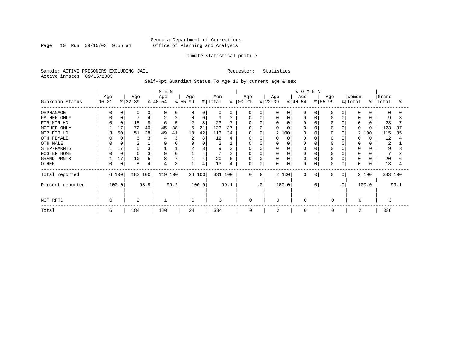Page 10 Run 09/15/03 9:55 am

#### Inmate statistical profile

Sample: ACTIVE PRISONERS EXCLUDING JAIL Requestor: Statistics Active inmates 09/15/2003

Self-Rpt Guardian Status To Age 16 by current age & sex

|                  | M E N             |          |                  |      |                  |      |                 |        |                |      |                    |          |                  |          | W O M E N       |           |                  |           |                  |          |                    |      |
|------------------|-------------------|----------|------------------|------|------------------|------|-----------------|--------|----------------|------|--------------------|----------|------------------|----------|-----------------|-----------|------------------|-----------|------------------|----------|--------------------|------|
| Guardian Status  | Age<br>$ 00 - 21$ |          | Age<br>$ 22-39 $ |      | Age<br>$8 40-54$ |      | Age<br>$ 55-99$ |        | Men<br>% Total | ៖    | Age<br>$ 00 - 21 $ |          | Age<br>$ 22-39 $ |          | Age<br>$ 40-54$ |           | Age<br>$8 55-99$ |           | Women<br>% Total |          | Grand<br>%   Total | °    |
| ORPHANAGE        |                   |          | 0                |      |                  | 0    | $\Omega$        | 0      | 0              | O    | 0                  |          | 0                | $\Omega$ | O               |           |                  |           |                  |          | $\Omega$           |      |
| FATHER ONLY      |                   |          |                  |      |                  | 2    | 0               | 0      | 9              |      | $\Omega$           |          |                  | $\Omega$ | O               |           |                  |           |                  |          | 9                  |      |
| FTR MTR HD       |                   |          | 15               | 8    |                  | 5    | 2               | 8      | 23             |      | <sup>0</sup>       |          |                  |          |                 |           |                  |           | $\Omega$         |          | 23                 |      |
| MOTHER ONLY      |                   | 17       | 72               | 40   | 45               | 38   | 5               | 21     | 123            | 37   | O                  |          | U                |          |                 |           |                  |           | O                | $\Omega$ | 123                | 37   |
| MTR FTR HD       | ζ                 | 50       | 51               | 28   | 49               | 41   | 10              | 42     | 113            | 34   | $\Omega$           |          |                  | 2 100    |                 |           |                  |           | 2                | 100      | 115                | 35   |
| OTH FEMALE       |                   |          | 6                | 3    |                  | 3    | 2               | 8      | 12             | 4    |                    |          |                  | $\Omega$ |                 |           |                  |           | <sup>0</sup>     |          | 12                 |      |
| OTH MALE         |                   |          | 2                |      |                  |      | 0               | 0      | 2              |      |                    |          | O                |          |                 |           |                  |           |                  |          | 2                  |      |
| STEP-PARNTS      |                   | 17       |                  | 3    |                  |      | 2               | 8      | 9              |      | 0                  |          | 0                |          | 0               |           |                  |           |                  |          | 9                  |      |
| FOSTER HOME      |                   | $\Omega$ | 6                | 3    |                  |      |                 | 4      |                |      | 0                  |          | Ω                |          | 0               |           |                  |           |                  |          |                    |      |
| GRAND PRNTS      |                   | 17       | 10               | 5    | 8                |      |                 | 4      | 20             | 6    | 0                  |          | 0                | $\Omega$ | 0               |           | $\Omega$         |           | $\Omega$         |          | 20                 |      |
| <b>OTHER</b>     |                   | 0        | 8                | 4    |                  | 3    |                 | 4      | 13             | 4    | 0                  | $\Omega$ | 0                | 0        | 0               | O         | O                |           | $\Omega$         |          | 13                 |      |
| Total reported   |                   | 6 100    | 182 100          |      | 119 100          |      |                 | 24 100 | 331 100        |      | $\Omega$           | $\Omega$ |                  | 2 100    | $\Omega$        | $\Omega$  | 0                | $\Omega$  |                  | 2 100    | 333 100            |      |
| Percent reported |                   | 100.0    |                  | 98.9 |                  | 99.2 |                 | 100.0  |                | 99.1 |                    | .0'      |                  | 100.0    |                 | $\cdot$ 0 |                  | $\cdot$ 0 |                  | 100.0    |                    | 99.1 |
| NOT RPTD         |                   |          | 2                |      |                  |      | $\Omega$        |        | 3              |      | $\Omega$           |          | $\Omega$         |          | $\Omega$        |           | 0                |           | $\Omega$         |          | 3                  |      |
| Total            | 6                 |          | 184              |      | 120              |      | 24              |        | 334            |      | 0                  |          | $\overline{a}$   |          | $\Omega$        |           | 0                |           | 2                |          | 336                |      |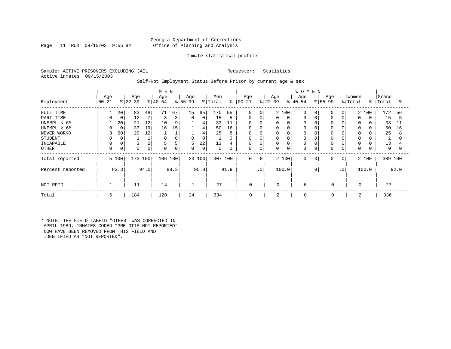#### Georgia Department of Corrections Page 11 Run 09/15/03 9:55 am Office of Planning and Analysis

#### Inmate statistical profile

Sample: ACTIVE PRISONERS EXCLUDING JAIL Requestor: Statistics Active inmates 09/15/2003

Self-Rpt Employment Status Before Prison by current age & sex

|                                                                                                                    |                   |                                    |                            |                                | M E N                                |                              |                                     |                                        |                                        |                                                |                                                |                                                               |                                 |                 | <b>WOMEN</b>                                                  |                |                                                      |                                |                                                                |                   |                                        |                               |
|--------------------------------------------------------------------------------------------------------------------|-------------------|------------------------------------|----------------------------|--------------------------------|--------------------------------------|------------------------------|-------------------------------------|----------------------------------------|----------------------------------------|------------------------------------------------|------------------------------------------------|---------------------------------------------------------------|---------------------------------|-----------------|---------------------------------------------------------------|----------------|------------------------------------------------------|--------------------------------|----------------------------------------------------------------|-------------------|----------------------------------------|-------------------------------|
| Employment                                                                                                         | Age<br>$ 00 - 21$ |                                    | Age<br>$ 22-39 $           |                                | Age<br>$ 40-54 $                     |                              | Age<br>$ 55-99 $                    |                                        | Men<br>% Total                         | ႜ                                              | Age<br>$ 00-21$                                |                                                               | Age<br>$ 22-39 $                |                 | Age<br>$ 40-54 $                                              |                | Age<br>$ 55-99 $                                     |                                | Women<br>% Total                                               | န္ $\vert$        | Grand<br>Total                         | ႜ                             |
| FULL TIME<br>PART TIME<br>UNEMPL < 6M<br>UNEMPL > 6M<br>NEVER WORKD<br><b>STUDENT</b><br>INCAPABLE<br><b>OTHER</b> | 3<br>0<br>0       | 20<br>0<br>20<br>0<br>60<br>0<br>0 | 83<br>12<br>21<br>33<br>20 | 48<br>12<br>19<br>12<br>2<br>0 | 71<br>10<br>16<br>$\Omega$<br>5<br>0 | 67<br>3<br>9<br>15<br>5<br>0 | 15<br>$\overline{0}$<br>0<br>5<br>0 | 65<br>0<br>4<br>4<br>4<br>0<br>22<br>0 | 170<br>15<br>33<br>50<br>25<br>13<br>0 | 55<br>5<br>11<br>16<br>8<br>$\Omega$<br>4<br>0 | 0<br>0<br>0<br>0<br>0<br>0<br>0<br>$\mathbf 0$ | 0<br>0<br>$\Omega$<br>$\Omega$<br>$\mathsf{C}$<br>0<br>C<br>0 | 0<br>0<br>0<br>0<br>0<br>0<br>0 | 2 100<br>0<br>0 | $\Omega$<br>0<br>$\Omega$<br>$\Omega$<br>$\Omega$<br>$\Omega$ | 0              | $\Omega$<br>$\Omega$<br>$\Omega$<br>0<br>0<br>0<br>0 | 0<br>0<br>0                    | $\mathbf 0$<br>$\Omega$<br>$\Omega$<br>0<br>$\Omega$<br>0<br>0 | 2 100<br>$\Omega$ | 172<br>15<br>33<br>50<br>25<br>13<br>0 | 56<br>5<br>11<br>16<br>8<br>O |
| Total reported<br>Percent reported                                                                                 |                   | 5 100<br>83.3                      | 173                        | 100<br>94.0                    | 106 100                              | 88.3                         |                                     | 23 100<br>95.8                         | 307                                    | 100<br>91.9                                    | 0                                              | $\mathbf 0$<br>$\cdot$ 0                                      |                                 | 2 100<br>100.0  | $\mathbf 0$                                                   | 0<br>$\cdot$ 0 | 0                                                    | $\mathbf 0$<br>.0 <sup>°</sup> |                                                                | 2 100<br>100.0    | 309 100                                | 92.0                          |
| NOT RPTD                                                                                                           |                   |                                    | 11                         |                                | 14                                   |                              |                                     |                                        | 27                                     |                                                | $\mathbf 0$                                    |                                                               | $\Omega$                        |                 | $\mathbf 0$                                                   |                | 0                                                    |                                | 0                                                              |                   | 27                                     |                               |
| Total                                                                                                              | 6                 |                                    | 184                        |                                | 120                                  |                              | 24                                  |                                        | 334                                    |                                                | 0                                              |                                                               | 2                               |                 | 0                                                             |                | 0                                                    |                                | 2                                                              |                   | 336                                    |                               |

\* NOTE: THE FIELD LABELD "OTHER" WAS CORRECTED IN APRIL 1989; INMATES CODED "PRE-OTIS NOT REPORTED" NOW HAVE BEEN REMOVED FROM THIS FIELD AND IDENTIFIED AS "NOT REPORTED".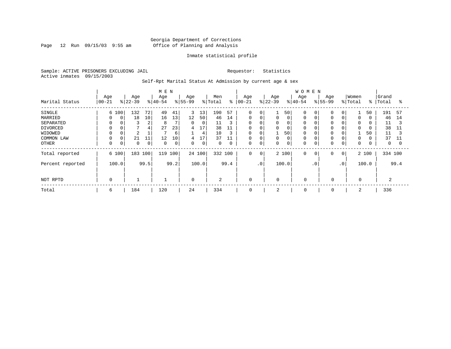Page 12 Run 09/15/03 9:55 am

#### Inmate statistical profile

Sample: ACTIVE PRISONERS EXCLUDING JAIL Requestor: Statistics Active inmates 09/15/2003

Self-Rpt Marital Status At Admission by current age & sex

|                                                                                     |                                  |             |                                |                               | M E N                          |                                |                             |                                     |                                                  |                                     |                                                               |                            |                  |                                                       | <b>WOMEN</b>                                            |                |                    |                             |                                           |                |                                                   |                                |
|-------------------------------------------------------------------------------------|----------------------------------|-------------|--------------------------------|-------------------------------|--------------------------------|--------------------------------|-----------------------------|-------------------------------------|--------------------------------------------------|-------------------------------------|---------------------------------------------------------------|----------------------------|------------------|-------------------------------------------------------|---------------------------------------------------------|----------------|--------------------|-----------------------------|-------------------------------------------|----------------|---------------------------------------------------|--------------------------------|
| Marital Status                                                                      | Age<br>$ 00-21 $                 |             | Age<br>$8 22-39$               |                               | Age<br>$ 40-54 $               |                                | Age<br>$8 55-99$            |                                     | Men<br>% Total                                   | ៖                                   | Age<br>$ 00 - 21$                                             |                            | Age<br>$8 22-39$ |                                                       | Age<br>$ 40-54$                                         |                | Age<br>$8155 - 99$ |                             | Women<br>% Total                          | $\frac{8}{6}$  | Grand<br>Total                                    | °≈                             |
| SINGLE<br>MARRIED<br>SEPARATED<br>DIVORCED<br>WIDOWED<br>COMMON LAW<br><b>OTHER</b> | 6 100<br>0<br>$\Omega$<br>0<br>0 | 0<br>0<br>0 | 132<br>18<br>3<br>2<br>21<br>0 | 72<br>10<br>∠<br>4<br>11<br>0 | 49<br>16<br>8<br>27<br>12<br>0 | 41<br>13<br>23<br>6<br>10<br>0 | 3<br>12<br>0<br>4<br>4<br>0 | 13<br>50<br>0<br>17<br>4<br>17<br>0 | 190<br>46<br>11<br>38<br>10<br>37<br>$\mathbf 0$ | 57<br>14<br>3<br>11<br>3<br>11<br>0 | $\mathbf 0$<br>0<br>$\mathbf 0$<br>0<br>0<br>$\mathbf 0$<br>0 | 0<br>0<br>0<br>0<br>O<br>0 | 0<br>0<br>0<br>0 | 50<br>0<br>$\mathbf 0$<br>0<br>50<br>$\mathbf 0$<br>0 | $\Omega$<br>0<br>0<br>0<br>0<br>$\mathbf 0$<br>$\Omega$ |                |                    | 0<br>0<br>0                 | 0<br>$\mathbf 0$<br>0<br>$\mathbf 0$<br>0 | 50<br>0<br>50  | 191<br>46<br>11<br>38<br>11<br>37<br>$\mathbf{0}$ | 57<br>14<br>3<br>11<br>11<br>0 |
| Total reported<br>Percent reported                                                  | 6 100<br>100.0                   |             | 183                            | 100<br>99.5                   | 119                            | 100<br>99.2                    |                             | 24 100<br>100.0                     | 332 100                                          | 99.4                                | $\mathbf 0$                                                   | 0<br>$\cdot$ 0             |                  | 2 100<br>100.0                                        | $\mathbf 0$                                             | 0<br>$\cdot$ 0 | 0                  | $\overline{0}$<br>$\cdot$ 0 |                                           | 2 100<br>100.0 | 334 100                                           | 99.4                           |
| NOT RPTD                                                                            | $\mathbf 0$                      |             |                                |                               |                                |                                | $\mathbf 0$                 |                                     | 2                                                |                                     | $\mathbf 0$                                                   |                            | $\mathbf 0$      |                                                       | $\mathbf 0$                                             |                | $\mathbf 0$        |                             | $\mathbf 0$                               |                | 2                                                 |                                |
| Total                                                                               | 6                                |             | 184                            |                               | 120                            |                                | 24                          |                                     | 334                                              |                                     | 0                                                             |                            | 2                |                                                       | 0                                                       |                | 0                  |                             | 2                                         |                | 336                                               |                                |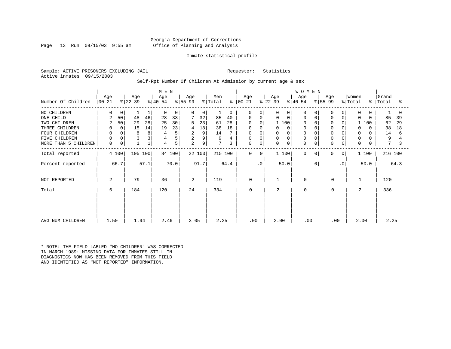#### Georgia Department of Corrections Page 13 Run 09/15/03 9:55 am Office of Planning and Analysis

#### Inmate statistical profile

Sample: ACTIVE PRISONERS EXCLUDING JAIL Requestor: Statistics Active inmates 09/15/2003

#### Self-Rpt Number Of Children At Admission by current age & sex

|                      |                  |             |                  |      | M E N            |        |                  |             |                |          |                  |                |                  |             | WOMEN            |             |                  |           |                  |               |                |      |
|----------------------|------------------|-------------|------------------|------|------------------|--------|------------------|-------------|----------------|----------|------------------|----------------|------------------|-------------|------------------|-------------|------------------|-----------|------------------|---------------|----------------|------|
| Number Of Children   | Age<br>$00 - 21$ |             | Age<br>$ 22-39 $ |      | Age<br>$ 40-54 $ |        | Age<br>$ 55-99 $ |             | Men<br>% Total | ႜ        | Age<br>$ 00-21 $ |                | Age<br>$ 22-39 $ |             | Age<br>$ 40-54 $ |             | Age<br>$ 55-99 $ |           | Women<br>% Total | $\frac{8}{6}$ | Grand<br>Total | °    |
| NO CHILDREN          | 0                | 0           |                  |      | $\mathbf 0$      | 0      | $\Omega$         | $\mathbf 0$ |                | $\Omega$ | 0                | $\Omega$       | 0                | 0           | $\Omega$         |             | $\Omega$         | $\Omega$  | $\mathbf 0$      | $\Omega$      |                |      |
| ONE CHILD            | 2                | 50          | 48               | 46   | 28               | 33     |                  | 32          | 85             | 40       | 0                | 0              | 0                | $\mathbf 0$ | $\Omega$         |             | 0                | 0         | $\Omega$         | $\Omega$      | 85             | 39   |
| TWO CHILDREN         | 2                | 50          | 29               | 28   | 25               | 30     | 5                | 23          | 61             | 28       | 0                | 0              | 1 100            |             | $\Omega$         |             |                  |           |                  | 100           | 62             | 29   |
| THREE CHILDREN       | 0                | 0           | 15               | 14   | 19               | 23     | 4                | 18          | 38             | 18       | 0                |                | 0                | 0           | $\Omega$         |             | $\mathbf 0$      |           | $\Omega$         | $\Omega$      | 38             | 18   |
| FOUR CHILDREN        | 0                | $\Omega$    | 8                | 8    | 4                | 5      | 2                | 9           | 14             |          |                  |                | 0                |             |                  |             |                  |           | $\Omega$         |               | 14             | 6    |
| FIVE CHILDREN        | $\mathbf 0$      | $\mathbf 0$ |                  | 3    | 4                | 5      | $\overline{2}$   | 9           | 9              |          | 0                | $\Omega$       | 0                |             | $\Omega$         |             | $\Omega$         |           | 0                |               | 9              |      |
| MORE THAN 5 CHILDREN | $\mathbf 0$      | 0           |                  |      | 4                | 5      | 2                | 9           | 7              | 3        | 0                | $\mathbf 0$    | $\mathbf 0$      | 0           | $\Omega$         | $\mathbf 0$ | $\mathbf 0$      | 0         | $\mathbf 0$      | 0             | 7              |      |
| Total reported       |                  | 4 100       | 105 100          |      |                  | 84 100 |                  | 22 100      | 215 100        |          | $\mathbf 0$      | 0 <sup>1</sup> | 1 100            |             | $\Omega$         | 0           | 0                | 0         |                  | 1 100         | 216 100        |      |
| Percent reported     |                  | 66.7        |                  | 57.1 |                  | 70.0   |                  | 91.7        |                | 64.4     |                  | $\cdot$ 0      | 50.0             |             |                  | $\cdot$ 0   |                  | $\cdot$ 0 |                  | 50.0          |                | 64.3 |
| NOT REPORTED         | 2                |             | 79               |      | 36               |        | 2                |             | 119            |          | $\mathbf 0$      |                |                  |             | 0                |             | 0                |           | 1                |               | 120            |      |
| Total                | 6                |             | 184              |      | 120              |        | 24               |             | 334            |          | 0                |                | 2                |             | $\Omega$         |             | $\mathbf 0$      |           | 2                |               | 336            |      |
|                      |                  |             |                  |      |                  |        |                  |             |                |          |                  |                |                  |             |                  |             |                  |           |                  |               |                |      |
|                      |                  |             |                  |      |                  |        |                  |             |                |          |                  |                |                  |             |                  |             |                  |           |                  |               |                |      |
| AVG NUM CHILDREN     | 1.50             |             | 1.94             |      | 2.46             |        | 3.05             |             | 2.25           |          | .00              |                | 2.00             |             | .00              |             | .00              |           | 2.00             |               | 2.25           |      |

\* NOTE: THE FIELD LABLED "NO CHILDREN" WAS CORRECTED IN MARCH 1989: MISSING DATA FOR INMATES STILL IN DIAGNOSTICS NOW HAS BEEN REMOVED FROM THIS FIELD AND IDENTIFIED AS "NOT REPORTED" INFORMATION.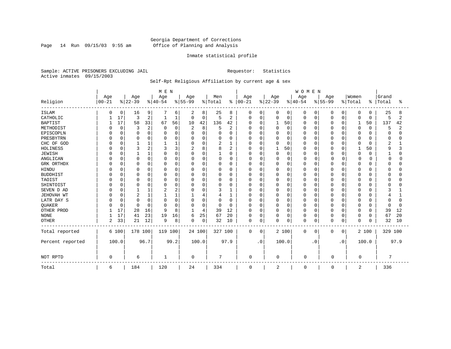Page 14 Run 09/15/03 9:55 am

#### Inmate statistical profile

Sample: ACTIVE PRISONERS EXCLUDING JAIL Requestor: Statistics Active inmates 09/15/2003

### Self-Rpt Religious Affiliation by current age & sex

|                  |           |          |                |                | M E N    |             |                |          |              |                |             |             |          |             | WOMEN       |             |          |           |                |          |         |      |
|------------------|-----------|----------|----------------|----------------|----------|-------------|----------------|----------|--------------|----------------|-------------|-------------|----------|-------------|-------------|-------------|----------|-----------|----------------|----------|---------|------|
|                  | Age       |          | Age            |                | Age      |             | Age            |          | Men          |                | Age         |             | Age      |             | Age         |             | Age      |           | Women          |          | Grand   |      |
| Religion         | $00 - 21$ |          | $ 22-39$       |                | $ 40-54$ |             | $ 55-99$       |          | % Total      | $\frac{8}{6}$  | $00 - 21$   |             | $ 22-39$ |             | $ 40-54 $   |             | $ 55-99$ |           | % Total        | ి        | Total   | ႜ    |
| <b>ISLAM</b>     | O         | 0        | 16             | 9              |          | 6           | 2              | 8        | 25           | 8              | 0           | 0           | 0        | 0           | 0           | 0           | 0        | 0         | 0              | 0        | 25      | 8    |
| CATHOLIC         |           | 17       | 3              | $\overline{2}$ |          | 1           | $\mathbf 0$    | 0        | 5            | 2              | $\Omega$    | $\mathbf 0$ | 0        | $\mathbf 0$ | 0           | $\mathbf 0$ | 0        | $\Omega$  | $\mathbf 0$    | 0        | 5       | 2    |
| <b>BAPTIST</b>   |           | 17       | 58             | 33             | 67       | 56          | 10             | 42       | 136          | 42             | $\Omega$    | 0           |          | 50          | O           | 0           | O        | $\Omega$  | 1              | 50       | 137     | 42   |
| METHODIST        |           | $\Omega$ | 3              | $\overline{2}$ | C        | $\mathbf 0$ | 2              | 8        | 5            | $\overline{2}$ |             | $\Omega$    | $\Omega$ | $\Omega$    | 0           | 0           |          | O         | $\mathbf 0$    | $\Omega$ | 5       | 2    |
| EPISCOPLN        |           | O        | $\Omega$       | $\Omega$       |          | 0           | $\Omega$       | 0        | O            | 0              |             | $\mathbf 0$ | 0        | $\Omega$    | Ω           | $\mathbf 0$ |          | $\Omega$  | $\Omega$       | O        |         |      |
| PRESBYTRN        |           |          | 0              | $\Omega$       |          | O           | 0              | 0        | O            | $\Omega$       |             | $\Omega$    | 0        | $\Omega$    | 0           | 0           |          | $\Omega$  | $\Omega$       |          |         |      |
| CHC OF GOD       |           | U        |                |                |          |             | $\Omega$       | 0        | 2            | 1              |             | $\Omega$    | 0        | $\Omega$    | 0           | $\Omega$    |          | $\Omega$  | $\Omega$       | U        | 2       |      |
| HOLINESS         |           |          | 3              | 2              | 3        | 3           | $\overline{a}$ | 8        | 8            | 2              | U           | $\Omega$    |          | 50          | Ω           | $\Omega$    | U        | O         | $\mathbf{1}$   | 50       | q       |      |
| <b>JEWISH</b>    |           |          |                |                | O        | O           | $\Omega$       | $\Omega$ | $\mathbf{1}$ | 0              | U           | $\Omega$    | $\Omega$ | $\mathbf 0$ | O           | 0           | O        | O         | $\mathbf 0$    | O        |         |      |
| ANGLICAN         |           | $\Omega$ | 0              | O              |          | U           | $\Omega$       | 0        | 0            | 0              | O           | $\Omega$    | 0        | $\mathbf 0$ | O           | $\Omega$    | $\Omega$ | U         | $\Omega$       |          | n       |      |
| GRK ORTHDX       |           | 0        | $\Omega$       | 0              | O        | 0           | 0              | 0        | 0            | 0              | U           | 0           | 0        | $\Omega$    | 0           | 0           |          | O         | 0              |          |         |      |
| <b>HINDU</b>     |           |          | 0              |                |          | 0           | 0              | 0        | 0            | 0              |             | $\Omega$    | 0        | $\Omega$    | Ω           | 0           |          | O         | 0              |          |         |      |
| <b>BUDDHIST</b>  |           |          | $\Omega$       | $\Omega$       |          | O           | $\Omega$       | 0        | 0            | $\Omega$       |             | $\Omega$    | 0        | $\Omega$    | Ω           | 0           |          | $\Omega$  | $\Omega$       |          |         |      |
| TAOIST           |           |          | 0              | U              |          | 0           | 0              | 0        | 0            | 0              |             | $\Omega$    | 0        | $\cap$      | Ω           | $\Omega$    |          | $\Omega$  | $\Omega$       |          |         |      |
| SHINTOIST        |           |          | ∩              |                | U        | O           | U              | 0        | 0            | U              |             | $\Omega$    | U        | $\cap$      | O           | $\Omega$    |          | $\Omega$  | $\Omega$       | ∩        |         |      |
| SEVEN D AD       |           |          |                |                |          | 2           | $\Omega$       | 0        | 3            | 1              | U           | $\Omega$    | O        | ∩           | O           | $\Omega$    |          | $\Omega$  | $\Omega$       |          |         |      |
| JEHOVAH WT       |           | O        | $\overline{2}$ |                |          |             |                | 4        | 4            | 1              | U           | $\Omega$    | 0        | $\Omega$    | 0           | 0           | O        | $\Omega$  | 0              |          |         |      |
| LATR DAY S       |           |          | $\Omega$       | $\Omega$       |          | O           | 0              | 0        | 0            | 0              |             | $\Omega$    | 0        | $\Omega$    | 0           | 0           |          | O         | 0              |          |         |      |
| QUAKER           |           | $\Omega$ | $\Omega$       | O              | n        | $\Omega$    | O              | 0        | 0            | 0              | U           | $\Omega$    | 0        | $\Omega$    | 0           | 0           | O        | O         | 0              | 0        |         |      |
| OTHER PROD       |           | 17       | 28             | 16             | q        | 8           | -1             | 4        | 39           | 12             | $\Omega$    | $\Omega$    | 0        | $\Omega$    | O           | 0           | U        | $\Omega$  | 0              | $\Omega$ | 39      | 12   |
| <b>NONE</b>      |           | 17       | 41             | 23             | 19       | 16          | 6              | 25       | 67           | 20             | $\Omega$    | 0           | 0        | $\mathbf 0$ | 0           | 0           | 0        | 0         | 0              | $\Omega$ | 67      | 20   |
| <b>OTHER</b>     | 2         | 33       | 21             | 12             | 9        | 8           | $\Omega$       | 0        | 32           | 10             | $\Omega$    | 0           | $\Omega$ | 0           | 0           | 0           | 0        | $\Omega$  | $\mathbf 0$    | $\Omega$ | 32      | 10   |
| Total reported   |           | 6 100    | 178 100        |                | 119 100  |             | 24 100         |          | 327 100      |                | $\mathbf 0$ | 0           |          | 2 100       | 0           | 0           | 0        | 0         |                | 2 100    | 329 100 |      |
| Percent reported |           | 100.0    |                | 96.7           |          | 99.2        |                | 100.0    |              | 97.9           |             | $\cdot$ 0   |          | 100.0       |             | . 0         |          | $\cdot$ 0 |                | 100.0    |         | 97.9 |
| NOT RPTD         | $\Omega$  |          | 6              |                |          |             | $\mathbf 0$    |          | 7            |                | $\Omega$    |             | 0        |             | $\mathbf 0$ |             | $\cap$   |           | $\Omega$       |          | 7       |      |
| Total            | 6         |          | 184            |                | 120      |             | 24             |          | 334          |                | 0           |             | 2        |             | 0           |             | 0        |           | $\overline{2}$ |          | 336     |      |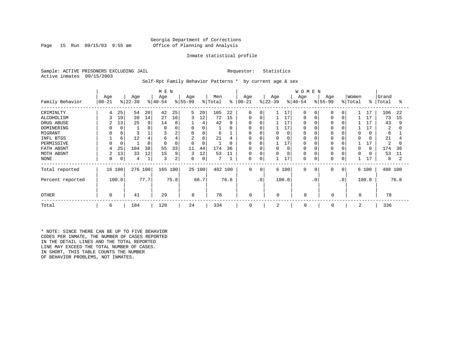#### Georgia Department of Corrections Page 15 Run 09/15/03 9:55 am Office of Planning and Analysis

#### Inmate statistical profile

Sample: ACTIVE PRISONERS EXCLUDING JAIL **Requestor:** Statistics Active inmates 09/15/2003

Self-Rpt Family Behavior Patterns \* by current age & sex

|                  |                |             |           |      | M E N        |      |                |        |         |          |             |           |           |       | <b>WOMEN</b> |             |           |                 |                     |          |         |      |
|------------------|----------------|-------------|-----------|------|--------------|------|----------------|--------|---------|----------|-------------|-----------|-----------|-------|--------------|-------------|-----------|-----------------|---------------------|----------|---------|------|
|                  | Age            |             | Age       |      | Age          |      | Age            |        | Men     |          | Age         |           | Age       |       | Age          |             | Age       |                 | Women               |          | Grand   |      |
| Family Behavior  | $00 - 21$      |             | $ 22-39 $ |      | $ 40-54 $    |      | $ 55-99$       |        | % Total | ႜ        | $00 - 21$   |           | $ 22-39 $ |       | $ 40-54$     |             | $ 55-99 $ |                 | $\frac{1}{2}$ Total | ွေ       | Total   | ႜ    |
| CRIMINLTY        |                | 25          | 54        | 20   | 42           | 25   | 5              | 20     | 105     | 22       | $\Omega$    | $\Omega$  |           | 17    | $\Omega$     | $\Omega$    | $\Omega$  | $\Omega$        |                     | 17       | 106     | 22   |
| ALCOHOLISM       |                | 19          | 39        | 14   | 27           | 16   | 3              | 12     | 72      | 15       | $\Omega$    | $\Omega$  |           | 17    | $\Omega$     |             | $\Omega$  | $\Omega$        |                     | 17       | 73      | 15   |
| DRUG ABUSE       | 2              | 13          | 25        | 9    | 14           | 8    |                | 4      | 42      | 9        | 0           | O         |           | 17    |              |             |           |                 |                     | 17       | 43      | 9    |
| DOMINERING       |                |             |           | 0    |              |      | 0              | 0      |         | 0        | 0           |           |           | 17    |              |             |           |                 |                     |          | 2       | 0    |
| MIGRANT          |                |             |           |      |              | 2    | 0              | 0      | 6       |          | 0           | 0         | 0         | 0     |              |             | 0         |                 | $\Omega$            | 0        | 6       |      |
| INFL BTGS        |                | 6           | 12        | 4    | 6            |      | $\overline{c}$ | 8      | 21      | 4        | 0           | 0         | 0         |       |              |             |           |                 | $\Omega$            |          | 21      |      |
| PERMISSIVE       |                |             |           | 0    | <sup>0</sup> | 0    | $\Omega$       | 0      |         | $\Omega$ | $\Omega$    | $\Omega$  |           | 17    | $\Omega$     |             | $\Omega$  |                 |                     |          | 2       | O    |
| FATH ABSNT       |                | 25          | 104       | 38   | 55           | 33   | 11             | 44     | 174     | 36       | $\Omega$    |           | $\Omega$  |       |              |             | 0         |                 | $\Omega$            | $\Omega$ | 174     | 36   |
| MOTH ABSNT       | $\overline{2}$ | 13          | 33        | 12   | 15           | 9    | 3              | 12     | 53      | 11       | 0           | $\Omega$  | $\Omega$  |       | $\Omega$     |             |           |                 | $\Omega$            |          | 53      | 11   |
| NONE             | 0              | $\mathbf 0$ | 4         |      | 3            | 2    | 0              | 0      |         |          | 0           | 0         |           | 17    | $\Omega$     |             | 0         | 0               |                     | 17       | 8       |      |
| Total reported   | 16 100         |             | 276 100   |      | 165 100      |      |                | 25 100 | 482 100 |          | $\mathbf 0$ | 0         |           | 6 100 | $\mathbf 0$  | $\mathbf 0$ | 0         | $\overline{0}$  |                     | 6 100    | 488 100 |      |
| Percent reported |                | 100.0       |           | 77.7 |              | 75.8 |                | 66.7   |         | 76.6     |             | $\cdot$ 0 |           | 100.0 |              | $\cdot$ 0   |           | .0 <sup>°</sup> |                     | 100.0    |         | 76.8 |
| <b>OTHER</b>     | $\Omega$       |             | 41        |      | 29           |      | 8              |        | 78      |          | 0           |           | $\Omega$  |       | $\Omega$     |             | 0         |                 | $\Omega$            |          | 78      |      |
| Total            | 6              |             | 184       |      | 120          |      | 24             |        | 334     |          | 0           |           | 2         |       | $\mathbf 0$  |             | 0         |                 | 2                   |          | 336     |      |

\* NOTE: SINCE THERE CAN BE UP TO FIVE BEHAVIOR CODES PER INMATE, THE NUMBER OF CASES REPORTED IN THE DETAIL LINES AND THE TOTAL REPORTED LINE MAY EXCEED THE TOTAL NUMBER OF CASES. IN SHORT, THIS TABLE COUNTS THE NUMBER OF BEHAVIOR PROBLEMS, NOT INMATES.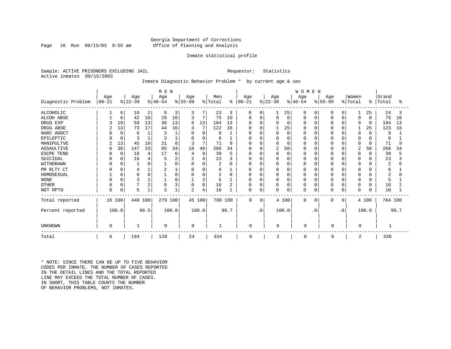#### Georgia Department of Corrections Page 16 Run 09/15/03 9:55 am Office of Planning and Analysis

#### Inmate statistical profile

Sample: ACTIVE PRISONERS EXCLUDING JAIL **Requestor:** Statistics Active inmates 09/15/2003

#### Inmate Diagnostic Behavior Problem \* by current age & sex

|                    | M E N     |             |          |      |              |       |                |          |         |      |               |           |              |             | <b>WOMEN</b> |           |           |           |                |             |         |      |
|--------------------|-----------|-------------|----------|------|--------------|-------|----------------|----------|---------|------|---------------|-----------|--------------|-------------|--------------|-----------|-----------|-----------|----------------|-------------|---------|------|
|                    | Age       |             | Age      |      | Age          |       | Age            |          | Men     |      | Age           |           | Age          |             | Age          |           | Age       |           | Women          |             | Grand   |      |
| Diagnostic Problem | $00 - 21$ |             | $ 22-39$ |      | $ 40-54$     |       | $ 55-99 $      |          | % Total |      | $8   00 - 21$ |           | $ 22-39 $    |             | $ 40-54 $    |           | $ 55-99 $ |           | % Total        | ႜ           | Total   | °≈   |
| <b>ALCOHOLIC</b>   |           | 6           | 10       | 2    | 9            | 3     | 3              |          | 23      | 3    | 0             | 0         |              | 25          | 0            | 0         |           | 0         | 1              | 25          | 24      | 3    |
| <b>ALCOH ABSE</b>  |           | 6           | 42       | 10   | 29           | 10    | 3              |          | 75      | 10   | 0             | 0         | $\Omega$     | 0           |              | 0         |           | $\Omega$  | 0              | $\mathbf 0$ | 75      | 10   |
| DRUG EXP           |           | 19          | 59       | 13   | 36           | 13    | 6              | 13       | 104     | 13   | O             | O         |              | $\mathbf 0$ |              | $\Omega$  |           | $\Omega$  | $\Omega$       | $\mathbf 0$ | 104     | 13   |
| DRUG ABSE          |           | 13          | 73       | 17   | 44           | 16    | 3              |          | 122     | 16   | O             |           |              | 25          |              | $\Omega$  |           | $\Omega$  |                | 25          | 123     | 16   |
| NARC ADDCT         |           | $\mathbf 0$ | 6        |      |              |       | 0              | $\Omega$ | q       |      | 0             | O         |              | $\mathbf 0$ |              | $\Omega$  |           | $\Omega$  | $\Omega$       | O           | 9       |      |
| EPILEPTIC          |           | $\Omega$    |          |      |              |       | $\Omega$       | 0        | 6       |      | $\Omega$      | O         | <sup>0</sup> | $\mathbf 0$ |              | $\Omega$  |           | $\Omega$  | 0              | O           | 6       |      |
| MANIPULTVE         |           | 13          | 45       | 10   | 21           | 8     | 3              |          | 71      | 9    | 0             |           |              | $\Omega$    |              | $\Omega$  |           | $\Omega$  | $\Omega$       | $\Omega$    | 71      |      |
| <b>ASSAULTIVE</b>  | 6         | 38          | 147      | 33   | 95           | 34    | 18             | 40       | 266     | 34   | 0             | O         | 2            | 50          |              | $\Omega$  |           | $\Omega$  | $\overline{2}$ | 50          | 268     | 34   |
| ESCPE TEND         |           | $\Omega$    | 18       |      | 17           | 6     | 4              | 9        | 39      | 5    | $\Omega$      | O         |              | $\mathbf 0$ |              | $\Omega$  |           | $\Omega$  | 0              | O           | 39      |      |
| SUICIDAL           |           | 0           | 16       |      |              |       | $\overline{2}$ |          | 23      |      | $\Omega$      |           |              | 0           |              | $\Omega$  |           | $\Omega$  | $\Omega$       |             | 23      |      |
| WITHDRAWN          |           |             |          |      |              |       | $\Omega$       | O        | 2       | U    | <sup>0</sup>  | O         |              | $\Omega$    |              | $\Omega$  |           | $\Omega$  | 0              |             | 2       |      |
| PR RLTY CT         |           |             |          |      | 2            |       | $\Omega$       |          | 6       |      | 0             | O         | <sup>0</sup> | 0           |              | $\Omega$  |           | $\Omega$  | 0              |             | б       |      |
| HOMOSEXUAL         |           |             |          |      |              |       | $\Omega$       |          | 2       | 0    | O             | 0         |              | $\Omega$    |              | $\Omega$  |           | $\Omega$  | $\Omega$       | ∩           |         |      |
| <b>NONE</b>        |           | $\Omega$    |          |      |              |       |                | 2        | 5       |      | $\Omega$      |           |              | $\Omega$    |              | $\Omega$  |           | $\Omega$  | $\Omega$       |             | 5       |      |
| <b>OTHER</b>       |           | $\Omega$    |          | ∠    | 9            |       | 0              | $\Omega$ | 16      |      | 0             | 0         |              | 0           |              | 0         |           | $\Omega$  | 0              | 0           | 16      |      |
| NOT RPTD           | $\Omega$  | 0           | 5        |      | $\mathbf{3}$ |       | $\overline{2}$ | 4        | 10      |      | 0             | 0         | $\Omega$     | $\mathbf 0$ | O            | 0         |           | 0         | 0              | 0           | 10      |      |
| Total reported     | 16 100    |             | 440 100  |      | 279 100      |       | 45 100         |          | 780 100 |      | $\Omega$      | 0         |              | 4 100       | $\mathbf 0$  | 0         | $\Omega$  | $\Omega$  |                | 4 100       | 784 100 |      |
| Percent reported   | 100.0     |             |          | 99.5 |              | 100.0 |                | 100.0    |         | 99.7 |               | $\cdot$ 0 |              | 100.0       |              | $\cdot$ 0 |           | $\cdot$ 0 |                | 100.0       |         | 99.7 |
| UNKNOWN            | $\Omega$  |             |          |      | 0            |       | $\mathbf 0$    |          | 1       |      | $\Omega$      |           | 0            |             | 0            |           | O         |           | 0              |             |         |      |
| Total              | 6         |             | 184      |      | 120          |       | 24             |          | 334     |      | 0             |           | 2            |             | 0            |           | U         |           | 2              |             | 336     |      |

\* NOTE: SINCE THERE CAN BE UP TO FIVE BEHAVIOR CODES PER INMATE, THE NUMBER OF CASES REPORTED IN THE DETAIL LINES AND THE TOTAL REPORTED LINE MAY EXCEED THE TOTAL NUMBER OF CASES. IN SHORT, THIS TABLE COUNTS THE NUMBER OF BEHAVIOR PROBLEMS, NOT INMATES.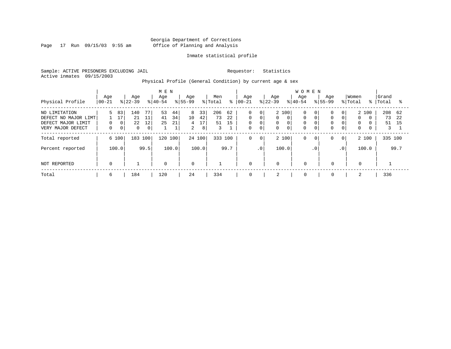Page 17 Run 09/15/03 9:55 am

#### Inmate statistical profile

Sample: ACTIVE PRISONERS EXCLUDING JAIL Requestor: Statistics Active inmates 09/15/2003

Physical Profile (General Condition) by current age & sex

|                                                                                  |                     |                              |                             |                                  | M E N            |                     |                                             |                     |                      |                |                                                          |                             |                      |                              | <b>WOMEN</b>                      |                      |                                              |                                                   |                                       |          |                      |                 |
|----------------------------------------------------------------------------------|---------------------|------------------------------|-----------------------------|----------------------------------|------------------|---------------------|---------------------------------------------|---------------------|----------------------|----------------|----------------------------------------------------------|-----------------------------|----------------------|------------------------------|-----------------------------------|----------------------|----------------------------------------------|---------------------------------------------------|---------------------------------------|----------|----------------------|-----------------|
| Physical Profile                                                                 | Age<br>$00 - 21$    |                              | Age<br>$ 22-39 $            |                                  | Age<br>$8 40-54$ |                     | Age<br>$ 55-99$                             |                     | Men<br>% Total       | ៖              | Age<br>$ 00-21$                                          |                             | Age<br>$ 22-39 $     |                              | Age<br>$8 40-54$                  | $8155 - 99$          | Aqe                                          |                                                   | Women<br>% Total                      | ႜႜ       | Grand<br>Total       | °≈              |
| NO LIMITATION<br>DEFECT NO MAJOR LIMT<br>DEFECT MAJOR LIMIT<br>VERY MAJOR DEFECT | 5.<br>0<br>$\Omega$ | 83<br>17<br>0<br>$\mathbf 0$ | 140<br>21<br>22<br>$\Omega$ | 77<br>11<br>12<br>0 <sup>1</sup> | 53<br>41<br>25   | 44<br>34<br>21<br>1 | 8<br>10 <sup>°</sup><br>4<br>$\overline{2}$ | 33<br>42<br>17<br>8 | 206<br>73<br>51<br>3 | 62<br>22<br>15 | $\mathbf 0$<br>$\mathbf 0$<br>$\mathbf 0$<br>$\mathbf 0$ | 0<br>0<br>0<br>$\mathbf{0}$ | 2 100<br>0<br>0<br>0 | $\Omega$<br>0<br>$\mathbf 0$ | 0<br>$\mathbf 0$<br>0<br>$\Omega$ | 0  <br>$\Omega$<br>0 | $\Omega$<br>$\Omega$<br>$\Omega$<br>$\Omega$ | 0 <sup>1</sup><br>$\Omega$<br>0<br>$\overline{0}$ | 2 100<br>$\Omega$<br>0<br>$\mathbf 0$ | $\Omega$ | 208<br>73<br>51<br>3 | 62<br>2.2<br>15 |
| Total reported                                                                   |                     | 6 100                        | 183 100                     |                                  | 120              | 100                 | 24 100                                      |                     | 333 100              |                | $\mathbf 0$                                              | $\mathbf 0$                 | 2 100                |                              | 0                                 | $\circ$              | 0                                            | 0                                                 | 2 100                                 |          | 335 100              |                 |
| Percent reported                                                                 |                     | 100.0                        |                             | 99.5                             |                  | 100.0               |                                             | 100.0               |                      | 99.7           |                                                          | .0                          | 100.0                |                              |                                   | $\cdot$ 0            |                                              | $\cdot$ 0                                         | 100.0                                 |          |                      | 99.7            |
| NOT REPORTED                                                                     | $\mathbf 0$         |                              |                             |                                  | $\mathbf 0$      |                     | $\mathbf 0$                                 |                     |                      |                | $\mathbf 0$                                              |                             | $\mathbf 0$          |                              | $\Omega$                          |                      | $\mathbf 0$                                  |                                                   | $\mathbf 0$                           |          |                      |                 |
| Total                                                                            | 6                   |                              | 184                         |                                  | 120              |                     | 24                                          |                     | 334                  |                | 0                                                        |                             | 2                    |                              | $\mathbf 0$                       |                      | $\mathbf 0$                                  |                                                   | 2                                     |          | 336                  |                 |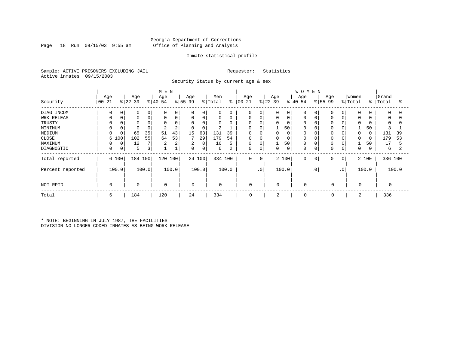#### Georgia Department of Corrections Page 18 Run 09/15/03 9:55 am Office of Planning and Analysis

#### Inmate statistical profile

Sample: ACTIVE PRISONERS EXCLUDING JAIL Requestor: Statistics Active inmates 09/15/2003

Security Status by current age & sex

|                  |             |             |             |             | M E N       |       |             |        |                |       |             |                 |           |             | <b>WOMEN</b> |             |             |                |             |          |         |       |
|------------------|-------------|-------------|-------------|-------------|-------------|-------|-------------|--------|----------------|-------|-------------|-----------------|-----------|-------------|--------------|-------------|-------------|----------------|-------------|----------|---------|-------|
|                  | Age         |             | Age         |             | Age         |       | Age         |        | Men            |       | Age         |                 | Age       |             | Age          |             | Age         |                | Women       |          | Grand   |       |
| Security         | $ 00-21$    |             | $ 22-39$    |             | $ 40-54$    |       | $ 55-99$    |        | % Total        | ి     | $ 00 - 21$  |                 | $ 22-39 $ |             | $8 40-54$    |             | $8 55-99$   |                | % Total     | ႜ        | Total   | ႜႜ    |
| DIAG INCOM       | $\Omega$    | 0           | 0           | 0           | 0           | 0     | $\mathbf 0$ | 0      | 0              |       | $\mathbf 0$ | 0               | 0         | 0           | 0            | $\mathbf 0$ | 0           |                | $\mathbf 0$ | 0        | 0       |       |
| WRK RELEAS       | $\Omega$    | 0           | $\mathbf 0$ | $\mathbf 0$ | $\Omega$    | 0     | $\mathbf 0$ | 0      | $\mathbf 0$    | 0     | 0           | 0               |           | $\mathbf 0$ | 0            | $\mathbf 0$ | $\Omega$    |                | $\Omega$    | 0        | 0       |       |
| TRUSTY           |             |             |             |             | $\Omega$    |       |             | 0      | $\Omega$       |       | $\mathbf 0$ |                 |           | 0           |              |             |             |                | $\Omega$    |          | 0       |       |
| MINIMUM          |             |             |             |             | 2           | 2     | 0           | 0      | $\overline{2}$ |       | 0           |                 |           | 50          | 0            | $\Omega$    | 0           |                |             | 50       | 3       |       |
| MEDIUM           | $\Omega$    |             | 65          | 35          | 51          | 43    | 15          | 63     | 131            | 39    | $\mathbf 0$ |                 | 0         | $\mathbf 0$ |              | 0           |             |                | $\Omega$    | $\Omega$ | 131     | 39    |
| CLOSE            | 6           | 100         | 102         | 55          | 64          | 53    |             | 29     | 179            | 54    | 0           |                 | 0         | $\mathbf 0$ | 0            | 0           | $\Omega$    |                |             | 0        | 179     | 53    |
| MAXIMUM          | 0           | 0           | 12          |             | 2           | 2     | 2           | 8      | 16             | 5     | 0           | $\Omega$        |           | 50          |              | $\mathbf 0$ | 0           |                |             | 50       | 17      | 5     |
| DIAGNOSTIC       | $\mathbf 0$ | $\mathbf 0$ | 5           |             |             |       | $\mathbf 0$ | 0      | 6              | 2     | 0           | 0               | 0         | $\mathbf 0$ | 0            | $\mathbf 0$ | $\Omega$    |                | $\Omega$    |          | 6       |       |
| Total reported   |             | 6 100       | 184         | 100         | 120         | 100   |             | 24 100 | 334 100        |       | 0           | 0               |           | 2 100       | 0            | 0           | 0           | 0 <sup>1</sup> |             | 2 100    | 336 100 |       |
| Percent reported |             | 100.0       |             | 100.0       |             | 100.0 |             | 100.0  |                | 100.0 |             | .0 <sup>′</sup> |           | 100.0       |              | $\cdot$ 0   |             | $\cdot$ 0      |             | 100.0    |         | 100.0 |
| NOT RPTD         | $\Omega$    |             | $\mathbf 0$ |             | $\mathbf 0$ |       | $\mathbf 0$ |        | $\mathbf 0$    |       | 0           |                 | $\Omega$  |             | $\Omega$     |             | $\mathbf 0$ |                | $\mathbf 0$ |          |         |       |
| Total            | 6           |             | 184         |             | 120         |       | 24          |        | 334            |       | 0           |                 | 2         |             | $\Omega$     |             | 0           |                | 2           |          | 336     |       |

\* NOTE: BEGINNING IN JULY 1987, THE FACILITIES DIVISION NO LONGER CODED INMATES AS BEING WORK RELEASE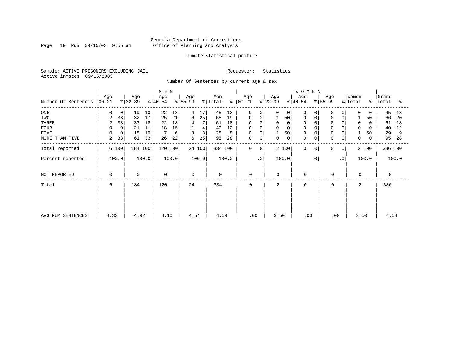Page 19 Run 09/15/03 9:55 am

#### Inmate statistical profile

Sample: ACTIVE PRISONERS EXCLUDING JAIL Requestor: Statistics Active inmates 09/15/2003

Number Of Sentences by current age & sex

|                     |          |       |           |       | M E N     |       |             |        |                     |       |             |           |             |             | <b>WOMEN</b> |           |             |                 |                     |       |           |       |
|---------------------|----------|-------|-----------|-------|-----------|-------|-------------|--------|---------------------|-------|-------------|-----------|-------------|-------------|--------------|-----------|-------------|-----------------|---------------------|-------|-----------|-------|
|                     | Age      |       | Age       |       | Age       |       | Age         |        | Men                 |       | Age         |           | Age         |             | Age          |           | Age         |                 | Women               |       | Grand     |       |
| Number Of Sentences | $ 00-21$ |       | $ 22-39 $ |       | $ 40-54 $ |       | $ 55-99 $   |        | $\frac{1}{2}$ Total | န္    | $ 00 - 21$  |           | $ 22-39 $   |             | $ 40-54 $    |           | $ 55-99 $   |                 | $\frac{1}{2}$ Total |       | %   Total | ႜ     |
| $_{\rm ONE}$        | 0        | 0     | 19        | 10    | 22        | 18    | 4           | 17     | 45                  | 13    | 0           | 0         | 0           | 0           | 0            | 0         | 0           | 0               | 0                   | 0     | 45        | 13    |
| TWO                 | 2        | 33    | 32        | 17    | 25        | 21    | 6           | 25     | 65                  | 19    | 0           | 0         | 1           | 50          | $\mathbf 0$  | 0         | $\mathbf 0$ | 0               |                     | 50    | 66        | 20    |
| THREE               | 2        | 33    | 33        | 18    | 22        | 18    | 4           | 17     | 61                  | 18    | 0           |           | 0           | $\mathbf 0$ |              |           | $\mathbf 0$ |                 | 0                   | 0     | 61        | 18    |
| <b>FOUR</b>         | 0        | 0     | 21        | 11    | 18        | 15    |             | 4      | 40                  | 12    | 0           |           | 0           |             |              |           |             |                 | $\Omega$            |       | 40        | 12    |
| FIVE                | 0        | 0     | 18        | 10    |           | 6     |             | 13     | 28                  | 8     | 0           |           |             | 50          | $\mathbf 0$  |           | 0           |                 |                     | 50    | 29        | 9     |
| MORE THAN FIVE      | 2        | 33    | 61        | 33    | 26        | 22    | 6           | 25     | 95                  | 28    | 0           | 0         | 0           | $\mathbf 0$ | $\mathbf 0$  | 0         | $\mathbf 0$ | 0               | 0                   | 0     | 95        | 28    |
| Total reported      |          | 6 100 | 184 100   |       | 120 100   |       |             | 24 100 | 334 100             |       | $\mathbf 0$ | 0         |             | 2 100       | $\Omega$     | $\Omega$  | $\Omega$    | 0 <sup>1</sup>  |                     | 2 100 | 336 100   |       |
| Percent reported    |          | 100.0 |           | 100.0 |           | 100.0 |             | 100.0  |                     | 100.0 |             | $\cdot$ 0 |             | 100.0       |              | $\cdot$ 0 |             | .0 <sup>1</sup> |                     | 100.0 |           | 100.0 |
| NOT REPORTED        | 0        |       | 0         |       | 0         |       | $\mathbf 0$ |        | 0                   |       | 0           |           | $\mathbf 0$ |             | $\mathbf 0$  |           | 0           |                 | $\Omega$            |       | 0         |       |
| Total               | 6        |       | 184       |       | 120       |       | 24          |        | 334                 |       | $\Omega$    |           | 2           |             | $\Omega$     |           | $\Omega$    |                 | 2                   |       | 336       |       |
|                     |          |       |           |       |           |       |             |        |                     |       |             |           |             |             |              |           |             |                 |                     |       |           |       |
|                     |          |       |           |       |           |       |             |        |                     |       |             |           |             |             |              |           |             |                 |                     |       |           |       |
| AVG NUM SENTENCES   | 4.33     |       | 4.92      |       | 4.10      |       | 4.54        |        | 4.59                |       | .00         |           | 3.50        |             | .00          |           | .00         |                 | 3.50                |       | 4.58      |       |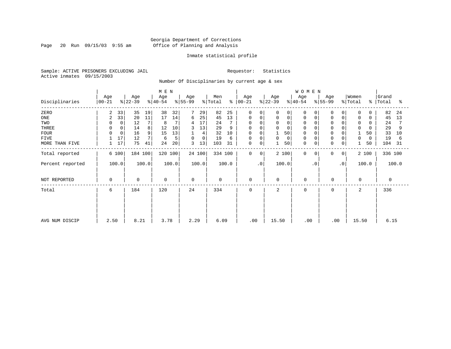Page 20 Run 09/15/03 9:55 am

#### Inmate statistical profile

Sample: ACTIVE PRISONERS EXCLUDING JAIL Requestor: Statistics Active inmates 09/15/2003

Number Of Disciplinaries by current age & sex

|                  |                      |                   | M E N            |                  |                      |                  |                  | WOMEN            |                              |                        |                      |
|------------------|----------------------|-------------------|------------------|------------------|----------------------|------------------|------------------|------------------|------------------------------|------------------------|----------------------|
| Disciplinaries   | Age<br>$ 00-21$      | Age<br>$ 22-39 $  | Age<br>$ 40-54 $ | Age<br>$ 55-99$  | Men<br>% Total<br>န္ | Age<br>$ 00-21$  | Age<br>$ 22-39 $ | Age<br>$ 40-54 $ | Age<br>$\frac{1}{6}$   55-99 | Women<br>% Total<br>ွေ | Grand<br>Total<br>ిక |
| ZERO             | 33<br>2              | 35<br>19          | 38<br>32         | 7<br>29          | 82<br>25             | 0<br>$\Omega$    | 0                | 0<br>0           | $\Omega$<br>0                | $\mathbf 0$            | 82<br>24             |
| $_{\rm ONE}$     | 33<br>$\overline{c}$ | 20<br>11          | 17<br>14         | 25<br>6          | 13<br>45             | $\mathbf 0$<br>0 | $\mathbf 0$      | 0                | $\mathbf 0$<br>$\Omega$      | $\mathbf 0$            | 45<br>13             |
| TWO              |                      | 12<br>$\mathbf 0$ | 8                | 17<br>4          | 24                   | 0<br>$\Omega$    | $\Omega$         | 0                |                              | 0                      | 24                   |
| THREE            | 0                    | 0<br>14<br>8      | 12<br>10         | 13<br>3          | 29<br>9              | 0<br>0           | $\mathbf 0$      | $\mathbf 0$      | $\Omega$                     | $\mathbf 0$            | 29                   |
| <b>FOUR</b>      |                      | 9<br>16           | 13<br>15         | 4                | 32<br>10             | $\mathbf 0$      | 50               | $\mathbf 0$      |                              | 50                     | 33<br>10             |
| <b>FIVE</b>      | 17                   | 12                | 5<br>6           | $\mathbf 0$<br>0 | 19<br>6              | 0<br>0           | 0<br>0           | $\mathbf 0$      | 0<br>$\Omega$                | 0<br>$\Omega$          | 19<br>6              |
| MORE THAN FIVE   | 17<br>1              | 75<br>41          | 24<br>20         | 3<br>13          | 31<br>103            | 0<br>0           | 50               | $\mathbf 0$<br>0 | $\mathbf 0$<br>0             | 50                     | 104<br>31            |
| Total reported   | 6 100                | 184 100           | 120 100          | 24 100           | 334 100              | 0<br>0           | 2 100            | $\mathbf 0$<br>0 | 0<br>0                       | 2 100                  | 336 100              |
| Percent reported | 100.0                | 100.0             | 100.0            | 100.0            | 100.0                | $\cdot$ 0        | 100.0            | $\cdot$ 0        | $\cdot$ 0                    | 100.0                  | 100.0                |
| NOT REPORTED     | 0                    | $\mathbf 0$       | 0                | $\Omega$         | $\mathbf 0$          | 0                | 0                | $\mathbf 0$      | 0                            | $\mathbf 0$            | $\Omega$             |
| Total            | 6                    | 184               | 120              | 24               | 334                  | 0                | 2                | 0                | 0                            | 2                      | 336                  |
|                  |                      |                   |                  |                  |                      |                  |                  |                  |                              |                        |                      |
|                  |                      |                   |                  |                  |                      |                  |                  |                  |                              |                        |                      |
| AVG NUM DISCIP   | 2.50                 | 8.21              | 3.78             | 2.29             | 6.09                 | .00              | 15.50            | .00              | .00                          | 15.50                  | 6.15                 |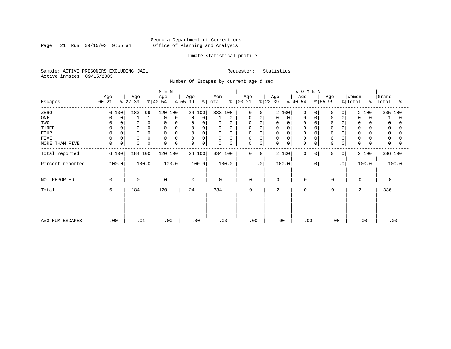Page 21 Run 09/15/03 9:55 am

#### Inmate statistical profile

Sample: ACTIVE PRISONERS EXCLUDING JAIL Requestor: Statistics Active inmates 09/15/2003

Number Of Escapes by current age & sex

|                  |                  |                 | M E N            |                   |                      |                             |                  | WOMEN                |                  |                                     |                     |
|------------------|------------------|-----------------|------------------|-------------------|----------------------|-----------------------------|------------------|----------------------|------------------|-------------------------------------|---------------------|
| Escapes          | Age<br>$00 - 21$ | Age<br>$ 22-39$ | Age<br>$ 40-54 $ | Age<br>$ 55-99 $  | Men<br>% Total<br>န္ | Age<br>$ 00 - 21 $          | Age<br>$ 22-39 $ | Age<br>$ 40-54 $     | Age<br>$ 55-99 $ | Women<br>%   Total<br>$\frac{8}{6}$ | Grand<br>Total<br>ႜ |
| ZERO             | 6 100            | 183<br>99       | 120<br>100       | 24 100            | 333 100              | 0<br>$\Omega$               | 2 100            | $\Omega$<br>$\Omega$ | $\Omega$<br>0    | 2 100                               | 335 100             |
| ONE              | 0<br>0           |                 | 0<br>$\Omega$    | $\mathbf 0$<br>0  | 0                    | 0<br>0                      | 0<br>0           | 0<br>0               | 0<br>0           | $\mathbf 0$<br>$\Omega$             | 0                   |
| TWO              | 0                | 0               | $\Omega$         | 0<br>$\Omega$     | 0<br>0               | 0<br>0                      | 0<br>$\Omega$    | 0                    | 0                | 0                                   | 0                   |
| THREE            | 0                | $\Omega$        | $\Omega$         | $\mathsf{O}$<br>0 | 0<br>0               | 0<br>$\Omega$               | 0<br>0           | 0                    | $\overline{0}$   | 0                                   | 0                   |
| <b>FOUR</b>      | $\Omega$         |                 | $\Omega$         | 0<br>$\Omega$     | $\Omega$<br>$\Omega$ | $\Omega$                    | 0                | $\Omega$             | $\Omega$         | $\Omega$                            |                     |
| FIVE             | 0<br>0           | 0               | $\Omega$<br>0    | 0<br>0            | 0<br>0               | 0<br>0                      | 0<br>$\Omega$    | 0                    | $\Omega$         | 0                                   | 0                   |
| MORE THAN FIVE   | $\mathsf 0$<br>0 | $\Omega$<br>0   | 0<br>0           | $\mathbf 0$<br>0  | 0<br>0               | 0<br>0                      | 0<br>0           | $\mathbf 0$<br>0     | 0<br>0           | 0<br>U                              | 0                   |
| Total reported   | 6 100            | 184 100         | 120 100          | 24 100            | 334 100              | $\mathbf 0$<br>$\mathbf{0}$ | 2 100            | $\mathbf 0$<br>0     | 0<br>0           | 2 100                               | 336 100             |
| Percent reported | 100.0            | 100.0           | 100.0            | 100.0             | 100.0                | $\cdot$ 0                   | 100.0            | $\cdot$ 0            | $\cdot$ 0        | 100.0                               | 100.0               |
| NOT REPORTED     | 0                | $\mathbf 0$     | $\mathbf 0$      | $\mathbf 0$       | $\mathbf 0$          | 0                           | 0                | $\overline{0}$       | 0                | 0                                   | 0                   |
| Total            | 6                | 184             | 120              | 24                | 334                  | $\mathbf 0$                 | $\overline{a}$   | $\Omega$             | $\mathbf 0$      | 2                                   | 336                 |
| AVG NUM ESCAPES  | .00              | .01             | .00              | .00               | .00                  | .00                         | .00              | .00                  | .00              | .00                                 | .00                 |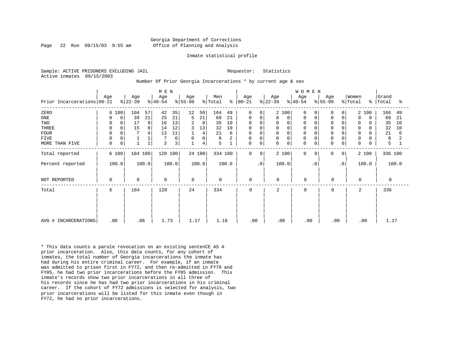#### Georgia Department of Corrections Page 22 Run 09/15/03 9:55 am Office of Planning and Analysis

#### Inmate statistical profile

Sample: ACTIVE PRISONERS EXCLUDING JAIL **Requestor:** Statistics Active inmates 09/15/2003

Number Of Prior Georgia Incarcerations \* by current age & sex

|                            |               |                  | M E N               |                  |                      |                               |                  | WOMEN                      |                               |                                   |                     |
|----------------------------|---------------|------------------|---------------------|------------------|----------------------|-------------------------------|------------------|----------------------------|-------------------------------|-----------------------------------|---------------------|
| Prior Incarcerations 00-21 | Age           | Age<br>$ 22-39 $ | Age<br>$ 40-54 $    | Age<br>$ 55-99 $ | Men<br>% Total<br>န္ | Age<br>$ 00-21$               | Age<br>$ 22-39 $ | Age<br>$ 40-54 $           | Age<br>$ 55-99 $              | Women<br>% Total<br>$\frac{8}{6}$ | Grand<br>Total<br>ႜ |
| ZERO                       | 6 100         | 57<br>104        | 35<br>42            | 12<br>50         | 164<br>49            | 0<br>0                        | 2 100            | $\Omega$                   | 0<br>0                        | 2 100                             | 166<br>49           |
| ONE                        | 0<br>$\Omega$ | 39<br>21         | 21<br>25            | 21<br>5          | 69<br>21             | 0<br>0                        | 0<br>0           | 0<br>0                     | 0<br>0                        | $\Omega$<br>0                     | 69<br>21            |
| TWO                        | $\Omega$      | 17<br>9          | 13<br>16            | 2<br>8           | 35<br>10             | $\mathbf 0$                   | 0                | $\Omega$                   | 0                             | 0                                 | 35<br>10            |
| THREE                      | 0<br>0        | 8<br>15          | 12<br>14            | 3<br>13          | 32<br>10             | 0<br>0                        | 0                | $\mathbf 0$                | 0<br>$\Omega$                 | $\mathbf 0$<br>0                  | 32<br>10            |
| <b>FOUR</b>                | $\mathbf 0$   | 4                | 11<br>13            | 4                | 21<br>6              | 0                             | 0                | $\Omega$                   | $\Omega$                      | 0<br>0                            | 21<br>6             |
| FIVE                       | $\mathbf 0$   |                  | б                   | 0                | 8<br>$\overline{2}$  | 0                             | 0                | $\Omega$                   | $\Omega$<br>0                 | $\mathbf 0$                       | 8                   |
| MORE THAN FIVE             | 0<br>0        |                  | $\overline{3}$<br>3 | 4                | 5                    | 0<br>0                        | 0<br>$\mathbf 0$ | $\mathbf 0$<br>$\mathbf 0$ | $\mathbf 0$<br>0              | $\mathbf 0$<br>O                  | 5                   |
| Total reported             | 6 100         | 184 100          | 120 100             | 24 100           | 334 100              | $\mathbf 0$<br>0 <sup>1</sup> | 2 100            | $\Omega$<br>$\Omega$       | $\mathbf 0$<br>0 <sup>1</sup> | 2 100                             | 336 100             |
| Percent reported           | 100.0         | 100.0            | 100.0               | 100.0            | 100.0                | $\cdot$ 0                     | 100.0            | $\cdot$ 0                  | $\cdot$ 0                     | 100.0                             | 100.0               |
| NOT REPORTED               | $\mathbf 0$   | $\mathbf 0$      | $\mathbf 0$         | $\mathbf 0$      | $\mathbf 0$          | $\mathbf 0$                   | $\mathbf 0$      | $\Omega$                   | $\mathbf 0$                   | $\Omega$                          | $\Omega$            |
| Total                      | 6             | 184              | 120                 | 24               | 334                  | $\mathbf 0$                   | 2                | $\Omega$                   | 0                             | 2                                 | 336                 |
|                            |               |                  |                     |                  |                      |                               |                  |                            |                               |                                   |                     |
|                            |               |                  |                     |                  |                      |                               |                  |                            |                               |                                   |                     |
| AVG # INCARCERATIONS       | .00           | .86              | 1.73                | 1.17             | 1.18                 | .00                           | .00              | .00                        | .00                           | .00                               | 1.17                |

\* This data counts a parole revocation on an existing sentenCE AS A prior incarceration. Also, this data counts, for any cohort of inmates, the total number of Georgia incarcerations the inmate has had during his entire criminal career. For example, if an inmate was admitted to prison first in FY72, and then re-admitted in FY79 and FY85, he had two prior incarcerations before the FY85 admission. This inmate's records show two prior incarcerations in all three of his records since he has had two prior incarcerations in his criminal career. If the cohort of FY72 admissions is selected for analysis, two prior incarcerations will be listed for this inmate even though in FY72, he had no prior incarcerations.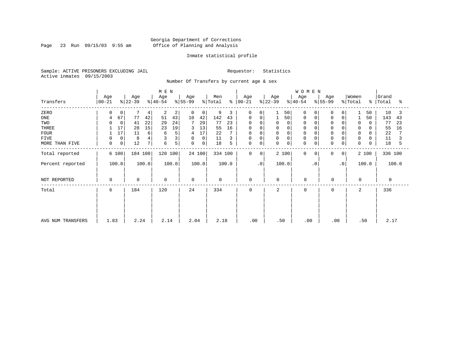Page 23 Run 09/15/03 9:55 am

#### Inmate statistical profile

Sample: ACTIVE PRISONERS EXCLUDING JAIL Requestor: Statistics Active inmates 09/15/2003

Number Of Transfers by current age & sex

|                   |                    |                |                  |       | M E N            |       |                  |        |                |       |                      |           |                  |             | <b>WOMEN</b>     |           |                  |           |                  |       |                    |       |
|-------------------|--------------------|----------------|------------------|-------|------------------|-------|------------------|--------|----------------|-------|----------------------|-----------|------------------|-------------|------------------|-----------|------------------|-----------|------------------|-------|--------------------|-------|
| Transfers         | Age<br>$ 00 - 21 $ |                | Age<br>$ 22-39 $ |       | Age<br>$ 40-54 $ |       | Age<br>$ 55-99 $ |        | Men<br>% Total |       | Age<br>$8   00 - 21$ |           | Age<br>$ 22-39 $ |             | Age<br>$ 40-54 $ |           | Age<br>$ 55-99 $ |           | Women<br>% Total |       | Grand<br>%   Total | °≈    |
| ZERO              | <sup>0</sup>       | 0              | 7                | 4     | 2                | 2     | 0                | 0      | 9              | 3     | $\mathbf 0$          | $\Omega$  |                  | 50          | 0                | 0         | <sup>0</sup>     | 0         |                  | 50    | 10                 | 3     |
| ONE               | 4                  | 67             | 77               | 42    | 51               | 43    | 10               | 42     | 142            | 43    | 0                    | 0         |                  | 50          | 0                |           |                  | 0         |                  | 50    | 143                | 43    |
| TWO               |                    | $\mathbf 0$    | 41               | 22    | 29               | 24    | 7                | 29     | 77             | 23    | $\Omega$             | $\Omega$  | 0                | 0           | 0                |           |                  |           | 0                |       | 77                 | 23    |
| THREE             |                    | 17             | 28               | 15    | 23               | 19    | 3                | 13     | 55             | 16    | 0                    |           |                  | 0           | 0                |           | $\Omega$         |           | 0                |       | 55                 | 16    |
| <b>FOUR</b>       |                    | 17             | 11               | 6     | 6                | 5     | 4                | 17     | 22             |       | 0                    | $\Omega$  | 0                | $\mathbf 0$ | $\Omega$         |           |                  |           | 0                |       | 22                 |       |
| FIVE              |                    | 0              | 8                |       |                  |       | 0                | 0      | 11             |       | 0                    | $\Omega$  | 0                | 0           | 0                |           | $\Omega$         |           | 0                |       | 11                 |       |
| MORE THAN FIVE    | 0                  | 0 <sup>1</sup> | 12               | 7 I   | 6                | 5     | 0                | 0      | 18             | 5     | $\mathbf 0$          | 0         | 0                | $\mathbf 0$ | $\mathbf 0$      | 0         | 0                | 0         | $\mathbf 0$      |       | 18                 | 5     |
| Total reported    | 6 100              |                | 184 100          |       | 120 100          |       |                  | 24 100 | 334 100        |       | $\mathbf 0$          | 0         |                  | 2 100       | $\mathbf 0$      | $\Omega$  | 0                | 0         |                  | 2 100 | 336 100            |       |
| Percent reported  | 100.0              |                |                  | 100.0 |                  | 100.0 |                  | 100.0  |                | 100.0 |                      | $\cdot$ 0 |                  | 100.0       |                  | $\cdot$ 0 |                  | $\cdot$ 0 |                  | 100.0 |                    | 100.0 |
| NOT REPORTED      | $\Omega$           |                | $\mathbf 0$      |       | 0                |       | $\Omega$         |        | $\mathbf 0$    |       | $\mathbf 0$          |           | $\Omega$         |             | 0                |           | 0                |           | $\mathbf 0$      |       | $\Omega$           |       |
| Total             | 6                  |                | 184              |       | 120              |       | 24               |        | 334            |       | $\mathbf 0$          |           | 2                |             | $\mathbf 0$      |           | $\mathbf 0$      |           | 2                |       | 336                |       |
|                   |                    |                |                  |       |                  |       |                  |        |                |       |                      |           |                  |             |                  |           |                  |           |                  |       |                    |       |
|                   |                    |                |                  |       |                  |       |                  |        |                |       |                      |           |                  |             |                  |           |                  |           |                  |       |                    |       |
| AVG NUM TRANSFERS | 1.83               |                | 2.24             |       | 2.14             |       | 2.04             |        | 2.18           |       | .00                  |           | .50              |             | $.00 \,$         |           | .00              |           |                  | .50   | 2.17               |       |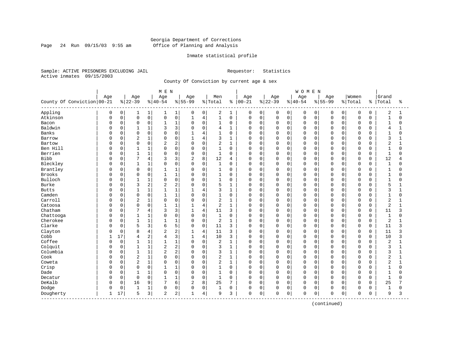#### Georgia Department of Corrections Page 24 Run 09/15/03 9:55 am Office of Planning and Analysis

#### Inmate statistical profile

Sample: ACTIVE PRISONERS EXCLUDING JAIL Requestor: Statistics Active inmates 09/15/2003

County Of Conviction by current age & sex

|                              |              |             |                |                | M E N          |                |              |                |                |                |             |             |             |             | WOMEN          |             |             |             |             |             |                |              |
|------------------------------|--------------|-------------|----------------|----------------|----------------|----------------|--------------|----------------|----------------|----------------|-------------|-------------|-------------|-------------|----------------|-------------|-------------|-------------|-------------|-------------|----------------|--------------|
|                              | Age          |             | Age            |                | Age            |                | Age          |                | Men            |                | Age         |             | Age         |             | Age            |             | Age         |             | Women       |             | Grand          |              |
| County Of Conviction 00-21   |              |             | $8 22-39$      |                | $ 40-54$       |                | $8 55-99$    |                | % Total        | ႜ              | $00 - 21$   |             | $ 22 - 39$  |             | $8 40-54$      |             | $8 55-99$   |             | % Total     | ႜ           | Total          | ిక           |
| Appling                      | 0            | 0           | 1              | $\mathbf{1}$   | 1              | 1              | 0            | 0              | 2              | 1              | 0           | 0           | 0           | 0           | 0              | 0           | 0           | $\mathbf 0$ | $\mathbf 0$ | $\mathbf 0$ | 2              | 1            |
| Atkinson                     | 0            | 0           | $\mathbf 0$    | 0              | $\mathbf 0$    | $\mathsf 0$    | $\mathbf{1}$ | $\overline{4}$ | $\mathbf{1}$   | $\mathsf 0$    | $\mathbf 0$ | 0           | $\mathbf 0$ | 0           | $\Omega$       | $\mathbf 0$ | $\mathbf 0$ | $\mathbf 0$ | $\mathbf 0$ | 0           | $\mathbf{1}$   | 0            |
| Bacon                        | O            | 0           | $\mathbf 0$    | 0              | $\mathbf{1}$   | $\mathbf{1}$   | $\Omega$     | $\mathbf 0$    | 1              | 0              | $\mathbf 0$ | $\mathbf 0$ | $\mathbf 0$ | 0           | $\mathbf 0$    | 0           | $\Omega$    | $\Omega$    | $\mathbf 0$ | 0           | $\mathbf{1}$   | 0            |
| Baldwin                      | O            | 0           | $\mathbf{1}$   | $\mathbf 1$    | 3              | 3              | $\Omega$     | $\mathbf 0$    | 4              | $\mathbf{1}$   | $\Omega$    | $\Omega$    | $\Omega$    | 0           | $\Omega$       | $\Omega$    | $\cap$      | $\Omega$    | $\mathbf 0$ | $\Omega$    | 4              |              |
| Banks                        | U            | $\Omega$    | $\Omega$       | $\mathbf 0$    | $\Omega$       | $\Omega$       | 1            | 4              | $\mathbf{1}$   | $\Omega$       | U           | $\Omega$    | $\Omega$    | $\Omega$    | $\Omega$       | $\Omega$    | $\cap$      | $\Omega$    | $\mathbf 0$ | U           | 1              | $\Omega$     |
| Barrow                       | U            | 0           | $\overline{2}$ | $\mathbf 1$    | $\Omega$       | $\mathbf 0$    | $\mathbf{1}$ | $\overline{4}$ | 3              | 1              | 0           | 0           | $\Omega$    | $\Omega$    | $\Omega$       | $\Omega$    | $\Omega$    | $\Omega$    | $\mathbf 0$ | $\Omega$    | 3              | 1            |
| Bartow                       |              | 0           | $\Omega$       | 0              | $\overline{c}$ | 2              | $\mathbf 0$  | $\mathbf 0$    | 2              | $\mathbf{1}$   | 0           | 0           | 0           | 0           | $\mathbf 0$    | 0           | $\Omega$    | $\mathbf 0$ | $\mathbf 0$ | 0           | 2              | 1            |
| Ben Hill                     | O            | 0           | $\mathbf{1}$   | $\mathbf{1}$   | $\cap$         | $\mathbf 0$    | $\Omega$     | $\mathbf 0$    | $\mathbf{1}$   | $\mathbf 0$    | $\mathbf 0$ | 0           | $\Omega$    | 0           | $\Omega$       | 0           | $\cap$      | $\Omega$    | $\mathbf 0$ | $\Omega$    | $\mathbf{1}$   | $\Omega$     |
| Berrien                      | O            | 0           | 1              | $1\,$          | 0              | $\mathbf 0$    | 0            | $\mathbf 0$    | 1              | 0              | 0           | 0           | 0           | 0           | $\Omega$       | 0           | $\Omega$    | $\Omega$    | $\mathbf 0$ | $\Omega$    | $\mathbf{1}$   | O            |
| <b>Bibb</b>                  | O            | 0           | 7              | $\overline{4}$ | 3              | 3              | 2            | 8              | 12             | $\overline{4}$ | $\mathbf 0$ | 0           | $\Omega$    | 0           | $\Omega$       | $\mathbf 0$ | $\Omega$    | $\Omega$    | $\mathbf 0$ | 0           | 12             | 4            |
| Bleckley                     | 0            | $\Omega$    | $\mathbf{1}$   | $\mathbf 1$    | $\Omega$       | $\Omega$       | $\Omega$     | $\Omega$       | $\mathbf{1}$   | $\Omega$       | $\Omega$    | $\Omega$    | $\Omega$    | $\Omega$    | $\Omega$       | $\Omega$    | $\Omega$    | $\Omega$    | $\Omega$    | $\Omega$    | $\mathbf{1}$   | $\Omega$     |
| Brantley                     | 0            | $\Omega$    | $\mathbf 0$    | $\mathbf 0$    | 1              | $\mathbf{1}$   | $\Omega$     | $\mathbf 0$    | $\mathbf{1}$   | 0              | 0           | $\mathbf 0$ | 0           | $\Omega$    | $\Omega$       | $\Omega$    | O           | $\Omega$    | $\mathbf 0$ | O           | $\mathbf{1}$   | 0            |
| Brooks                       |              | 0           | 0              | 0              |                | $\mathbf{1}$   | $\Omega$     | $\mathsf 0$    | $1\,$          | $\mathbf 0$    | 0           | 0           | 0           | 0           | $\overline{0}$ | 0           | $\Omega$    | $\mathbf 0$ | $\mathbf 0$ | 0           | $\mathbf{1}$   | 0            |
| Bulloch                      |              | 0           | $\mathbf{1}$   | $1\,$          | $\Omega$       | $\mathbf 0$    | $\Omega$     | $\Omega$       | $\mathbf 1$    | $\mathbf 0$    | 0           | 0           | $\Omega$    | 0           | $\Omega$       | 0           | $\Omega$    | $\Omega$    | $\mathbf 0$ | O           | $\mathbf{1}$   | 0            |
| <b>Burke</b>                 | O            | 0           | 3              | $\overline{c}$ | $\overline{2}$ | $\overline{2}$ | $\Omega$     | $\mathbf 0$    | 5              | 1              | 0           | 0           | 0           | 0           | $\Omega$       | 0           | $\Omega$    | $\Omega$    | $\mathbf 0$ | 0           | 5              |              |
| <b>Butts</b>                 | O            | 0           | 1              | $\mathbf 1$    |                | 1              |              | 4              | 3              | 1              | $\mathbf 0$ | $\Omega$    | 0           | 0           | $\Omega$       | $\Omega$    | $\Omega$    | $\Omega$    | $\mathbf 0$ | 0           | 3              | 1            |
| Camden                       | 0            | $\Omega$    | $\Omega$       | $\Omega$       | $\mathbf{1}$   | $\mathbf{1}$   | $\Omega$     | $\Omega$       | 1              | $\Omega$       | 0           | $\Omega$    | $\Omega$    | $\Omega$    | $\Omega$       | $\Omega$    | $\Omega$    | $\Omega$    | $\Omega$    | $\Omega$    | $\mathbf{1}$   | $\Omega$     |
| Carroll                      | 0            | $\Omega$    | $\overline{2}$ | $\mathbf 1$    | $\Omega$       | $\mathbf 0$    | $\Omega$     | $\mathbf 0$    | $\overline{2}$ | $\mathbf{1}$   | 0           | $\mathbf 0$ | $\Omega$    | $\Omega$    | $\Omega$       | $\Omega$    | 0           | $\Omega$    | $\mathbf 0$ | 0           | $\overline{2}$ |              |
| Catoosa                      |              | 0           | $\Omega$       | 0              |                | $\mathbf{1}$   | $\mathbf{1}$ | $\overline{4}$ | 2              | $\mathbf{1}$   | 0           | $\Omega$    | $\Omega$    | $\mathbf 0$ | $\Omega$       | $\Omega$    | $\Omega$    | $\Omega$    | $\mathbf 0$ | $\Omega$    | $\overline{2}$ | $\mathbf{1}$ |
| Chatham                      | O            | 0           | $\overline{7}$ | $\overline{4}$ | 3              | 3              | $\mathbf{1}$ | $\overline{4}$ | 11             | 3              | $\Omega$    | $\mathbf 0$ | $\mathbf 0$ | $\Omega$    | $\Omega$       | $\Omega$    | $\Omega$    | $\Omega$    | $\mathbf 0$ | $\Omega$    | 11             | 3            |
| Chattooga                    | O            | 0           | 1              | $\mathbf 1$    | $\Omega$       | $\mathbf 0$    | $\Omega$     | $\mathbf 0$    | $\mathbf{1}$   | 0              | 0           | $\Omega$    | 0           | 0           | $\Omega$       | 0           | $\Omega$    | $\Omega$    | $\mathbf 0$ | 0           | $\mathbf{1}$   | $\Omega$     |
| Cherokee                     | U            | 0           | $\mathbf{1}$   | $\mathbf{1}$   | $\mathbf{1}$   | $\mathbf{1}$   | $\Omega$     | $\mathbf 0$    | 2              | $\mathbf{1}$   | $\Omega$    | $\Omega$    | $\Omega$    | $\Omega$    | $\Omega$       | $\Omega$    | $\cap$      | $\cap$      | $\mathbf 0$ | $\Omega$    | $\overline{2}$ | $\mathbf{1}$ |
| Clarke                       | U            | 0           | 5              | 3              | 6              | 5              | $\mathbf 0$  | $\mathbf 0$    | 11             | 3              | $\mathbf 0$ | $\mathbf 0$ | $\Omega$    | 0           | $\Omega$       | $\Omega$    | $\Omega$    | $\Omega$    | $\mathbf 0$ | 0           | 11             | 3            |
| Clayton                      | 0            | 0           | 8              | $\overline{4}$ | 2              | $\overline{c}$ |              | $\overline{4}$ | 11             | 3              | 0           | $\Omega$    | $\Omega$    | $\Omega$    | $\Omega$       | $\Omega$    | 0           | $\Omega$    | $\mathbf 0$ | $\Omega$    | 11             | 3            |
| Cobb                         | $\mathbf{1}$ | 17          | 4              | $\overline{c}$ | 4              | 3              | $\mathbf{1}$ | $\overline{4}$ | 10             | 3              | $\Omega$    | $\Omega$    | $\Omega$    | $\mathbf 0$ | $\Omega$       | $\mathbf 0$ | $\Omega$    | $\Omega$    | $\mathbf 0$ | 0           | 10             | 3            |
| Coffee                       | O            | $\mathbf 0$ | $\mathbf{1}$   | $\mathbf 1$    | $\mathbf{1}$   | $\mathbf{1}$   | $\Omega$     | $\mathbf 0$    | 2              | $\mathbf{1}$   | $\Omega$    | $\Omega$    | $\Omega$    | 0           | $\Omega$       | $\Omega$    | $\Omega$    | $\Omega$    | $\mathbf 0$ | $\Omega$    | $\overline{2}$ | $\mathbf{1}$ |
| Colquit                      | O            | 0           | 1              | $1\,$          | $\overline{c}$ | 2              | $\Omega$     | $\mathbf 0$    | 3              | 1              | 0           | $\Omega$    | $\Omega$    | $\Omega$    | $\Omega$       | $\Omega$    | $\Omega$    | $\Omega$    | $\mathbf 0$ | O           | 3              | 1            |
| Columbia                     | U            | 0           | $\mathbf{1}$   | $\mathbf{1}$   | 2              | $\overline{c}$ | $\Omega$     | $\Omega$       | 3              | $\mathbf{1}$   | O           | 0           | $\Omega$    | $\Omega$    | $\Omega$       | $\Omega$    | $\Omega$    | $\cap$      | $\mathbf 0$ | 0           | 3              | 1            |
| Cook                         | U            | $\Omega$    | $\overline{2}$ | $\mathbf 1$    | $\Omega$       | $\mathbf 0$    | $\Omega$     | $\mathbf 0$    | 2              | $\mathbf{1}$   | 0           | $\Omega$    | $\Omega$    | $\Omega$    | $\Omega$       | $\Omega$    | $\cap$      | $\Omega$    | $\mathbf 0$ | $\Omega$    | $\overline{2}$ | $\mathbf{1}$ |
| Coweta                       | U            | 0           | $\overline{c}$ | $\mathbf 1$    | 0              | $\mathbf 0$    | $\Omega$     | $\mathbf 0$    | 2              | $\mathbf{1}$   | 0           | $\Omega$    | 0           | 0           | $\Omega$       | $\Omega$    | $\Omega$    | $\Omega$    | $\mathbf 0$ | O           | $\overline{2}$ | 1            |
| Crisp                        | 0            | 0           | $\mathbf 0$    | 0              |                | $\mathbf{1}$   | $\Omega$     | $\mathbf 0$    | $\mathbf{1}$   | $\mathbf 0$    | 0           | 0           | $\Omega$    | 0           | $\Omega$       | 0           | $\Omega$    | $\Omega$    | $\mathbf 0$ | O           | $\mathbf{1}$   | 0            |
| Dade                         | U            | 0           | 1              | 1              | $\Omega$       | $\mathbf 0$    | 0            | $\mathbf 0$    | 1              | 0              | $\mathbf 0$ | 0           | 0           | 0           | $\Omega$       | 0           | $\Omega$    | $\Omega$    | $\mathbf 0$ | 0           | $\mathbf{1}$   | 0            |
| Decatur                      | U            | 0           | $\mathbf 0$    | 0              |                | 1              | $\mathbf 0$  | $\mathbf 0$    | 1              | 0              | $\mathbf 0$ | 0           | 0           | 0           | $\mathbf 0$    | 0           | $\Omega$    | $\Omega$    | $\mathbf 0$ | 0           | $\mathbf{1}$   | O            |
| DeKalb                       | 0            | 0           | 16             | 9              | 7              | 6              | 2            | 8              | 25             | 7              | $\Omega$    | $\Omega$    | $\mathbf 0$ | $\Omega$    | $\Omega$       | $\Omega$    | $\Omega$    | $\Omega$    | $\mathbf 0$ | $\Omega$    | 25             | 7            |
| Dodge                        | 0            | 0           | $\mathbf{1}$   | 1              | $\Omega$       | 0              | $\Omega$     | $\mathbf 0$    | $\mathbf{1}$   | $\mathbf 0$    | 0           | $\Omega$    | $\Omega$    | 0           | $\Omega$       | 0           | 0           | $\mathbf 0$ | $\mathbf 0$ | 0           | $\mathbf{1}$   | 0            |
| Dougherty<br>--------------- | 1            | 17          | 5              | 3              | $\overline{2}$ | 2              |              | $\overline{4}$ | 9              | 3              | 0           | 0           | 0           | 0           | $\mathbf 0$    | 0           | $\mathbf 0$ | $\mathsf 0$ | $\mathbf 0$ | 0           | 9              | 3            |

(continued)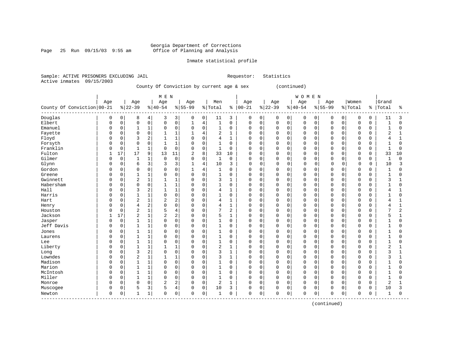Page 25 Run  $09/15/03$  9:55 am

#### Inmate statistical profile

Sample: ACTIVE PRISONERS EXCLUDING JAIL Requestor: Statistics Active inmates 09/15/2003

County Of Conviction by current age & sex (continued)

|                                  |              |             |                |                | M E N          |                |                |                |                |              |             |             |             |             | <b>WOMEN</b>   |             |             |             |          |          |                |                |
|----------------------------------|--------------|-------------|----------------|----------------|----------------|----------------|----------------|----------------|----------------|--------------|-------------|-------------|-------------|-------------|----------------|-------------|-------------|-------------|----------|----------|----------------|----------------|
|                                  | Age          |             | Age            |                | Age            |                | Age            |                | Men            |              | Age         |             | Age         |             | Age            |             | Age         |             | Women    |          | Grand          |                |
| County Of Conviction 00-21       |              |             | $ 22-39$       |                | $ 40-54$       |                | $8 55-99$      |                | % Total        | ႜ            | $00 - 21$   |             | $ 22-39$    |             | $ 40-54$       |             | $8 55-99$   |             | % Total  | ి        | Total          | ႜ              |
| Douglas                          | $\Omega$     | 0           | 8              | 4              | 3              | 3              | 0              | 0              | 11             | 3            | 0           | 0           | 0           | $\mathbf 0$ | 0              | 0           | 0           | 0           | 0        | 0        | 11             | 3              |
| Elbert                           | $\Omega$     | $\mathsf 0$ | $\mathbf 0$    | $\mathbf 0$    | 0              | $\mathbf 0$    | 1              | $\overline{4}$ | $\mathbf{1}$   | 0            | $\mathbf 0$ | $\mathbf 0$ | $\mathbf 0$ | $\mathsf 0$ | $\mathbf 0$    | $\mathbf 0$ | $\mathbf 0$ | $\mathbf 0$ | 0        | 0        |                | 0              |
| Emanuel                          | $\Omega$     | $\mathsf 0$ |                | $\mathbf{1}$   | $\Omega$       | $\mathbf 0$    | 0              | $\mathbf 0$    | $\mathbf 1$    | 0            | $\Omega$    | 0           | $\Omega$    | $\mathbf 0$ | $\mathbf 0$    | 0           | 0           | $\mathbf 0$ | 0        | 0        | 1              | $\Omega$       |
| Fayette                          |              | $\mathbf 0$ | $\Omega$       | $\Omega$       | $\mathbf{1}$   | 1              | $\mathbf{1}$   | $\overline{4}$ | 2              | $\mathbf{1}$ | $\Omega$    | $\Omega$    | $\Omega$    | $\Omega$    | $\Omega$       | $\Omega$    | $\Omega$    | $\Omega$    | $\Omega$ | 0        | 2              | $\mathbf{1}$   |
| Floyd                            | $\Omega$     | $\mathbf 0$ | 3              | $\overline{2}$ |                | $\mathbf{1}$   | $\Omega$       | $\mathbf 0$    | 4              | 1            | $\Omega$    | 0           | $\Omega$    | $\mathbf 0$ | $\mathbf 0$    | $\mathbf 0$ | $\cap$      | $\Omega$    | 0        | 0        | 4              | $\mathbf{1}$   |
| Forsyth                          |              | $\mathsf 0$ | $\Omega$       | $\mathbf 0$    |                | $\mathbf{1}$   | 0              | $\mathbf 0$    | 1              | 0            | $\Omega$    | 0           | O           | $\Omega$    | $\overline{0}$ | 0           | O           | $\Omega$    | $\Omega$ | 0        |                | $\Omega$       |
| Franklin                         |              | 0           | $\mathbf{1}$   | $\mathbf{1}$   | $\mathbf 0$    | $\mathbf 0$    | $\Omega$       | $\mathbf 0$    | $\mathbf{1}$   | 0            | $\Omega$    | $\Omega$    | $\Omega$    | $\Omega$    | $\mathbf 0$    | $\Omega$    | $\Omega$    | $\Omega$    | $\Omega$ | $\Omega$ |                | $\Omega$       |
| Fulton                           |              | 17          | 17             | 9              | 13             | 11             | $\overline{2}$ | 8              | 33             | 10           | $\Omega$    | $\Omega$    | $\Omega$    | $\Omega$    | $\Omega$       | $\Omega$    | $\Omega$    | $\Omega$    | $\Omega$ | 0        | 33             | 10             |
| Gilmer                           | <sup>0</sup> | $\mathbf 0$ | 1              | $\mathbf{1}$   | $\mathbf 0$    | $\Omega$       | 0              | $\mathbf 0$    | $\mathbf{1}$   | $\Omega$     | $\Omega$    | $\Omega$    | $\Omega$    | $\Omega$    | $\Omega$       | $\Omega$    | 0           | $\Omega$    | 0        | 0        | $\mathbf{1}$   | $\Omega$       |
| Glynn                            | 0            | $\mathbf 0$ | 6              | 3              | 3              | 3              |                | $\overline{4}$ | 10             | 3            | $\Omega$    | $\mathbf 0$ | $\Omega$    | $\mathbf 0$ | $\mathbf 0$    | 0           | 0           | 0           | 0        | 0        | 10             | 3              |
| Gordon                           | 0            | $\mathbf 0$ | $\Omega$       | $\mathbf 0$    | 0              | $\mathbf 0$    |                | 4              | 1              | $\Omega$     | $\Omega$    | 0           | 0           | $\Omega$    | $\mathbf 0$    | 0           | 0           | $\Omega$    | $\Omega$ | 0        |                | $\Omega$       |
| Greene                           | <sup>0</sup> | $\mathbf 0$ | 1              | $\mathbf{1}$   | $\Omega$       | $\Omega$       | 0              | $\mathbf 0$    | $\mathbf{1}$   | $\Omega$     | $\Omega$    | $\Omega$    | $\Omega$    | $\Omega$    | $\Omega$       | 0           | O           | $\Omega$    | $\Omega$ | 0        | $\mathbf{1}$   | $\Omega$       |
| Gwinnett                         | $\Omega$     | $\mathbf 0$ | $\overline{2}$ | $\mathbf{1}$   | 1              | 1              | $\Omega$       | $\mathbf 0$    | 3              | 1            | $\Omega$    | 0           | $\Omega$    | $\mathbf 0$ | $\mathbf 0$    | $\mathbf 0$ | $\Omega$    | $\Omega$    | 0        | 0        | 3              | $\mathbf{1}$   |
| Habersham                        | $\Omega$     | $\mathsf 0$ | $\Omega$       | $\mathbf 0$    |                | $\mathbf{1}$   | 0              | $\mathbf 0$    | 1              | 0            | $\Omega$    | 0           | $\Omega$    | $\mathbf 0$ | $\mathbf 0$    | $\Omega$    | O           | $\Omega$    | $\Omega$ | 0        |                | $\Omega$       |
| Hall                             | $\Omega$     | $\mathbf 0$ | 3              | $\overline{2}$ | $\mathbf{1}$   | $\mathbf{1}$   | $\Omega$       | $\mathbf 0$    | 4              | $\mathbf{1}$ | $\Omega$    | $\mathbf 0$ | $\Omega$    | $\Omega$    | $\mathbf 0$    | $\Omega$    | $\Omega$    | $\Omega$    | $\Omega$ | 0        | 4              | $\mathbf{1}$   |
| Harris                           | $\Omega$     | $\mathbf 0$ | $\mathbf{1}$   | $\mathbf{1}$   | $\Omega$       | $\Omega$       | 0              | $\mathbf 0$    | 1              | $\Omega$     | $\Omega$    | $\Omega$    | $\Omega$    | $\Omega$    | $\mathbf 0$    | $\Omega$    | $\Omega$    | $\cap$      | 0        | 0        |                | $\Omega$       |
| Hart                             | <sup>0</sup> | $\Omega$    | $\overline{c}$ | $\mathbf{1}$   | 2              | $\overline{2}$ | 0              | $\mathbf 0$    | 4              | 1            | $\Omega$    | $\Omega$    | $\Omega$    | $\Omega$    | $\mathbf 0$    | $\Omega$    | $\Omega$    | $\Omega$    | $\Omega$ | 0        | 4              | 1              |
| Henry                            |              | $\mathbf 0$ | 4              | $\overline{2}$ | $\overline{0}$ | $\mathbf 0$    | 0              | $\mathbf 0$    | $\overline{4}$ | $\mathbf{1}$ | $\mathbf 0$ | $\mathbf 0$ | 0           | $\mathbf 0$ | $\overline{0}$ | 0           | $\Omega$    | $\Omega$    | 0        | 0        | 4              | 1              |
| Houston                          |              | $\mathsf 0$ | $\overline{c}$ | $\mathbf{1}$   | 5              | $\overline{4}$ | 0              | $\mathbf 0$    | 7              | 2            | $\Omega$    | 0           | $\Omega$    | $\mathbf 0$ | $\overline{0}$ | 0           | O           | $\Omega$    | 0        | 0        | $\mathbf{r}$   | $\overline{2}$ |
| Jackson                          | 1            | 17          | $\overline{2}$ | 1              | $\overline{2}$ | 2              | $\Omega$       | $\mathbf 0$    | 5              | $\mathbf{1}$ | $\Omega$    | $\Omega$    | $\Omega$    | $\Omega$    | $\mathbf 0$    | $\Omega$    | O           | $\Omega$    | $\Omega$ | 0        | 5              | $\mathbf{1}$   |
| Jasper                           | $\Omega$     | 0           |                | $\mathbf{1}$   | 0              | $\mathbf 0$    | 0              | 0              | 1              | 0            | $\Omega$    | 0           | $\Omega$    | 0           | 0              | 0           | O           | $\Omega$    | 0        | 0        |                | $\Omega$       |
| Jeff Davis                       | $\Omega$     | $\mathsf 0$ |                | $\mathbf{1}$   | $\Omega$       | $\mathbf 0$    | 0              | $\mathbf 0$    | 1              | 0            | $\Omega$    | 0           | $\Omega$    | $\Omega$    | $\mathbf 0$    | $\Omega$    | 0           | $\Omega$    | $\Omega$ | 0        |                | $\Omega$       |
| Jones                            | <sup>0</sup> | 0           |                | $\mathbf{1}$   | 0              | $\mathbf 0$    | 0              | $\mathbf 0$    | 1              | 0            | $\Omega$    | 0           | O           | $\Omega$    | $\mathbf 0$    | $\Omega$    | O           | $\Omega$    | $\Omega$ | 0        |                | $\Omega$       |
| Laurens                          | $\Omega$     | $\mathbf 0$ | $\mathbf{1}$   | $\mathbf{1}$   | $\Omega$       | $\Omega$       | 0              | $\mathbf 0$    | $\mathbf{1}$   | O            | $\Omega$    | $\Omega$    | $\Omega$    | $\Omega$    | $\mathbf 0$    | $\Omega$    | $\Omega$    | $\Omega$    | $\Omega$ | O        |                | $\Omega$       |
| Lee                              | <sup>0</sup> | $\Omega$    | 1              | $\mathbf{1}$   | $\Omega$       | $\Omega$       | 0              | $\Omega$       | 1              | $\Omega$     | $\Omega$    | $\Omega$    | $\Omega$    | $\Omega$    | $\Omega$       | $\Omega$    | 0           | $\Omega$    | $\Omega$ | 0        | 1              | $\Omega$       |
| Liberty                          | <sup>0</sup> | $\mathbf 0$ |                | $\mathbf{1}$   | 1              | $\mathbf{1}$   | 0              | $\mathbf 0$    | $\overline{c}$ | $\mathbf{1}$ | $\Omega$    | 0           | $\Omega$    | $\mathbf 0$ | $\mathbf 0$    | $\mathbf 0$ | 0           | $\Omega$    | 0        | 0        | $\overline{2}$ | 1              |
| Long                             |              | $\mathsf 0$ | 3              | 2              | $\Omega$       | $\mathbf 0$    | $\Omega$       | $\mathsf 0$    | 3              | $\mathbf{1}$ | $\Omega$    | $\mathbf 0$ | $\Omega$    | $\mathbf 0$ | $\overline{0}$ | 0           | 0           | $\mathbf 0$ | $\Omega$ | 0        | 3              | $\mathbf{1}$   |
| Lowndes                          |              | 0           | 2              | $\mathbf{1}$   | $\mathbf{1}$   | $\mathbf{1}$   | $\Omega$       | $\mathbf 0$    | 3              | $\mathbf{1}$ | $\Omega$    | $\mathbf 0$ | $\Omega$    | $\mathbf 0$ | $\mathbf 0$    | 0           | O           | $\Omega$    | 0        | 0        | 3              | $\mathbf{1}$   |
| Madison                          | $\Omega$     | $\mathbf 0$ | $\mathbf{1}$   | $\mathbf{1}$   | 0              | $\Omega$       | 0              | $\mathbf 0$    | 1              | $\Omega$     | $\Omega$    | $\Omega$    | $\Omega$    | $\Omega$    | $\Omega$       | $\Omega$    | $\Omega$    | $\Omega$    | $\Omega$ | 0        | $\mathbf{1}$   | $\Omega$       |
| Marion                           | $\Omega$     | $\mathbf 0$ |                | $\mathbf{1}$   | 0              | $\mathbf 0$    | 0              | 0              | 1              | $\Omega$     | $\Omega$    | 0           | $\Omega$    | $\Omega$    | $\Omega$       | $\Omega$    | $\Omega$    | $\Omega$    | $\Omega$ | 0        |                | $\Omega$       |
| McIntosh                         | <sup>0</sup> | $\mathbf 0$ |                | $\mathbf{1}$   | 0              | $\mathbf 0$    | 0              | $\mathbf 0$    | $\mathbf{1}$   | 0            | $\Omega$    | 0           | $\Omega$    | $\mathbf 0$ | $\mathbf 0$    | 0           | n           | $\Omega$    | 0        | 0        |                | $\cap$         |
| Miller                           | $\Omega$     | $\mathbf 0$ | $\mathbf{1}$   | $\mathbf{1}$   | $\mathbf 0$    | $\Omega$       | $\Omega$       | $\mathbf 0$    | $\mathbf{1}$   | $\Omega$     | $\Omega$    | $\Omega$    | $\Omega$    | $\Omega$    | $\mathbf 0$    | $\mathbf 0$ | $\Omega$    | $\Omega$    | 0        | 0        | 1              | $\Omega$       |
| Monroe                           | 0            | $\mathbf 0$ | $\mathbf 0$    | $\mathbf 0$    | 2              | $\overline{2}$ | $\Omega$       | $\mathbf 0$    | 2              | 1            | $\Omega$    | $\mathbf 0$ | $\Omega$    | $\mathbf 0$ | $\mathbf 0$    | 0           | $\Omega$    | $\mathbf 0$ | 0        | 0        | 2              |                |
| Muscogee                         | $\Omega$     | $\mathbf 0$ | 5              | 3              | 5              | 4              | 0              | $\mathbf 0$    | 10             | 3            | $\Omega$    | 0           | O           | $\mathbf 0$ | 0              | 0           | 0           | 0           | 0        | 0        | 10             | 3              |
| Newton<br>---------------------- | 0            | $\mathsf 0$ |                | 1              | $\overline{0}$ | 0              | 0              | $\mathsf 0$    | 1              | 0            | $\mathbf 0$ | 0           | 0           | $\mathsf 0$ | $\mathbf 0$    | 0           | 0           | 0           | $\Omega$ | 0        |                | $\Omega$       |

(continued)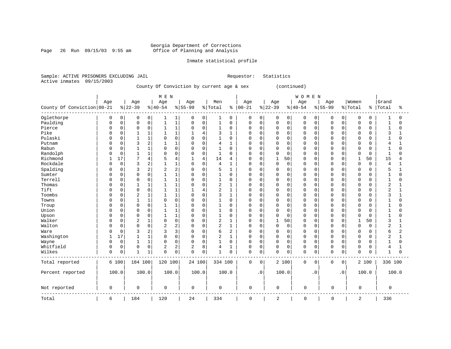### Georgia Department of Corrections

Page 26 Run 09/15/03 9:55 am Office of Planning and Analysis

#### Inmate statistical profile

Sample: ACTIVE PRISONERS EXCLUDING JAIL Requestor: Statistics Active inmates 09/15/2003

County Of Conviction by current age & sex (continued)

|                              |          |             |                |                | M E N        |                |           |             |                |              |               |           |             |             | WOMEN       |              |             |             |              |       |                |                |
|------------------------------|----------|-------------|----------------|----------------|--------------|----------------|-----------|-------------|----------------|--------------|---------------|-----------|-------------|-------------|-------------|--------------|-------------|-------------|--------------|-------|----------------|----------------|
|                              | Age      |             | Age            |                | Age          |                | Age       |             | Men            |              | Age           |           | Age         |             | Age         |              | Age         |             | Women        |       | Grand          |                |
| County Of Conviction   00-21 |          |             | $ 22-39$       |                | $ 40-54$     |                | $8 55-99$ |             | % Total        |              | $8   00 - 21$ |           | $ 22-39$    |             | $ 40-54$    |              | $8 55-99$   |             | % Total      | ి     | Total          | ႜ              |
| Oglethorpe                   | 0        | 0           | 0              | 0              | 1            | 1              | 0         | 0           | 1              | 0            | 0             | 0         | 0           | 0           | 0           | 0            | 0           | 0           | 0            | 0     |                | $\Omega$       |
| Paulding                     | $\Omega$ | $\mathsf 0$ | $\mathbf 0$    | $\mathsf 0$    | 1            | $1\,$          | 0         | $\mathbf 0$ | $\mathbf{1}$   | $\mathbf 0$  | $\mathbf 0$   | $\Omega$  | 0           | $\mathbf 0$ | $\mathbf 0$ | $\mathsf{O}$ | $\Omega$    | $\mathbf 0$ | 0            | 0     |                | $\Omega$       |
| Pierce                       |          | $\mathbf 0$ | 0              | 0              | 1            | $\mathbf 1$    | $\Omega$  | 0           | $\mathbf{1}$   | 0            | $\Omega$      | $\Omega$  | $\Omega$    | $\mathbf 0$ | $\mathbf 0$ | 0            | 0           | 0           | 0            | 0     |                | $\Omega$       |
| Pike                         |          | 0           |                | $\mathbf{1}$   | $\mathbf{1}$ | $\mathbf{1}$   |           | 4           | 3              | $\mathbf{1}$ | $\Omega$      | $\Omega$  | $\Omega$    | $\Omega$    | $\Omega$    | $\mathbf 0$  | O           | $\Omega$    | $\Omega$     | 0     | 3              | $\mathbf{1}$   |
| Pulaski                      |          | 0           |                | $\mathbf{1}$   | $\Omega$     | $\mathbf 0$    | $\Omega$  | $\Omega$    | 1              | 0            | $\Omega$      | 0         | 0           | 0           | 0           | $\mathbf 0$  | n           | 0           | 0            | 0     |                | $\Omega$       |
| Putnam                       |          | 0           | 3              | $\overline{2}$ |              | $\mathbf{1}$   | 0         | $\Omega$    | $\overline{4}$ |              | $\Omega$      | $\Omega$  | $\Omega$    | $\Omega$    | $\mathbf 0$ | 0            | O           | $\Omega$    | 0            | 0     | 4              |                |
| Rabun                        |          | $\Omega$    |                | $\mathbf{1}$   | $\Omega$     | $\mathbf 0$    | $\Omega$  | $\Omega$    | $\mathbf{1}$   | O            | $\Omega$      | $\Omega$  | $\mathbf 0$ | $\Omega$    | $\Omega$    | 0            | n           | $\Omega$    | $\Omega$     | O     |                | $\Omega$       |
| Randolph                     |          | $\mathbf 0$ |                | $\mathbf{1}$   | 0            | $\mathbf 0$    | $\Omega$  | $\Omega$    | $\mathbf{1}$   | O            | $\Omega$      | $\Omega$  | $\Omega$    | $\Omega$    | $\Omega$    | $\mathbf 0$  | $\Omega$    | $\Omega$    | 0            | 0     | $\mathbf{1}$   | $\Omega$       |
| Richmond                     |          | 17          | 7              | $\overline{4}$ | 5            | $\overline{4}$ |           | 4           | 14             | 4            | $\Omega$      | $\Omega$  | 1           | 50          | $\Omega$    | 0            | 0           | $\Omega$    | 1            | 50    | 15             | 4              |
| Rockdale                     |          | $\mathbf 0$ | 3              | $\overline{2}$ |              | $\mathbf{1}$   | 0         | $\mathbf 0$ | $\overline{4}$ |              | $\mathbf 0$   | 0         | $\mathbf 0$ | $\mathbf 0$ | $\mathbf 0$ | 0            | 0           | 0           | 0            | 0     | 4              | 1              |
| Spalding                     |          | $\mathbf 0$ | 3              | $\overline{2}$ | 2            | $\overline{c}$ | 0         | $\mathbf 0$ | 5              |              | $\Omega$      | $\Omega$  | $\Omega$    | $\Omega$    | 0           | 0            | 0           | 0           | 0            | 0     | 5              | $\mathbf{1}$   |
| Sumter                       |          | $\mathbf 0$ | 0              | $\Omega$       |              | $\mathbf{1}$   | $\Omega$  | $\Omega$    | $\mathbf{1}$   | 0            | $\Omega$      | $\Omega$  | $\Omega$    | $\Omega$    | $\Omega$    | 0            | O           | $\Omega$    | $\Omega$     | 0     |                | $\Omega$       |
| Terrell                      |          | 0           | $\Omega$       | $\mathbf 0$    | $\mathbf{1}$ | $\mathbf{1}$   | $\Omega$  | $\Omega$    | $\mathbf{1}$   | 0            | $\Omega$      | $\Omega$  | $\mathbf 0$ | $\mathbf 0$ | $\mathbf 0$ | $\mathbf 0$  | $\Omega$    | $\Omega$    | 0            | 0     | 1              | $\Omega$       |
| Thomas                       |          | 0           |                | 1              |              | $\mathbf{1}$   | 0         | $\Omega$    | $\overline{2}$ |              | 0             | $\Omega$  | 0           | $\Omega$    | $\mathbf 0$ | 0            | O           | $\Omega$    | 0            | 0     | 2              |                |
| Tift                         |          | $\Omega$    | $\Omega$       | $\mathbf 0$    |              | $\mathbf{1}$   | 1         | 4           | $\overline{2}$ | 1            | $\Omega$      | $\Omega$  | $\Omega$    | $\Omega$    | $\Omega$    | 0            | n           | $\Omega$    | $\Omega$     | 0     | 2              | 1              |
| Toombs                       |          | 0           | $\overline{2}$ | 1              | 1            | 1              | $\Omega$  | $\Omega$    | 3              | 1            | $\Omega$      | $\Omega$  | $\Omega$    | $\Omega$    | $\Omega$    | $\mathbf 0$  | O           | $\Omega$    | 0            | 0     | 3              | 1              |
| Towns                        |          | $\Omega$    |                | $\mathbf{1}$   | 0            | $\mathbf 0$    | $\Omega$  | $\Omega$    | $\mathbf{1}$   | $\Omega$     | $\Omega$      | $\Omega$  | $\Omega$    | $\Omega$    | $\Omega$    | $\mathbf 0$  | O           | $\Omega$    | $\Omega$     | 0     |                | $\Omega$       |
| Troup                        |          | 0           | $\mathbf 0$    | $\mathbf 0$    | 1            | $\mathbf{1}$   | 0         | $\mathbf 0$ | $\mathbf{1}$   | 0            | $\Omega$      | $\Omega$  | $\Omega$    | $\Omega$    | $\mathbf 0$ | $\mathbf 0$  | 0           | 0           | 0            | 0     |                | $\Omega$       |
| Union                        |          | 0           | 0              | $\mathbf 0$    |              | $\mathbf{1}$   | $\Omega$  | $\Omega$    | $\mathbf{1}$   | 0            | $\Omega$      | $\Omega$  | $\Omega$    | $\mathbf 0$ | $\mathbf 0$ | 0            | O           | $\Omega$    | 0            | 0     |                | $\Omega$       |
| Upson                        |          | 0           | $\Omega$       | $\Omega$       | 1            | $\mathbf{1}$   | $\Omega$  | $\Omega$    | $\mathbf{1}$   | 0            | $\Omega$      | $\Omega$  | $\mathbf 0$ | $\Omega$    | $\Omega$    | 0            | n           | $\Omega$    | $\Omega$     | 0     | 1              | $\Omega$       |
| Walker                       |          | 0           | 2              | 1              | $\Omega$     | $\mathbf 0$    | 0         | $\Omega$    | $\sqrt{2}$     | 1            | $\Omega$      | 0         | 1           | 50          | $\Omega$    | 0            | O           | 0           | $\mathbf{1}$ | 50    | 3              |                |
| Walton                       |          | $\mathbf 0$ | $\Omega$       | $\mathbf 0$    | 2            | $\overline{a}$ | $\Omega$  | 0           | $\overline{c}$ | 1            | $\Omega$      | $\Omega$  | 0           | $\mathbf 0$ | 0           | 0            | 0           | $\Omega$    | $\Omega$     | 0     | $\overline{2}$ | $\mathbf{1}$   |
| Ware                         |          | $\mathbf 0$ | 3              | 2              | 3            | 3              | 0         | $\mathbf 0$ | 6              | 2            | $\Omega$      | $\Omega$  | $\Omega$    | $\Omega$    | $\mathbf 0$ | 0            | O           | $\Omega$    | 0            | 0     | 6              | $\overline{2}$ |
| Washington                   |          | 17          | $\mathbf{1}$   | $\mathbf{1}$   | $\Omega$     | $\mathbf 0$    | $\Omega$  | $\cap$      | $\overline{2}$ | $\mathbf{1}$ | $\Omega$      | $\Omega$  | 0           | $\Omega$    | $\Omega$    | 0            | $\Omega$    | $\Omega$    | $\Omega$     | O     | $\overline{2}$ | 1              |
| Wayne                        | U        | $\Omega$    |                | $\mathbf{1}$   | $\Omega$     | $\mathbf 0$    | 0         | $\Omega$    | $\mathbf{1}$   | 0            | $\Omega$      | 0         | $\Omega$    | $\Omega$    | $\Omega$    | $\mathbf 0$  | $\Omega$    | $\Omega$    | $\Omega$     | 0     | 1              | $\Omega$       |
| Whitfield                    | U        | $\mathbf 0$ | $\mathbf 0$    | $\mathbf 0$    | 2            | $\overline{c}$ | 2         | 8           | $\overline{4}$ | 1            | 0             | 0         | $\mathbf 0$ | $\mathbf 0$ | $\mathbf 0$ | $\mathbf 0$  | 0           | 0           | 0            | 0     | 4              | $\mathbf{1}$   |
| Wilkes                       | 0        | $\mathsf 0$ |                | 1              | $\Omega$     | $\mathsf 0$    | 0         | $\mathsf 0$ | $\mathbf{1}$   | 0            | $\mathbf 0$   | 0         | $\mathbf 0$ | $\mathsf 0$ | $\Omega$    | 0            | $\Omega$    | 0           | 0            | 0     |                | $\Omega$       |
| Total reported               |          | 6 100       | 184 100        |                | 120 100      |                | 24 100    |             | 334 100        |              | $\mathbf 0$   | 0         |             | 2 100       | $\mathbf 0$ | $\mathbf 0$  | $\mathbf 0$ | 0           |              | 2 100 | 336 100        |                |
| Percent reported             |          | 100.0       | 100.0          |                | 100.0        |                | 100.0     |             | 100.0          |              |               | $\cdot$ 0 |             | 100.0       |             | $\cdot$ 0    |             | $\cdot$ 0   |              | 100.0 |                | 100.0          |
| Not reported                 | 0        |             | 0              |                | 0            |                | 0         |             | 0              |              | $\mathbf 0$   |           | 0           |             | $\mathbf 0$ |              | 0           |             | $\mathbf 0$  |       | 0              |                |
| Total                        | 6        |             | 184            |                | 120          |                | 24        |             | 334            |              | $\mathbf 0$   |           | 2           |             | $\mathbf 0$ |              | 0           |             | 2            |       | 336            |                |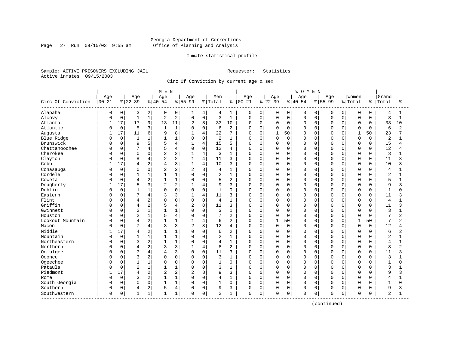Page 27 Run  $09/15/03$  9:55 am

#### Inmate statistical profile

Sample: ACTIVE PRISONERS EXCLUDING JAIL Requestor: Statistics Active inmates 09/15/2003

Circ Of Conviction by current age & sex

| Age<br>Age<br>Women<br>Grand<br>Age<br>Age<br>Age<br>Men<br>Age<br>Age<br>Age<br>Circ Of Conviction<br>$00 - 21$<br>$ 22-39$<br>$8 40-54$<br>$8 55-99$<br>% Total<br>$ 00 - 21$<br>$ 22-39$<br>$ 40-54$<br>$8 55-99$<br>% Total<br>Total<br>ႜ<br>နွ<br>ႜ<br>Alapaha<br>$\mathbf 0$<br>2<br>0<br>$\mathbf 0$<br>0<br>$\overline{0}$<br>0<br>3<br>0<br>4<br>4<br>1<br>0<br>0<br>0<br>0<br>0<br>0<br>0<br>4<br>1<br>1<br>$\mathbf 1$<br>2<br>$\mathsf 0$<br>$\mathbf 1$<br>Alcovy<br>$\mathbf 0$<br>$\mathbf{1}$<br>$\overline{2}$<br>$\mathbf 0$<br>3<br>0<br>$\mathbf 0$<br>$\mathsf 0$<br>$\mathbf 0$<br>$\mathbf 0$<br>$\mathbf 0$<br>3<br>0<br>$\mathbf 0$<br>0<br>$\mathbf 0$<br>$\mathbf{1}$<br>C<br>9<br>17<br>17<br>8<br>33<br>Atlanta<br>13<br>11<br>2<br>33<br>10<br>0<br>$\mathbf 0$<br>0<br>$\mathbf 0$<br>$\mathbf 0$<br>$\Omega$<br>$\mathbf 0$<br>10<br>0<br>$\Omega$<br>0<br>1<br>Atlantic<br>$\mathbf 0$<br>5<br>3<br>$\mathbf{1}$<br>$\mathbf 0$<br>2<br>$\mathbf{1}$<br>6<br>$\mathbf 0$<br>$\Omega$<br>$\mathbf 0$<br>$\mathbf 0$<br>$\Omega$<br>$\Omega$<br>$\Omega$<br>6<br>$\overline{2}$<br>$\Omega$<br>O<br>$\Omega$<br>$\Omega$<br>C<br>17<br>6<br>8<br>23<br>Augusta<br>11<br>9<br>$\overline{4}$<br>22<br>7<br>$\mathbf 0$<br>$\mathbf{1}$<br>50<br>$\mathbf{1}$<br>50<br>1<br>U<br>U<br>$\Omega$<br>U<br>U<br>$\mathbf 0$<br>$\mathbf 0$<br>1<br>Blue Ridge<br>$\mathbf{1}$<br>1<br>$\mathbf 0$<br>2<br>$\mathbf{1}$<br>$\mathbf 0$<br>0<br>$\mathbf 0$<br>0<br>$\mathbf 0$<br>$\Omega$<br>$\overline{2}$<br>0<br>0<br>$\Omega$<br>0<br>1<br>C<br>5<br>Brunswick<br>15<br>15<br>$\mathbf 0$<br>9<br>4<br>$\mathbf{1}$<br>4<br>5<br>$\mathbf 0$<br>$\mathbf 0$<br>0<br>0<br>$\mathbf 0$<br>0<br>0<br>$\Omega$<br>0<br>0<br>4<br>C<br>Chattahoochee<br>7<br>$\mathbf 0$<br>12<br>12<br>0<br>4<br>5<br>$\Omega$<br>4<br>0<br>$\mathbf 0$<br>0<br>O<br>$\Omega$<br>$\Omega$<br>$\Omega$<br>4<br>0<br>0<br>0<br>C<br>Cherokee<br>$\overline{2}$<br>$\overline{4}$<br>3<br>0<br>3<br>$\mathbf 0$<br>0<br>0<br>$\Omega$<br>2<br>1<br>0<br>0<br>0<br>$\Omega$<br>$\Omega$<br>O<br>$\Omega$<br>0<br>2<br>Clayton<br>8<br>$\overline{4}$<br>11<br>$\mathbf 0$<br>$\mathbf 0$<br>$\Omega$<br>11<br>0<br>4<br>$\mathbf{1}$<br>3<br>0<br>$\Omega$<br>$\Omega$<br>$\Omega$<br>$\Omega$<br>$\Omega$<br>$\mathbf 0$<br>ς<br>3<br>17<br>2<br>4<br>Cobb<br>10<br>$\mathbf 0$<br>$\Omega$<br>$\Omega$<br>10<br>$\mathbf{1}$<br>3<br>0<br>$\Omega$<br>$\Omega$<br>$\Omega$<br>$\Omega$<br>$\Omega$<br>$\Omega$<br>ζ<br>4<br>4<br>2<br>8<br>$\mathbf 0$<br>0<br>$\Omega$<br>$\overline{2}$<br>2<br>$\mathbf{1}$<br>$\mathbf 0$<br>$\Omega$<br>0<br>0<br>Conasauga<br>4<br>0<br>0<br>$\Omega$<br>$\Omega$<br>$\Omega$<br>4<br>$\Omega$<br>С<br>Cordele<br>$\mathbf 0$<br>1<br>$\mathsf 0$<br>$\overline{2}$<br>$\mathbf{1}$<br>$\mathbf 0$<br>$\Omega$<br>$\overline{c}$<br>$\mathbf{1}$<br>1<br>$\Omega$<br>0<br>0<br>0<br>0<br>$\mathbf 0$<br>0<br>$\Omega$<br>$\Omega$<br>2<br>1<br>$\mathbf 0$<br>2<br>5<br>Coweta<br>0<br>$\overline{4}$<br>$\mathbf{1}$<br>5<br>0<br>$\mathbf 0$<br>$\Omega$<br>0<br>$\Omega$<br>$\Omega$<br>0<br>$\Omega$<br>$\Omega$<br>O<br>$\Omega$<br>Dougherty<br>3<br>2<br>17<br>5<br>$\overline{4}$<br>9<br>3<br>$\mathbf 0$<br>0<br>9<br>0<br>0<br>0<br>$\Omega$<br>$\Omega$<br>O<br>$\Omega$<br>0<br>3<br>Dublin<br>$\mathbf 0$<br>1<br>0<br>$\mathbf 0$<br>$\mathbf 0$<br>$\Omega$<br>$\mathbf{1}$<br>$\Omega$<br>$\Omega$<br>$\mathbf{1}$<br>0<br>0<br>0<br>0<br>$\Omega$<br>$\Omega$<br>$\Omega$<br>O<br>0<br>$\mathbf{1}$<br>7<br>3<br>$\overline{4}$<br>$\Omega$<br>4<br>11<br>$\Omega$<br>0<br>$\Omega$<br>Eastern<br>3<br>$\mathbf{1}$<br>3<br>0<br>$\Omega$<br>$\Omega$<br>$\Omega$<br>$\Omega$<br>0<br>$\Omega$<br>11<br>3<br>2<br>$\mathbf 0$<br>Flint<br>$\Omega$<br>$\mathbf 0$<br>$\overline{4}$<br>0<br>$\Omega$<br>4<br>$\mathbf{1}$<br>0<br>0<br>$\Omega$<br>0<br>$\Omega$<br>$\Omega$<br>0<br>$\Omega$<br>$\Omega$<br>4<br>$\Omega$<br>C<br>Griffin<br>2<br>$\overline{c}$<br>8<br>3<br>$\mathbf 0$<br>0<br>$\Omega$<br>4<br>11<br>O<br>$\Omega$<br>$\Omega$<br>$\Omega$<br>$\Omega$<br>0<br>$\Omega$<br>$\Omega$<br>11<br>4<br>3<br>C<br>$\overline{2}$<br>$\mathbf{1}$<br>$\mathbf 0$<br>3<br>Gwinnett<br>$\Omega$<br>$\mathbf{1}$<br>$\mathbf{1}$<br>$\Omega$<br>3<br>$\mathbf 1$<br>O<br>$\mathbf 0$<br>$\Omega$<br>$\Omega$<br>0<br>$\Omega$<br>$\Omega$<br>$\Omega$<br>$\Omega$<br>C<br>0<br>$\mathbf{1}$<br>Houston<br>2<br>1<br>$\mathbf 0$<br>2<br>$\Omega$<br>7<br>$\overline{2}$<br>0<br>5<br>4<br>7<br>0<br>$\mathbf 0$<br>$\mathbf 0$<br>$\Omega$<br>$\Omega$<br>$\Omega$<br>0<br>$\Omega$<br>O<br>$\Omega$<br>2<br>$\overline{4}$<br>$\mathbf 0$<br>$\mathbf{1}$<br>7<br>Lookout Mountain<br>$\Omega$<br>$\overline{4}$<br>$\mathbf{1}$<br>1<br>$\mathbf{1}$<br>6<br>2<br>O<br>50<br>$\Omega$<br>$\Omega$<br>$\Omega$<br>$\cap$<br>1<br>50<br>$\overline{2}$<br>C<br>3<br>7<br>4<br>$\overline{2}$<br>8<br>0<br>3<br>12<br>$\mathbf 0$<br>$\Omega$<br>$\mathbf 0$<br>$\mathbf 0$<br>$\Omega$<br>$\mathbf 0$<br>$\Omega$<br>12<br>Macon<br>4<br>0<br>$\Omega$<br>0<br>4<br>C<br>Middle<br>2<br>$\mathbf 0$<br>17<br>1<br>2<br>$\mathbf 0$<br>$\Omega$<br>6<br>0<br>$\Omega$<br>0<br>$\Omega$<br>0<br>6<br>2<br>0<br>$\Omega$<br>$\Omega$<br>$\Omega$<br>4<br>1<br>Mountain<br>$\mathbf 0$<br>$\mathbf{1}$<br>$\mathbf 1$<br>$\mathsf 0$<br>$\overline{2}$<br>$\mathbf{1}$<br>$\mathbf 0$<br>$\Omega$<br>$\Omega$<br>$\overline{2}$<br>$\Omega$<br>0<br>$\Omega$<br>0<br>0<br>$\Omega$<br>0<br>$\Omega$<br>С<br>2<br>Northeastern<br>$\Omega$<br>3<br>$\mathbf{1}$<br>1<br>$\Omega$<br>$\mathbf{1}$<br>$\mathbf 0$<br>$\Omega$<br>O<br>$\Omega$<br>$\Omega$<br>$\Omega$<br>$\Omega$<br>$\Omega$<br>$\overline{4}$<br>$\Omega$<br>4<br>$\Omega$<br>0<br>$\mathbf{1}$<br>2<br>Northern<br>3<br>$\overline{4}$<br>$\Omega$<br>8<br>2<br>$\mathbf 0$<br>0<br>$\Omega$<br>8<br>$\overline{2}$<br>4<br>0<br>0<br>$\Omega$<br>$\Omega$<br>$\Omega$<br>O<br>$\Omega$<br>C<br>Ocmulgee<br>7<br>4<br>3<br>$\mathbf 0$<br>$\Omega$<br>11<br>3<br>O<br>$\mathbf 0$<br>$\Omega$<br>$\Omega$<br>$\mathbf 0$<br>$\Omega$<br>11<br>ς<br>$\Omega$<br>$\Omega$<br><sup>0</sup><br>U<br>$\Omega$<br>4<br>3<br>2<br>$\Omega$<br>$\mathbf 0$<br>Oconee<br>$\Omega$<br>$\Omega$<br>3<br>$\mathbf{1}$<br>$\mathbf 0$<br>$\Omega$<br>$\Omega$<br>0<br>$\Omega$<br>$\Omega$<br>3<br>0<br>$\Omega$<br>$\Omega$<br>$\Omega$<br>U<br>C<br>Ogeechee<br>1<br>$\Omega$<br>$\mathsf 0$<br>0<br>$\mathbf{1}$<br>$\mathbf 0$<br>$\mathbf 0$<br>$\Omega$<br>0<br>0<br>$\mathbf 0$<br>$\Omega$<br>$\Omega$<br>1<br>0<br>0<br>$\Omega$<br>0<br>$\Omega$<br>1<br>O<br>C<br>$\overline{2}$<br>Pataula<br>$\mathbf 1$<br>$\mathbf 0$<br>3<br>0<br>$\mathbf{1}$<br>1<br>0<br>3<br>1<br>0<br>$\Omega$<br>0<br>$\Omega$<br>$\mathbf 0$<br>$\Omega$<br>0<br>$\Omega$<br>$\Omega$<br>$\Omega$<br>Piedmont<br>2<br>2<br>8<br>17<br>$\overline{c}$<br>$\overline{2}$<br>9<br>3<br>$\mathbf 0$<br>$\mathbf 0$<br>9<br>0<br>0<br>0<br>0<br>$\Omega$<br>0<br>$\Omega$<br>3<br>4<br>$\Omega$<br>2<br>$\mathbf 0$<br>$\mathbf 0$<br>3<br>1<br>$\mathbf 0$<br>0<br>$\mathbf 0$<br>$\Omega$<br>$\Omega$<br>1<br>0<br>0<br>$\Omega$<br>$\Omega$<br>O<br>4<br>Rome<br>4<br>$\Omega$<br>C<br>South Georgia<br>0<br>0<br>1<br>$\mathbf 0$<br>$\Omega$<br>$\Omega$<br>$\mathbf{1}$<br>$\Omega$<br>$\mathbf{1}$<br>$\Omega$<br>0<br>$\mathbf 0$<br>$\Omega$<br>$\Omega$<br>$\Omega$<br>$\Omega$<br>0<br>$\Omega$<br>$\mathbf{1}$<br>$\Omega$<br>$\Omega$<br>C<br>Southern<br>2<br>4<br>$\mathbf 0$<br>0<br>9<br>3<br>$\mathbf 0$<br>0<br>$\mathbf 0$<br>0<br>9<br>5<br>$\Omega$<br>0<br>0<br>$\Omega$<br>$\Omega$<br>$\Omega$<br>3<br>C<br>4<br>O<br>0<br>Southwestern<br>1<br>1<br>0<br>$\overline{2}$<br>0<br>$\mathbf 0$<br>0<br>$\mathbf 0$<br>0<br>$\Omega$<br>2<br>0<br>$\mathbf{1}$<br>1<br>1<br>0<br>0<br>$\Omega$<br>$\Omega$<br>O |  |  | MEN |  |  |  |  | <b>WOMEN</b> |  |  |  |  |
|---------------------------------------------------------------------------------------------------------------------------------------------------------------------------------------------------------------------------------------------------------------------------------------------------------------------------------------------------------------------------------------------------------------------------------------------------------------------------------------------------------------------------------------------------------------------------------------------------------------------------------------------------------------------------------------------------------------------------------------------------------------------------------------------------------------------------------------------------------------------------------------------------------------------------------------------------------------------------------------------------------------------------------------------------------------------------------------------------------------------------------------------------------------------------------------------------------------------------------------------------------------------------------------------------------------------------------------------------------------------------------------------------------------------------------------------------------------------------------------------------------------------------------------------------------------------------------------------------------------------------------------------------------------------------------------------------------------------------------------------------------------------------------------------------------------------------------------------------------------------------------------------------------------------------------------------------------------------------------------------------------------------------------------------------------------------------------------------------------------------------------------------------------------------------------------------------------------------------------------------------------------------------------------------------------------------------------------------------------------------------------------------------------------------------------------------------------------------------------------------------------------------------------------------------------------------------------------------------------------------------------------------------------------------------------------------------------------------------------------------------------------------------------------------------------------------------------------------------------------------------------------------------------------------------------------------------------------------------------------------------------------------------------------------------------------------------------------------------------------------------------------------------------------------------------------------------------------------------------------------------------------------------------------------------------------------------------------------------------------------------------------------------------------------------------------------------------------------------------------------------------------------------------------------------------------------------------------------------------------------------------------------------------------------------------------------------------------------------------------------------------------------------------------------------------------------------------------------------------------------------------------------------------------------------------------------------------------------------------------------------------------------------------------------------------------------------------------------------------------------------------------------------------------------------------------------------------------------------------------------------------------------------------------------------------------------------------------------------------------------------------------------------------------------------------------------------------------------------------------------------------------------------------------------------------------------------------------------------------------------------------------------------------------------------------------------------------------------------------------------------------------------------------------------------------------------------------------------------------------------------------------------------------------------------------------------------------------------------------------------------------------------------------------------------------------------------------------------------------------------------------------------------------------------------------------------------------------------------------------------------------------------------------------------------------------------------------------------------------------------------------------------------------------------------------------------------------------------------------------------------------------------------------------------------------------------------------------------------------------------------------------------------------------------------------------------------------------------------------------------------------------------------------------------------------------------------------------------------------------------------------------------------------------------------------------------------------------------------------------------------------------------------------------------------------------------------------------------------------------------------------------------------------------------------------------------------------------------------------------------------------------------------------------------------------------------------------------------------------------------------------------------------------------------------------------------------------------------------------------------------------------------------------------------------------------------------------------------------------------------------------------------------------------------------------------------------------------------------------------------------------------------------------------------------------------------------------------------------------------------------------------------------------------------------------------------------------------------------------------------------------------------------------------------------------------------------------------------------------------------------------------------------------------------------------------------------------------------------------------------------------------------------------------------------------------------------------------------------------------------------------------------------------------------------------------------------------------------------------------------------------------------------------------------------------------------------------------------------------------------------------------------------------------------------------------------------------------------------------------------------------------------------------------------------------------------------------------------------------------------------------------------------------------------------------------------------|--|--|-----|--|--|--|--|--------------|--|--|--|--|
|                                                                                                                                                                                                                                                                                                                                                                                                                                                                                                                                                                                                                                                                                                                                                                                                                                                                                                                                                                                                                                                                                                                                                                                                                                                                                                                                                                                                                                                                                                                                                                                                                                                                                                                                                                                                                                                                                                                                                                                                                                                                                                                                                                                                                                                                                                                                                                                                                                                                                                                                                                                                                                                                                                                                                                                                                                                                                                                                                                                                                                                                                                                                                                                                                                                                                                                                                                                                                                                                                                                                                                                                                                                                                                                                                                                                                                                                                                                                                                                                                                                                                                                                                                                                                                                                                                                                                                                                                                                                                                                                                                                                                                                                                                                                                                                                                                                                                                                                                                                                                                                                                                                                                                                                                                                                                                                                                                                                                                                                                                                                                                                                                                                                                                                                                                                                                                                                                                                                                                                                                                                                                                                                                                                                                                                                                                                                                                                                                                                                                                                                                                                                                                                                                                                                                                                                                                                                                                                                                                                                                                                                                                                                                                                                                                                                                                                                                                                                                                                                                                                                                                                                                                                                                                                                                                                                                                                                                                                                                   |  |  |     |  |  |  |  |              |  |  |  |  |
|                                                                                                                                                                                                                                                                                                                                                                                                                                                                                                                                                                                                                                                                                                                                                                                                                                                                                                                                                                                                                                                                                                                                                                                                                                                                                                                                                                                                                                                                                                                                                                                                                                                                                                                                                                                                                                                                                                                                                                                                                                                                                                                                                                                                                                                                                                                                                                                                                                                                                                                                                                                                                                                                                                                                                                                                                                                                                                                                                                                                                                                                                                                                                                                                                                                                                                                                                                                                                                                                                                                                                                                                                                                                                                                                                                                                                                                                                                                                                                                                                                                                                                                                                                                                                                                                                                                                                                                                                                                                                                                                                                                                                                                                                                                                                                                                                                                                                                                                                                                                                                                                                                                                                                                                                                                                                                                                                                                                                                                                                                                                                                                                                                                                                                                                                                                                                                                                                                                                                                                                                                                                                                                                                                                                                                                                                                                                                                                                                                                                                                                                                                                                                                                                                                                                                                                                                                                                                                                                                                                                                                                                                                                                                                                                                                                                                                                                                                                                                                                                                                                                                                                                                                                                                                                                                                                                                                                                                                                                                   |  |  |     |  |  |  |  |              |  |  |  |  |
|                                                                                                                                                                                                                                                                                                                                                                                                                                                                                                                                                                                                                                                                                                                                                                                                                                                                                                                                                                                                                                                                                                                                                                                                                                                                                                                                                                                                                                                                                                                                                                                                                                                                                                                                                                                                                                                                                                                                                                                                                                                                                                                                                                                                                                                                                                                                                                                                                                                                                                                                                                                                                                                                                                                                                                                                                                                                                                                                                                                                                                                                                                                                                                                                                                                                                                                                                                                                                                                                                                                                                                                                                                                                                                                                                                                                                                                                                                                                                                                                                                                                                                                                                                                                                                                                                                                                                                                                                                                                                                                                                                                                                                                                                                                                                                                                                                                                                                                                                                                                                                                                                                                                                                                                                                                                                                                                                                                                                                                                                                                                                                                                                                                                                                                                                                                                                                                                                                                                                                                                                                                                                                                                                                                                                                                                                                                                                                                                                                                                                                                                                                                                                                                                                                                                                                                                                                                                                                                                                                                                                                                                                                                                                                                                                                                                                                                                                                                                                                                                                                                                                                                                                                                                                                                                                                                                                                                                                                                                                   |  |  |     |  |  |  |  |              |  |  |  |  |
|                                                                                                                                                                                                                                                                                                                                                                                                                                                                                                                                                                                                                                                                                                                                                                                                                                                                                                                                                                                                                                                                                                                                                                                                                                                                                                                                                                                                                                                                                                                                                                                                                                                                                                                                                                                                                                                                                                                                                                                                                                                                                                                                                                                                                                                                                                                                                                                                                                                                                                                                                                                                                                                                                                                                                                                                                                                                                                                                                                                                                                                                                                                                                                                                                                                                                                                                                                                                                                                                                                                                                                                                                                                                                                                                                                                                                                                                                                                                                                                                                                                                                                                                                                                                                                                                                                                                                                                                                                                                                                                                                                                                                                                                                                                                                                                                                                                                                                                                                                                                                                                                                                                                                                                                                                                                                                                                                                                                                                                                                                                                                                                                                                                                                                                                                                                                                                                                                                                                                                                                                                                                                                                                                                                                                                                                                                                                                                                                                                                                                                                                                                                                                                                                                                                                                                                                                                                                                                                                                                                                                                                                                                                                                                                                                                                                                                                                                                                                                                                                                                                                                                                                                                                                                                                                                                                                                                                                                                                                                   |  |  |     |  |  |  |  |              |  |  |  |  |
|                                                                                                                                                                                                                                                                                                                                                                                                                                                                                                                                                                                                                                                                                                                                                                                                                                                                                                                                                                                                                                                                                                                                                                                                                                                                                                                                                                                                                                                                                                                                                                                                                                                                                                                                                                                                                                                                                                                                                                                                                                                                                                                                                                                                                                                                                                                                                                                                                                                                                                                                                                                                                                                                                                                                                                                                                                                                                                                                                                                                                                                                                                                                                                                                                                                                                                                                                                                                                                                                                                                                                                                                                                                                                                                                                                                                                                                                                                                                                                                                                                                                                                                                                                                                                                                                                                                                                                                                                                                                                                                                                                                                                                                                                                                                                                                                                                                                                                                                                                                                                                                                                                                                                                                                                                                                                                                                                                                                                                                                                                                                                                                                                                                                                                                                                                                                                                                                                                                                                                                                                                                                                                                                                                                                                                                                                                                                                                                                                                                                                                                                                                                                                                                                                                                                                                                                                                                                                                                                                                                                                                                                                                                                                                                                                                                                                                                                                                                                                                                                                                                                                                                                                                                                                                                                                                                                                                                                                                                                                   |  |  |     |  |  |  |  |              |  |  |  |  |
|                                                                                                                                                                                                                                                                                                                                                                                                                                                                                                                                                                                                                                                                                                                                                                                                                                                                                                                                                                                                                                                                                                                                                                                                                                                                                                                                                                                                                                                                                                                                                                                                                                                                                                                                                                                                                                                                                                                                                                                                                                                                                                                                                                                                                                                                                                                                                                                                                                                                                                                                                                                                                                                                                                                                                                                                                                                                                                                                                                                                                                                                                                                                                                                                                                                                                                                                                                                                                                                                                                                                                                                                                                                                                                                                                                                                                                                                                                                                                                                                                                                                                                                                                                                                                                                                                                                                                                                                                                                                                                                                                                                                                                                                                                                                                                                                                                                                                                                                                                                                                                                                                                                                                                                                                                                                                                                                                                                                                                                                                                                                                                                                                                                                                                                                                                                                                                                                                                                                                                                                                                                                                                                                                                                                                                                                                                                                                                                                                                                                                                                                                                                                                                                                                                                                                                                                                                                                                                                                                                                                                                                                                                                                                                                                                                                                                                                                                                                                                                                                                                                                                                                                                                                                                                                                                                                                                                                                                                                                                   |  |  |     |  |  |  |  |              |  |  |  |  |
|                                                                                                                                                                                                                                                                                                                                                                                                                                                                                                                                                                                                                                                                                                                                                                                                                                                                                                                                                                                                                                                                                                                                                                                                                                                                                                                                                                                                                                                                                                                                                                                                                                                                                                                                                                                                                                                                                                                                                                                                                                                                                                                                                                                                                                                                                                                                                                                                                                                                                                                                                                                                                                                                                                                                                                                                                                                                                                                                                                                                                                                                                                                                                                                                                                                                                                                                                                                                                                                                                                                                                                                                                                                                                                                                                                                                                                                                                                                                                                                                                                                                                                                                                                                                                                                                                                                                                                                                                                                                                                                                                                                                                                                                                                                                                                                                                                                                                                                                                                                                                                                                                                                                                                                                                                                                                                                                                                                                                                                                                                                                                                                                                                                                                                                                                                                                                                                                                                                                                                                                                                                                                                                                                                                                                                                                                                                                                                                                                                                                                                                                                                                                                                                                                                                                                                                                                                                                                                                                                                                                                                                                                                                                                                                                                                                                                                                                                                                                                                                                                                                                                                                                                                                                                                                                                                                                                                                                                                                                                   |  |  |     |  |  |  |  |              |  |  |  |  |
|                                                                                                                                                                                                                                                                                                                                                                                                                                                                                                                                                                                                                                                                                                                                                                                                                                                                                                                                                                                                                                                                                                                                                                                                                                                                                                                                                                                                                                                                                                                                                                                                                                                                                                                                                                                                                                                                                                                                                                                                                                                                                                                                                                                                                                                                                                                                                                                                                                                                                                                                                                                                                                                                                                                                                                                                                                                                                                                                                                                                                                                                                                                                                                                                                                                                                                                                                                                                                                                                                                                                                                                                                                                                                                                                                                                                                                                                                                                                                                                                                                                                                                                                                                                                                                                                                                                                                                                                                                                                                                                                                                                                                                                                                                                                                                                                                                                                                                                                                                                                                                                                                                                                                                                                                                                                                                                                                                                                                                                                                                                                                                                                                                                                                                                                                                                                                                                                                                                                                                                                                                                                                                                                                                                                                                                                                                                                                                                                                                                                                                                                                                                                                                                                                                                                                                                                                                                                                                                                                                                                                                                                                                                                                                                                                                                                                                                                                                                                                                                                                                                                                                                                                                                                                                                                                                                                                                                                                                                                                   |  |  |     |  |  |  |  |              |  |  |  |  |
|                                                                                                                                                                                                                                                                                                                                                                                                                                                                                                                                                                                                                                                                                                                                                                                                                                                                                                                                                                                                                                                                                                                                                                                                                                                                                                                                                                                                                                                                                                                                                                                                                                                                                                                                                                                                                                                                                                                                                                                                                                                                                                                                                                                                                                                                                                                                                                                                                                                                                                                                                                                                                                                                                                                                                                                                                                                                                                                                                                                                                                                                                                                                                                                                                                                                                                                                                                                                                                                                                                                                                                                                                                                                                                                                                                                                                                                                                                                                                                                                                                                                                                                                                                                                                                                                                                                                                                                                                                                                                                                                                                                                                                                                                                                                                                                                                                                                                                                                                                                                                                                                                                                                                                                                                                                                                                                                                                                                                                                                                                                                                                                                                                                                                                                                                                                                                                                                                                                                                                                                                                                                                                                                                                                                                                                                                                                                                                                                                                                                                                                                                                                                                                                                                                                                                                                                                                                                                                                                                                                                                                                                                                                                                                                                                                                                                                                                                                                                                                                                                                                                                                                                                                                                                                                                                                                                                                                                                                                                                   |  |  |     |  |  |  |  |              |  |  |  |  |
|                                                                                                                                                                                                                                                                                                                                                                                                                                                                                                                                                                                                                                                                                                                                                                                                                                                                                                                                                                                                                                                                                                                                                                                                                                                                                                                                                                                                                                                                                                                                                                                                                                                                                                                                                                                                                                                                                                                                                                                                                                                                                                                                                                                                                                                                                                                                                                                                                                                                                                                                                                                                                                                                                                                                                                                                                                                                                                                                                                                                                                                                                                                                                                                                                                                                                                                                                                                                                                                                                                                                                                                                                                                                                                                                                                                                                                                                                                                                                                                                                                                                                                                                                                                                                                                                                                                                                                                                                                                                                                                                                                                                                                                                                                                                                                                                                                                                                                                                                                                                                                                                                                                                                                                                                                                                                                                                                                                                                                                                                                                                                                                                                                                                                                                                                                                                                                                                                                                                                                                                                                                                                                                                                                                                                                                                                                                                                                                                                                                                                                                                                                                                                                                                                                                                                                                                                                                                                                                                                                                                                                                                                                                                                                                                                                                                                                                                                                                                                                                                                                                                                                                                                                                                                                                                                                                                                                                                                                                                                   |  |  |     |  |  |  |  |              |  |  |  |  |
|                                                                                                                                                                                                                                                                                                                                                                                                                                                                                                                                                                                                                                                                                                                                                                                                                                                                                                                                                                                                                                                                                                                                                                                                                                                                                                                                                                                                                                                                                                                                                                                                                                                                                                                                                                                                                                                                                                                                                                                                                                                                                                                                                                                                                                                                                                                                                                                                                                                                                                                                                                                                                                                                                                                                                                                                                                                                                                                                                                                                                                                                                                                                                                                                                                                                                                                                                                                                                                                                                                                                                                                                                                                                                                                                                                                                                                                                                                                                                                                                                                                                                                                                                                                                                                                                                                                                                                                                                                                                                                                                                                                                                                                                                                                                                                                                                                                                                                                                                                                                                                                                                                                                                                                                                                                                                                                                                                                                                                                                                                                                                                                                                                                                                                                                                                                                                                                                                                                                                                                                                                                                                                                                                                                                                                                                                                                                                                                                                                                                                                                                                                                                                                                                                                                                                                                                                                                                                                                                                                                                                                                                                                                                                                                                                                                                                                                                                                                                                                                                                                                                                                                                                                                                                                                                                                                                                                                                                                                                                   |  |  |     |  |  |  |  |              |  |  |  |  |
|                                                                                                                                                                                                                                                                                                                                                                                                                                                                                                                                                                                                                                                                                                                                                                                                                                                                                                                                                                                                                                                                                                                                                                                                                                                                                                                                                                                                                                                                                                                                                                                                                                                                                                                                                                                                                                                                                                                                                                                                                                                                                                                                                                                                                                                                                                                                                                                                                                                                                                                                                                                                                                                                                                                                                                                                                                                                                                                                                                                                                                                                                                                                                                                                                                                                                                                                                                                                                                                                                                                                                                                                                                                                                                                                                                                                                                                                                                                                                                                                                                                                                                                                                                                                                                                                                                                                                                                                                                                                                                                                                                                                                                                                                                                                                                                                                                                                                                                                                                                                                                                                                                                                                                                                                                                                                                                                                                                                                                                                                                                                                                                                                                                                                                                                                                                                                                                                                                                                                                                                                                                                                                                                                                                                                                                                                                                                                                                                                                                                                                                                                                                                                                                                                                                                                                                                                                                                                                                                                                                                                                                                                                                                                                                                                                                                                                                                                                                                                                                                                                                                                                                                                                                                                                                                                                                                                                                                                                                                                   |  |  |     |  |  |  |  |              |  |  |  |  |
|                                                                                                                                                                                                                                                                                                                                                                                                                                                                                                                                                                                                                                                                                                                                                                                                                                                                                                                                                                                                                                                                                                                                                                                                                                                                                                                                                                                                                                                                                                                                                                                                                                                                                                                                                                                                                                                                                                                                                                                                                                                                                                                                                                                                                                                                                                                                                                                                                                                                                                                                                                                                                                                                                                                                                                                                                                                                                                                                                                                                                                                                                                                                                                                                                                                                                                                                                                                                                                                                                                                                                                                                                                                                                                                                                                                                                                                                                                                                                                                                                                                                                                                                                                                                                                                                                                                                                                                                                                                                                                                                                                                                                                                                                                                                                                                                                                                                                                                                                                                                                                                                                                                                                                                                                                                                                                                                                                                                                                                                                                                                                                                                                                                                                                                                                                                                                                                                                                                                                                                                                                                                                                                                                                                                                                                                                                                                                                                                                                                                                                                                                                                                                                                                                                                                                                                                                                                                                                                                                                                                                                                                                                                                                                                                                                                                                                                                                                                                                                                                                                                                                                                                                                                                                                                                                                                                                                                                                                                                                   |  |  |     |  |  |  |  |              |  |  |  |  |
|                                                                                                                                                                                                                                                                                                                                                                                                                                                                                                                                                                                                                                                                                                                                                                                                                                                                                                                                                                                                                                                                                                                                                                                                                                                                                                                                                                                                                                                                                                                                                                                                                                                                                                                                                                                                                                                                                                                                                                                                                                                                                                                                                                                                                                                                                                                                                                                                                                                                                                                                                                                                                                                                                                                                                                                                                                                                                                                                                                                                                                                                                                                                                                                                                                                                                                                                                                                                                                                                                                                                                                                                                                                                                                                                                                                                                                                                                                                                                                                                                                                                                                                                                                                                                                                                                                                                                                                                                                                                                                                                                                                                                                                                                                                                                                                                                                                                                                                                                                                                                                                                                                                                                                                                                                                                                                                                                                                                                                                                                                                                                                                                                                                                                                                                                                                                                                                                                                                                                                                                                                                                                                                                                                                                                                                                                                                                                                                                                                                                                                                                                                                                                                                                                                                                                                                                                                                                                                                                                                                                                                                                                                                                                                                                                                                                                                                                                                                                                                                                                                                                                                                                                                                                                                                                                                                                                                                                                                                                                   |  |  |     |  |  |  |  |              |  |  |  |  |
|                                                                                                                                                                                                                                                                                                                                                                                                                                                                                                                                                                                                                                                                                                                                                                                                                                                                                                                                                                                                                                                                                                                                                                                                                                                                                                                                                                                                                                                                                                                                                                                                                                                                                                                                                                                                                                                                                                                                                                                                                                                                                                                                                                                                                                                                                                                                                                                                                                                                                                                                                                                                                                                                                                                                                                                                                                                                                                                                                                                                                                                                                                                                                                                                                                                                                                                                                                                                                                                                                                                                                                                                                                                                                                                                                                                                                                                                                                                                                                                                                                                                                                                                                                                                                                                                                                                                                                                                                                                                                                                                                                                                                                                                                                                                                                                                                                                                                                                                                                                                                                                                                                                                                                                                                                                                                                                                                                                                                                                                                                                                                                                                                                                                                                                                                                                                                                                                                                                                                                                                                                                                                                                                                                                                                                                                                                                                                                                                                                                                                                                                                                                                                                                                                                                                                                                                                                                                                                                                                                                                                                                                                                                                                                                                                                                                                                                                                                                                                                                                                                                                                                                                                                                                                                                                                                                                                                                                                                                                                   |  |  |     |  |  |  |  |              |  |  |  |  |
|                                                                                                                                                                                                                                                                                                                                                                                                                                                                                                                                                                                                                                                                                                                                                                                                                                                                                                                                                                                                                                                                                                                                                                                                                                                                                                                                                                                                                                                                                                                                                                                                                                                                                                                                                                                                                                                                                                                                                                                                                                                                                                                                                                                                                                                                                                                                                                                                                                                                                                                                                                                                                                                                                                                                                                                                                                                                                                                                                                                                                                                                                                                                                                                                                                                                                                                                                                                                                                                                                                                                                                                                                                                                                                                                                                                                                                                                                                                                                                                                                                                                                                                                                                                                                                                                                                                                                                                                                                                                                                                                                                                                                                                                                                                                                                                                                                                                                                                                                                                                                                                                                                                                                                                                                                                                                                                                                                                                                                                                                                                                                                                                                                                                                                                                                                                                                                                                                                                                                                                                                                                                                                                                                                                                                                                                                                                                                                                                                                                                                                                                                                                                                                                                                                                                                                                                                                                                                                                                                                                                                                                                                                                                                                                                                                                                                                                                                                                                                                                                                                                                                                                                                                                                                                                                                                                                                                                                                                                                                   |  |  |     |  |  |  |  |              |  |  |  |  |
|                                                                                                                                                                                                                                                                                                                                                                                                                                                                                                                                                                                                                                                                                                                                                                                                                                                                                                                                                                                                                                                                                                                                                                                                                                                                                                                                                                                                                                                                                                                                                                                                                                                                                                                                                                                                                                                                                                                                                                                                                                                                                                                                                                                                                                                                                                                                                                                                                                                                                                                                                                                                                                                                                                                                                                                                                                                                                                                                                                                                                                                                                                                                                                                                                                                                                                                                                                                                                                                                                                                                                                                                                                                                                                                                                                                                                                                                                                                                                                                                                                                                                                                                                                                                                                                                                                                                                                                                                                                                                                                                                                                                                                                                                                                                                                                                                                                                                                                                                                                                                                                                                                                                                                                                                                                                                                                                                                                                                                                                                                                                                                                                                                                                                                                                                                                                                                                                                                                                                                                                                                                                                                                                                                                                                                                                                                                                                                                                                                                                                                                                                                                                                                                                                                                                                                                                                                                                                                                                                                                                                                                                                                                                                                                                                                                                                                                                                                                                                                                                                                                                                                                                                                                                                                                                                                                                                                                                                                                                                   |  |  |     |  |  |  |  |              |  |  |  |  |
|                                                                                                                                                                                                                                                                                                                                                                                                                                                                                                                                                                                                                                                                                                                                                                                                                                                                                                                                                                                                                                                                                                                                                                                                                                                                                                                                                                                                                                                                                                                                                                                                                                                                                                                                                                                                                                                                                                                                                                                                                                                                                                                                                                                                                                                                                                                                                                                                                                                                                                                                                                                                                                                                                                                                                                                                                                                                                                                                                                                                                                                                                                                                                                                                                                                                                                                                                                                                                                                                                                                                                                                                                                                                                                                                                                                                                                                                                                                                                                                                                                                                                                                                                                                                                                                                                                                                                                                                                                                                                                                                                                                                                                                                                                                                                                                                                                                                                                                                                                                                                                                                                                                                                                                                                                                                                                                                                                                                                                                                                                                                                                                                                                                                                                                                                                                                                                                                                                                                                                                                                                                                                                                                                                                                                                                                                                                                                                                                                                                                                                                                                                                                                                                                                                                                                                                                                                                                                                                                                                                                                                                                                                                                                                                                                                                                                                                                                                                                                                                                                                                                                                                                                                                                                                                                                                                                                                                                                                                                                   |  |  |     |  |  |  |  |              |  |  |  |  |
|                                                                                                                                                                                                                                                                                                                                                                                                                                                                                                                                                                                                                                                                                                                                                                                                                                                                                                                                                                                                                                                                                                                                                                                                                                                                                                                                                                                                                                                                                                                                                                                                                                                                                                                                                                                                                                                                                                                                                                                                                                                                                                                                                                                                                                                                                                                                                                                                                                                                                                                                                                                                                                                                                                                                                                                                                                                                                                                                                                                                                                                                                                                                                                                                                                                                                                                                                                                                                                                                                                                                                                                                                                                                                                                                                                                                                                                                                                                                                                                                                                                                                                                                                                                                                                                                                                                                                                                                                                                                                                                                                                                                                                                                                                                                                                                                                                                                                                                                                                                                                                                                                                                                                                                                                                                                                                                                                                                                                                                                                                                                                                                                                                                                                                                                                                                                                                                                                                                                                                                                                                                                                                                                                                                                                                                                                                                                                                                                                                                                                                                                                                                                                                                                                                                                                                                                                                                                                                                                                                                                                                                                                                                                                                                                                                                                                                                                                                                                                                                                                                                                                                                                                                                                                                                                                                                                                                                                                                                                                   |  |  |     |  |  |  |  |              |  |  |  |  |
|                                                                                                                                                                                                                                                                                                                                                                                                                                                                                                                                                                                                                                                                                                                                                                                                                                                                                                                                                                                                                                                                                                                                                                                                                                                                                                                                                                                                                                                                                                                                                                                                                                                                                                                                                                                                                                                                                                                                                                                                                                                                                                                                                                                                                                                                                                                                                                                                                                                                                                                                                                                                                                                                                                                                                                                                                                                                                                                                                                                                                                                                                                                                                                                                                                                                                                                                                                                                                                                                                                                                                                                                                                                                                                                                                                                                                                                                                                                                                                                                                                                                                                                                                                                                                                                                                                                                                                                                                                                                                                                                                                                                                                                                                                                                                                                                                                                                                                                                                                                                                                                                                                                                                                                                                                                                                                                                                                                                                                                                                                                                                                                                                                                                                                                                                                                                                                                                                                                                                                                                                                                                                                                                                                                                                                                                                                                                                                                                                                                                                                                                                                                                                                                                                                                                                                                                                                                                                                                                                                                                                                                                                                                                                                                                                                                                                                                                                                                                                                                                                                                                                                                                                                                                                                                                                                                                                                                                                                                                                   |  |  |     |  |  |  |  |              |  |  |  |  |
|                                                                                                                                                                                                                                                                                                                                                                                                                                                                                                                                                                                                                                                                                                                                                                                                                                                                                                                                                                                                                                                                                                                                                                                                                                                                                                                                                                                                                                                                                                                                                                                                                                                                                                                                                                                                                                                                                                                                                                                                                                                                                                                                                                                                                                                                                                                                                                                                                                                                                                                                                                                                                                                                                                                                                                                                                                                                                                                                                                                                                                                                                                                                                                                                                                                                                                                                                                                                                                                                                                                                                                                                                                                                                                                                                                                                                                                                                                                                                                                                                                                                                                                                                                                                                                                                                                                                                                                                                                                                                                                                                                                                                                                                                                                                                                                                                                                                                                                                                                                                                                                                                                                                                                                                                                                                                                                                                                                                                                                                                                                                                                                                                                                                                                                                                                                                                                                                                                                                                                                                                                                                                                                                                                                                                                                                                                                                                                                                                                                                                                                                                                                                                                                                                                                                                                                                                                                                                                                                                                                                                                                                                                                                                                                                                                                                                                                                                                                                                                                                                                                                                                                                                                                                                                                                                                                                                                                                                                                                                   |  |  |     |  |  |  |  |              |  |  |  |  |
|                                                                                                                                                                                                                                                                                                                                                                                                                                                                                                                                                                                                                                                                                                                                                                                                                                                                                                                                                                                                                                                                                                                                                                                                                                                                                                                                                                                                                                                                                                                                                                                                                                                                                                                                                                                                                                                                                                                                                                                                                                                                                                                                                                                                                                                                                                                                                                                                                                                                                                                                                                                                                                                                                                                                                                                                                                                                                                                                                                                                                                                                                                                                                                                                                                                                                                                                                                                                                                                                                                                                                                                                                                                                                                                                                                                                                                                                                                                                                                                                                                                                                                                                                                                                                                                                                                                                                                                                                                                                                                                                                                                                                                                                                                                                                                                                                                                                                                                                                                                                                                                                                                                                                                                                                                                                                                                                                                                                                                                                                                                                                                                                                                                                                                                                                                                                                                                                                                                                                                                                                                                                                                                                                                                                                                                                                                                                                                                                                                                                                                                                                                                                                                                                                                                                                                                                                                                                                                                                                                                                                                                                                                                                                                                                                                                                                                                                                                                                                                                                                                                                                                                                                                                                                                                                                                                                                                                                                                                                                   |  |  |     |  |  |  |  |              |  |  |  |  |
|                                                                                                                                                                                                                                                                                                                                                                                                                                                                                                                                                                                                                                                                                                                                                                                                                                                                                                                                                                                                                                                                                                                                                                                                                                                                                                                                                                                                                                                                                                                                                                                                                                                                                                                                                                                                                                                                                                                                                                                                                                                                                                                                                                                                                                                                                                                                                                                                                                                                                                                                                                                                                                                                                                                                                                                                                                                                                                                                                                                                                                                                                                                                                                                                                                                                                                                                                                                                                                                                                                                                                                                                                                                                                                                                                                                                                                                                                                                                                                                                                                                                                                                                                                                                                                                                                                                                                                                                                                                                                                                                                                                                                                                                                                                                                                                                                                                                                                                                                                                                                                                                                                                                                                                                                                                                                                                                                                                                                                                                                                                                                                                                                                                                                                                                                                                                                                                                                                                                                                                                                                                                                                                                                                                                                                                                                                                                                                                                                                                                                                                                                                                                                                                                                                                                                                                                                                                                                                                                                                                                                                                                                                                                                                                                                                                                                                                                                                                                                                                                                                                                                                                                                                                                                                                                                                                                                                                                                                                                                   |  |  |     |  |  |  |  |              |  |  |  |  |
|                                                                                                                                                                                                                                                                                                                                                                                                                                                                                                                                                                                                                                                                                                                                                                                                                                                                                                                                                                                                                                                                                                                                                                                                                                                                                                                                                                                                                                                                                                                                                                                                                                                                                                                                                                                                                                                                                                                                                                                                                                                                                                                                                                                                                                                                                                                                                                                                                                                                                                                                                                                                                                                                                                                                                                                                                                                                                                                                                                                                                                                                                                                                                                                                                                                                                                                                                                                                                                                                                                                                                                                                                                                                                                                                                                                                                                                                                                                                                                                                                                                                                                                                                                                                                                                                                                                                                                                                                                                                                                                                                                                                                                                                                                                                                                                                                                                                                                                                                                                                                                                                                                                                                                                                                                                                                                                                                                                                                                                                                                                                                                                                                                                                                                                                                                                                                                                                                                                                                                                                                                                                                                                                                                                                                                                                                                                                                                                                                                                                                                                                                                                                                                                                                                                                                                                                                                                                                                                                                                                                                                                                                                                                                                                                                                                                                                                                                                                                                                                                                                                                                                                                                                                                                                                                                                                                                                                                                                                                                   |  |  |     |  |  |  |  |              |  |  |  |  |
|                                                                                                                                                                                                                                                                                                                                                                                                                                                                                                                                                                                                                                                                                                                                                                                                                                                                                                                                                                                                                                                                                                                                                                                                                                                                                                                                                                                                                                                                                                                                                                                                                                                                                                                                                                                                                                                                                                                                                                                                                                                                                                                                                                                                                                                                                                                                                                                                                                                                                                                                                                                                                                                                                                                                                                                                                                                                                                                                                                                                                                                                                                                                                                                                                                                                                                                                                                                                                                                                                                                                                                                                                                                                                                                                                                                                                                                                                                                                                                                                                                                                                                                                                                                                                                                                                                                                                                                                                                                                                                                                                                                                                                                                                                                                                                                                                                                                                                                                                                                                                                                                                                                                                                                                                                                                                                                                                                                                                                                                                                                                                                                                                                                                                                                                                                                                                                                                                                                                                                                                                                                                                                                                                                                                                                                                                                                                                                                                                                                                                                                                                                                                                                                                                                                                                                                                                                                                                                                                                                                                                                                                                                                                                                                                                                                                                                                                                                                                                                                                                                                                                                                                                                                                                                                                                                                                                                                                                                                                                   |  |  |     |  |  |  |  |              |  |  |  |  |
|                                                                                                                                                                                                                                                                                                                                                                                                                                                                                                                                                                                                                                                                                                                                                                                                                                                                                                                                                                                                                                                                                                                                                                                                                                                                                                                                                                                                                                                                                                                                                                                                                                                                                                                                                                                                                                                                                                                                                                                                                                                                                                                                                                                                                                                                                                                                                                                                                                                                                                                                                                                                                                                                                                                                                                                                                                                                                                                                                                                                                                                                                                                                                                                                                                                                                                                                                                                                                                                                                                                                                                                                                                                                                                                                                                                                                                                                                                                                                                                                                                                                                                                                                                                                                                                                                                                                                                                                                                                                                                                                                                                                                                                                                                                                                                                                                                                                                                                                                                                                                                                                                                                                                                                                                                                                                                                                                                                                                                                                                                                                                                                                                                                                                                                                                                                                                                                                                                                                                                                                                                                                                                                                                                                                                                                                                                                                                                                                                                                                                                                                                                                                                                                                                                                                                                                                                                                                                                                                                                                                                                                                                                                                                                                                                                                                                                                                                                                                                                                                                                                                                                                                                                                                                                                                                                                                                                                                                                                                                   |  |  |     |  |  |  |  |              |  |  |  |  |
|                                                                                                                                                                                                                                                                                                                                                                                                                                                                                                                                                                                                                                                                                                                                                                                                                                                                                                                                                                                                                                                                                                                                                                                                                                                                                                                                                                                                                                                                                                                                                                                                                                                                                                                                                                                                                                                                                                                                                                                                                                                                                                                                                                                                                                                                                                                                                                                                                                                                                                                                                                                                                                                                                                                                                                                                                                                                                                                                                                                                                                                                                                                                                                                                                                                                                                                                                                                                                                                                                                                                                                                                                                                                                                                                                                                                                                                                                                                                                                                                                                                                                                                                                                                                                                                                                                                                                                                                                                                                                                                                                                                                                                                                                                                                                                                                                                                                                                                                                                                                                                                                                                                                                                                                                                                                                                                                                                                                                                                                                                                                                                                                                                                                                                                                                                                                                                                                                                                                                                                                                                                                                                                                                                                                                                                                                                                                                                                                                                                                                                                                                                                                                                                                                                                                                                                                                                                                                                                                                                                                                                                                                                                                                                                                                                                                                                                                                                                                                                                                                                                                                                                                                                                                                                                                                                                                                                                                                                                                                   |  |  |     |  |  |  |  |              |  |  |  |  |
|                                                                                                                                                                                                                                                                                                                                                                                                                                                                                                                                                                                                                                                                                                                                                                                                                                                                                                                                                                                                                                                                                                                                                                                                                                                                                                                                                                                                                                                                                                                                                                                                                                                                                                                                                                                                                                                                                                                                                                                                                                                                                                                                                                                                                                                                                                                                                                                                                                                                                                                                                                                                                                                                                                                                                                                                                                                                                                                                                                                                                                                                                                                                                                                                                                                                                                                                                                                                                                                                                                                                                                                                                                                                                                                                                                                                                                                                                                                                                                                                                                                                                                                                                                                                                                                                                                                                                                                                                                                                                                                                                                                                                                                                                                                                                                                                                                                                                                                                                                                                                                                                                                                                                                                                                                                                                                                                                                                                                                                                                                                                                                                                                                                                                                                                                                                                                                                                                                                                                                                                                                                                                                                                                                                                                                                                                                                                                                                                                                                                                                                                                                                                                                                                                                                                                                                                                                                                                                                                                                                                                                                                                                                                                                                                                                                                                                                                                                                                                                                                                                                                                                                                                                                                                                                                                                                                                                                                                                                                                   |  |  |     |  |  |  |  |              |  |  |  |  |
|                                                                                                                                                                                                                                                                                                                                                                                                                                                                                                                                                                                                                                                                                                                                                                                                                                                                                                                                                                                                                                                                                                                                                                                                                                                                                                                                                                                                                                                                                                                                                                                                                                                                                                                                                                                                                                                                                                                                                                                                                                                                                                                                                                                                                                                                                                                                                                                                                                                                                                                                                                                                                                                                                                                                                                                                                                                                                                                                                                                                                                                                                                                                                                                                                                                                                                                                                                                                                                                                                                                                                                                                                                                                                                                                                                                                                                                                                                                                                                                                                                                                                                                                                                                                                                                                                                                                                                                                                                                                                                                                                                                                                                                                                                                                                                                                                                                                                                                                                                                                                                                                                                                                                                                                                                                                                                                                                                                                                                                                                                                                                                                                                                                                                                                                                                                                                                                                                                                                                                                                                                                                                                                                                                                                                                                                                                                                                                                                                                                                                                                                                                                                                                                                                                                                                                                                                                                                                                                                                                                                                                                                                                                                                                                                                                                                                                                                                                                                                                                                                                                                                                                                                                                                                                                                                                                                                                                                                                                                                   |  |  |     |  |  |  |  |              |  |  |  |  |
|                                                                                                                                                                                                                                                                                                                                                                                                                                                                                                                                                                                                                                                                                                                                                                                                                                                                                                                                                                                                                                                                                                                                                                                                                                                                                                                                                                                                                                                                                                                                                                                                                                                                                                                                                                                                                                                                                                                                                                                                                                                                                                                                                                                                                                                                                                                                                                                                                                                                                                                                                                                                                                                                                                                                                                                                                                                                                                                                                                                                                                                                                                                                                                                                                                                                                                                                                                                                                                                                                                                                                                                                                                                                                                                                                                                                                                                                                                                                                                                                                                                                                                                                                                                                                                                                                                                                                                                                                                                                                                                                                                                                                                                                                                                                                                                                                                                                                                                                                                                                                                                                                                                                                                                                                                                                                                                                                                                                                                                                                                                                                                                                                                                                                                                                                                                                                                                                                                                                                                                                                                                                                                                                                                                                                                                                                                                                                                                                                                                                                                                                                                                                                                                                                                                                                                                                                                                                                                                                                                                                                                                                                                                                                                                                                                                                                                                                                                                                                                                                                                                                                                                                                                                                                                                                                                                                                                                                                                                                                   |  |  |     |  |  |  |  |              |  |  |  |  |
|                                                                                                                                                                                                                                                                                                                                                                                                                                                                                                                                                                                                                                                                                                                                                                                                                                                                                                                                                                                                                                                                                                                                                                                                                                                                                                                                                                                                                                                                                                                                                                                                                                                                                                                                                                                                                                                                                                                                                                                                                                                                                                                                                                                                                                                                                                                                                                                                                                                                                                                                                                                                                                                                                                                                                                                                                                                                                                                                                                                                                                                                                                                                                                                                                                                                                                                                                                                                                                                                                                                                                                                                                                                                                                                                                                                                                                                                                                                                                                                                                                                                                                                                                                                                                                                                                                                                                                                                                                                                                                                                                                                                                                                                                                                                                                                                                                                                                                                                                                                                                                                                                                                                                                                                                                                                                                                                                                                                                                                                                                                                                                                                                                                                                                                                                                                                                                                                                                                                                                                                                                                                                                                                                                                                                                                                                                                                                                                                                                                                                                                                                                                                                                                                                                                                                                                                                                                                                                                                                                                                                                                                                                                                                                                                                                                                                                                                                                                                                                                                                                                                                                                                                                                                                                                                                                                                                                                                                                                                                   |  |  |     |  |  |  |  |              |  |  |  |  |
|                                                                                                                                                                                                                                                                                                                                                                                                                                                                                                                                                                                                                                                                                                                                                                                                                                                                                                                                                                                                                                                                                                                                                                                                                                                                                                                                                                                                                                                                                                                                                                                                                                                                                                                                                                                                                                                                                                                                                                                                                                                                                                                                                                                                                                                                                                                                                                                                                                                                                                                                                                                                                                                                                                                                                                                                                                                                                                                                                                                                                                                                                                                                                                                                                                                                                                                                                                                                                                                                                                                                                                                                                                                                                                                                                                                                                                                                                                                                                                                                                                                                                                                                                                                                                                                                                                                                                                                                                                                                                                                                                                                                                                                                                                                                                                                                                                                                                                                                                                                                                                                                                                                                                                                                                                                                                                                                                                                                                                                                                                                                                                                                                                                                                                                                                                                                                                                                                                                                                                                                                                                                                                                                                                                                                                                                                                                                                                                                                                                                                                                                                                                                                                                                                                                                                                                                                                                                                                                                                                                                                                                                                                                                                                                                                                                                                                                                                                                                                                                                                                                                                                                                                                                                                                                                                                                                                                                                                                                                                   |  |  |     |  |  |  |  |              |  |  |  |  |
|                                                                                                                                                                                                                                                                                                                                                                                                                                                                                                                                                                                                                                                                                                                                                                                                                                                                                                                                                                                                                                                                                                                                                                                                                                                                                                                                                                                                                                                                                                                                                                                                                                                                                                                                                                                                                                                                                                                                                                                                                                                                                                                                                                                                                                                                                                                                                                                                                                                                                                                                                                                                                                                                                                                                                                                                                                                                                                                                                                                                                                                                                                                                                                                                                                                                                                                                                                                                                                                                                                                                                                                                                                                                                                                                                                                                                                                                                                                                                                                                                                                                                                                                                                                                                                                                                                                                                                                                                                                                                                                                                                                                                                                                                                                                                                                                                                                                                                                                                                                                                                                                                                                                                                                                                                                                                                                                                                                                                                                                                                                                                                                                                                                                                                                                                                                                                                                                                                                                                                                                                                                                                                                                                                                                                                                                                                                                                                                                                                                                                                                                                                                                                                                                                                                                                                                                                                                                                                                                                                                                                                                                                                                                                                                                                                                                                                                                                                                                                                                                                                                                                                                                                                                                                                                                                                                                                                                                                                                                                   |  |  |     |  |  |  |  |              |  |  |  |  |
|                                                                                                                                                                                                                                                                                                                                                                                                                                                                                                                                                                                                                                                                                                                                                                                                                                                                                                                                                                                                                                                                                                                                                                                                                                                                                                                                                                                                                                                                                                                                                                                                                                                                                                                                                                                                                                                                                                                                                                                                                                                                                                                                                                                                                                                                                                                                                                                                                                                                                                                                                                                                                                                                                                                                                                                                                                                                                                                                                                                                                                                                                                                                                                                                                                                                                                                                                                                                                                                                                                                                                                                                                                                                                                                                                                                                                                                                                                                                                                                                                                                                                                                                                                                                                                                                                                                                                                                                                                                                                                                                                                                                                                                                                                                                                                                                                                                                                                                                                                                                                                                                                                                                                                                                                                                                                                                                                                                                                                                                                                                                                                                                                                                                                                                                                                                                                                                                                                                                                                                                                                                                                                                                                                                                                                                                                                                                                                                                                                                                                                                                                                                                                                                                                                                                                                                                                                                                                                                                                                                                                                                                                                                                                                                                                                                                                                                                                                                                                                                                                                                                                                                                                                                                                                                                                                                                                                                                                                                                                   |  |  |     |  |  |  |  |              |  |  |  |  |
|                                                                                                                                                                                                                                                                                                                                                                                                                                                                                                                                                                                                                                                                                                                                                                                                                                                                                                                                                                                                                                                                                                                                                                                                                                                                                                                                                                                                                                                                                                                                                                                                                                                                                                                                                                                                                                                                                                                                                                                                                                                                                                                                                                                                                                                                                                                                                                                                                                                                                                                                                                                                                                                                                                                                                                                                                                                                                                                                                                                                                                                                                                                                                                                                                                                                                                                                                                                                                                                                                                                                                                                                                                                                                                                                                                                                                                                                                                                                                                                                                                                                                                                                                                                                                                                                                                                                                                                                                                                                                                                                                                                                                                                                                                                                                                                                                                                                                                                                                                                                                                                                                                                                                                                                                                                                                                                                                                                                                                                                                                                                                                                                                                                                                                                                                                                                                                                                                                                                                                                                                                                                                                                                                                                                                                                                                                                                                                                                                                                                                                                                                                                                                                                                                                                                                                                                                                                                                                                                                                                                                                                                                                                                                                                                                                                                                                                                                                                                                                                                                                                                                                                                                                                                                                                                                                                                                                                                                                                                                   |  |  |     |  |  |  |  |              |  |  |  |  |
|                                                                                                                                                                                                                                                                                                                                                                                                                                                                                                                                                                                                                                                                                                                                                                                                                                                                                                                                                                                                                                                                                                                                                                                                                                                                                                                                                                                                                                                                                                                                                                                                                                                                                                                                                                                                                                                                                                                                                                                                                                                                                                                                                                                                                                                                                                                                                                                                                                                                                                                                                                                                                                                                                                                                                                                                                                                                                                                                                                                                                                                                                                                                                                                                                                                                                                                                                                                                                                                                                                                                                                                                                                                                                                                                                                                                                                                                                                                                                                                                                                                                                                                                                                                                                                                                                                                                                                                                                                                                                                                                                                                                                                                                                                                                                                                                                                                                                                                                                                                                                                                                                                                                                                                                                                                                                                                                                                                                                                                                                                                                                                                                                                                                                                                                                                                                                                                                                                                                                                                                                                                                                                                                                                                                                                                                                                                                                                                                                                                                                                                                                                                                                                                                                                                                                                                                                                                                                                                                                                                                                                                                                                                                                                                                                                                                                                                                                                                                                                                                                                                                                                                                                                                                                                                                                                                                                                                                                                                                                   |  |  |     |  |  |  |  |              |  |  |  |  |
|                                                                                                                                                                                                                                                                                                                                                                                                                                                                                                                                                                                                                                                                                                                                                                                                                                                                                                                                                                                                                                                                                                                                                                                                                                                                                                                                                                                                                                                                                                                                                                                                                                                                                                                                                                                                                                                                                                                                                                                                                                                                                                                                                                                                                                                                                                                                                                                                                                                                                                                                                                                                                                                                                                                                                                                                                                                                                                                                                                                                                                                                                                                                                                                                                                                                                                                                                                                                                                                                                                                                                                                                                                                                                                                                                                                                                                                                                                                                                                                                                                                                                                                                                                                                                                                                                                                                                                                                                                                                                                                                                                                                                                                                                                                                                                                                                                                                                                                                                                                                                                                                                                                                                                                                                                                                                                                                                                                                                                                                                                                                                                                                                                                                                                                                                                                                                                                                                                                                                                                                                                                                                                                                                                                                                                                                                                                                                                                                                                                                                                                                                                                                                                                                                                                                                                                                                                                                                                                                                                                                                                                                                                                                                                                                                                                                                                                                                                                                                                                                                                                                                                                                                                                                                                                                                                                                                                                                                                                                                   |  |  |     |  |  |  |  |              |  |  |  |  |
|                                                                                                                                                                                                                                                                                                                                                                                                                                                                                                                                                                                                                                                                                                                                                                                                                                                                                                                                                                                                                                                                                                                                                                                                                                                                                                                                                                                                                                                                                                                                                                                                                                                                                                                                                                                                                                                                                                                                                                                                                                                                                                                                                                                                                                                                                                                                                                                                                                                                                                                                                                                                                                                                                                                                                                                                                                                                                                                                                                                                                                                                                                                                                                                                                                                                                                                                                                                                                                                                                                                                                                                                                                                                                                                                                                                                                                                                                                                                                                                                                                                                                                                                                                                                                                                                                                                                                                                                                                                                                                                                                                                                                                                                                                                                                                                                                                                                                                                                                                                                                                                                                                                                                                                                                                                                                                                                                                                                                                                                                                                                                                                                                                                                                                                                                                                                                                                                                                                                                                                                                                                                                                                                                                                                                                                                                                                                                                                                                                                                                                                                                                                                                                                                                                                                                                                                                                                                                                                                                                                                                                                                                                                                                                                                                                                                                                                                                                                                                                                                                                                                                                                                                                                                                                                                                                                                                                                                                                                                                   |  |  |     |  |  |  |  |              |  |  |  |  |

(continued)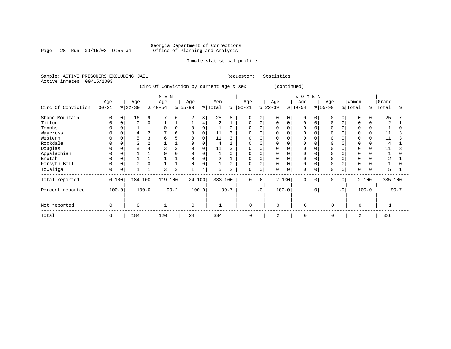#### Georgia Department of Corrections Page 28 Run 09/15/03 9:55 am Office of Planning and Analysis

#### Inmate statistical profile

Sample: ACTIVE PRISONERS EXCLUDING JAIL Requestor: Statistics Active inmates 09/15/2003

Circ Of Conviction by current age & sex (continued)

|                    |           |       |             |          | M E N    |      |             |                |                |      |              |                |             |       | WOMEN       |           |              |           |          |             |         |      |
|--------------------|-----------|-------|-------------|----------|----------|------|-------------|----------------|----------------|------|--------------|----------------|-------------|-------|-------------|-----------|--------------|-----------|----------|-------------|---------|------|
|                    | Age       |       | Age         |          | Age      |      | Age         |                | Men            | ፠    | Age          |                | Age         |       | Age         |           | Age          |           | Women    |             | Grand   |      |
| Circ Of Conviction | $00 - 21$ |       | $ 22-39 $   |          | $ 40-54$ |      | $ 55-99$    |                | % Total        |      | $00 - 21$    |                | $ 22-39 $   |       | $ 40-54$    |           | $ 55-99 $    |           | % Total  | $\approx$ 1 | Total   | °    |
| Stone Mountain     | 0         |       | 16          | 9        |          | 6    | 2           | 8              | 25             |      | 0            |                | O           |       |             |           | <sup>0</sup> | 0         | $\Omega$ | 0           | 25      |      |
| Tifton             |           |       | $\Omega$    | $\Omega$ |          |      |             | $\overline{4}$ | $\overline{2}$ |      | U            |                | 0           |       |             |           |              |           | $\Omega$ |             | 2       |      |
| Toombs             |           |       |             |          |          |      |             | $\Omega$       |                |      |              |                |             |       |             |           |              |           | $\Omega$ |             |         |      |
| Waycross           |           |       |             | 2        |          | б    |             |                | 11             |      |              |                |             |       |             |           |              |           | 0        |             | 11      |      |
| Western            |           |       |             |          |          |      |             | $\Omega$       | 11             |      |              |                |             |       |             |           |              |           | $\Omega$ |             | 11      |      |
| Rockdale           |           |       |             | 2        |          |      |             |                | 4              |      |              |                |             |       |             |           |              |           |          |             |         |      |
| Douglas            |           |       |             |          |          |      |             |                | 11             |      |              |                |             |       |             |           |              |           |          |             | 11      |      |
| Appalachian        | 0         |       |             |          |          |      |             | 0              |                |      |              |                | 0           |       |             |           |              |           |          |             |         |      |
| Enotah             |           |       |             |          |          |      |             |                | $\overline{2}$ |      | <sup>0</sup> |                | 0           |       |             |           |              |           |          |             |         |      |
| Forsyth-Bell       | 0         |       | $\Omega$    | 0        |          |      |             | $\Omega$       |                |      | 0            |                | 0           |       |             |           |              |           | $\Omega$ |             |         |      |
| Towaliga           | 0         |       |             |          |          | 3    |             | 4              | 5              |      | 0            | 0              | 0           |       | $\Omega$    |           | 0            | 0         | $\Omega$ |             |         |      |
| Total reported     |           | 6 100 | 184 100     |          | 119 100  |      |             | 24 100         | 333 100        |      | $\mathbf 0$  | $\overline{0}$ |             | 2 100 | $\Omega$    | 0         | 0            | $\circ$   |          | 2 100       | 335 100 |      |
| Percent reported   |           | 100.0 |             | 100.0    |          | 99.2 |             | 100.0          |                | 99.7 |              | $\cdot$ 0      |             | 100.0 |             | $\cdot$ 0 |              | $\cdot$ 0 |          | 100.0       |         | 99.7 |
| Not reported       | 0         |       | $\mathbf 0$ |          | 1        |      | $\mathbf 0$ |                | $\mathbf{1}$   |      | $\mathbf 0$  |                | $\mathbf 0$ |       | $\mathbf 0$ |           | 0            |           | $\Omega$ |             |         |      |
| Total              | 6         |       | 184         |          | 120      |      | 24          |                | 334            |      | 0            |                | 2           |       | $\Omega$    |           | 0            |           | 2        |             | 336     |      |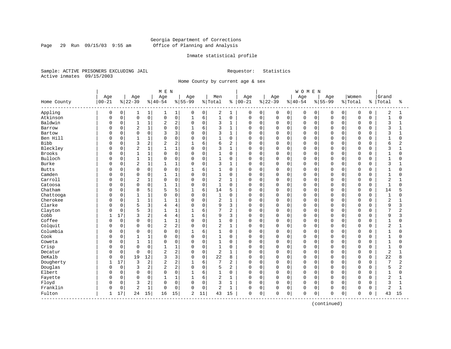#### Georgia Department of Corrections Page 29 Run 09/15/03 9:55 am Office of Planning and Analysis

#### Inmate statistical profile

Sample: ACTIVE PRISONERS EXCLUDING JAIL Requestor: Statistics Active inmates 09/15/2003

Home County by current age & sex

|              |           |             |                |              | M E N          |                |              |             |                |                |            |             |          |              | <b>WOMEN</b> |             |             |          |             |             |                |                |
|--------------|-----------|-------------|----------------|--------------|----------------|----------------|--------------|-------------|----------------|----------------|------------|-------------|----------|--------------|--------------|-------------|-------------|----------|-------------|-------------|----------------|----------------|
|              | Age       |             | Age            |              | Age            |                | Age          |             | Men            |                | Age        |             | Age      |              | Age          |             | Age         |          | Women       |             | Grand          |                |
| Home County  | $00 - 21$ |             | $ 22-39$       |              | $8 40-54$      |                | $8155 - 99$  |             | % Total        | ႜ              | $ 00 - 21$ |             | $ 22-39$ |              | $8 40-54$    |             | $8155 - 99$ |          | % Total     | နွ          | Total          | ႜ              |
| Appling      | 0         | 0           | 1              | 1            | 1              | 1              | 0            | 0           | 2              | 1              | 0          | $\mathbf 0$ | 0        | 0            | 0            | $\mathbf 0$ | 0           | 0        | 0           | 0           | $\overline{2}$ | 1              |
| Atkinson     | 0         | $\mathbf 0$ | $\mathsf 0$    | 0            | $\mathbf 0$    | 0              | $\mathbf{1}$ | 6           | $\mathbf{1}$   | $\mathbf 0$    | 0          | $\mathbf 0$ | 0        | $\mathsf{O}$ | $\mathbf 0$  | 0           | $\mathbf 0$ | 0        | $\mathsf 0$ | $\mathbf 0$ | $\mathbf{1}$   | $\mathbf 0$    |
| Baldwin      | C         | 0           | $\mathbf{1}$   | 1            | 2              | 2              | $\Omega$     | $\mathbf 0$ | 3              | 1              | 0          | $\mathbf 0$ | 0        | $\mathbf 0$  | $\mathbf 0$  | 0           | $\Omega$    | $\Omega$ | $\mathbf 0$ | $\mathbf 0$ | 3              | 1              |
| Barrow       | O         | $\Omega$    | $\overline{2}$ | $\mathbf{1}$ | $\Omega$       | 0              | $\mathbf{1}$ | 6           | 3              | $\mathbf{1}$   | 0          | $\mathbf 0$ | 0        | $\mathbf 0$  | $\mathbf 0$  | $\Omega$    | $\Omega$    | 0        | $\mathbf 0$ | $\Omega$    | 3              |                |
| Bartow       | C         | $\Omega$    | $\mathbf 0$    | $\mathbf 0$  |                | 3              | $\Omega$     | $\mathbf 0$ | 3              | $\mathbf{1}$   | 0          | $\mathbf 0$ | $\Omega$ | $\Omega$     | $\mathbf 0$  | $\Omega$    | $\cap$      | $\cap$   | $\Omega$    | $\Omega$    | 3              |                |
| Ben Hill     | C         | $\Omega$    | $\mathbf{1}$   | 1            | $\Omega$       | $\Omega$       | $\Omega$     | $\mathbf 0$ | 1              | $\mathbf 0$    | 0          | $\mathbf 0$ | 0        | $\Omega$     | $\mathbf 0$  | $\Omega$    | $\Omega$    | $\Omega$ | $\Omega$    | $\cap$      | $\mathbf{1}$   | $\Omega$       |
| <b>Bibb</b>  | C         | $\Omega$    | 3              | 2            | $\overline{2}$ | 2              |              | 6           | 6              | 2              | 0          | $\mathbf 0$ | 0        | $\mathbf 0$  | $\mathbf 0$  | $\mathbf 0$ | $\Omega$    | $\Omega$ | $\Omega$    | $\Omega$    | 6              | 2              |
| Bleckley     | C         | $\Omega$    | $\sqrt{2}$     | $\mathbf 1$  | $\mathbf{1}$   | 1              | $\Omega$     | $\mathbf 0$ | 3              | $\mathbf{1}$   | 0          | $\mathbf 0$ | $\Omega$ | $\mathbf 0$  | 0            | $\Omega$    | $\Omega$    | 0        | $\mathbf 0$ | $\Omega$    | 3              |                |
| Brooks       | C         | 0           | $\mathbf{1}$   | $\mathbf 1$  | $\Omega$       | 0              | $\mathbf 0$  | $\mathbf 0$ | 1              | $\mathbf 0$    | 0          | $\mathbf 0$ | 0        | 0            | $\mathbf 0$  | 0           | $\Omega$    | $\Omega$ | $\mathbf 0$ | $\Omega$    | 1              | $\Omega$       |
| Bulloch      | C         | 0           | $\mathbf{1}$   | 1            | $\Omega$       | 0              | $\Omega$     | $\mathsf 0$ | 1              | 0              | 0          | $\mathbf 0$ | 0        | $\mathbf 0$  | $\mathbf 0$  | $\Omega$    | $\Omega$    | O        | $\Omega$    | $\Omega$    | $\mathbf{1}$   |                |
| <b>Burke</b> | C         | $\Omega$    | $\overline{2}$ | $\mathbf 1$  | 1              | 1              | $\Omega$     | $\mathbf 0$ | 3              | 1              | 0          | $\mathbf 0$ | 0        | $\mathbf 0$  | $\Omega$     | $\Omega$    | $\Omega$    | U        | $\Omega$    | $\cap$      | 3              |                |
| <b>Butts</b> | C         | $\Omega$    | $\Omega$       | 0            | $\Omega$       | $\Omega$       | $\mathbf{1}$ | 6           | $\mathbf{1}$   | $\Omega$       | 0          | $\mathbf 0$ | 0        | $\Omega$     | $\Omega$     | $\Omega$    | $\Omega$    | 0        | $\Omega$    | $\Omega$    | 1              | U              |
| Camden       | C         | $\Omega$    | $\mathbf 0$    | 0            | 1              | 1              | $\Omega$     | $\mathbf 0$ | $\mathbf{1}$   | $\mathbf 0$    | 0          | $\mathbf 0$ | 0        | $\Omega$     | $\mathbf 0$  | $\Omega$    | $\Omega$    | $\Omega$ | $\Omega$    | $\Omega$    | $\mathbf{1}$   | O              |
| Carroll      | C         | 0           | $\sqrt{2}$     | $1\,$        | $\Omega$       | 0              | $\Omega$     | $\mathsf 0$ | $\overline{2}$ | $\mathbf{1}$   | 0          | $\mathbf 0$ | $\Omega$ | $\mathbf 0$  | $\mathbf 0$  | $\mathbf 0$ | $\Omega$    | 0        | $\Omega$    | $\Omega$    | $\overline{a}$ |                |
| Catoosa      | C         | $\Omega$    | $\Omega$       | 0            | $\mathbf{1}$   | 1              | $\Omega$     | $\mathbf 0$ | $\mathbf{1}$   | $\Omega$       | 0          | $\mathbf 0$ | $\Omega$ | $\Omega$     | $\mathbf 0$  | $\Omega$    | $\Omega$    | 0        | $\Omega$    | $\Omega$    | $\mathbf{1}$   | $\Omega$       |
| Chatham      | C         | $\Omega$    | 8              | 5            | 5              | 5              |              | 6           | 14             | 5              | 0          | $\mathbf 0$ | 0        | 0            | $\mathbf 0$  | $\Omega$    | $\Omega$    | O        | $\Omega$    | $\Omega$    | 14             |                |
| Chattooga    | C         | $\Omega$    | $\overline{1}$ | $\mathbf 1$  | $\Omega$       | $\Omega$       | $\Omega$     | $\Omega$    | $\mathbf{1}$   | $\Omega$       | O          | $\mathbf 0$ | 0        | $\Omega$     | $\Omega$     | $\Omega$    | $\Omega$    | $\Omega$ | $\Omega$    | $\Omega$    | $\mathbf{1}$   | U              |
| Cherokee     | C         | $\Omega$    | $\overline{1}$ | $\mathbf{1}$ | 1              | $\mathbf{1}$   | $\Omega$     | $\mathbf 0$ | $\overline{2}$ | $\mathbf{1}$   | 0          | $\mathbf 0$ | $\Omega$ | $\Omega$     | $\mathbf 0$  | $\Omega$    | $\Omega$    | $\Omega$ | $\mathbf 0$ | $\Omega$    | $\overline{2}$ |                |
| Clarke       | C         | 0           | 5              | 3            | 4              | 4              | $\Omega$     | $\mathsf 0$ | 9              | 3              | 0          | $\mathbf 0$ | $\Omega$ | $\mathbf 0$  | $\Omega$     | 0           | $\Omega$    | $\Omega$ | $\Omega$    | $\Omega$    | 9              | 3              |
| Clayton      | C         | $\Omega$    | 5              | 3            | $\mathbf{1}$   | 1              | $\mathbf{1}$ | 6           | 7              | $\overline{c}$ | O          | $\mathbf 0$ | $\Omega$ | $\Omega$     | $\Omega$     | $\Omega$    | $\Omega$    | 0        | $\Omega$    | $\Omega$    | 7              | $\overline{a}$ |
| Cobb         |           | 17          | 3              | 2            | 4              | 4              |              | 6           | 9              | 3              | 0          | $\mathbf 0$ | 0        | 0            | $\mathbf 0$  | $\Omega$    | $\Omega$    | O        | $\mathbf 0$ | $\Omega$    | 9              |                |
| Coffee       | C         | $\mathbf 0$ | $\Omega$       | 0            | $\mathbf{1}$   | $\mathbf{1}$   | $\Omega$     | $\mathbf 0$ | $\mathbf{1}$   | 0              | 0          | $\mathbf 0$ | $\Omega$ | $\Omega$     | $\mathbf 0$  | $\Omega$    | $\Omega$    | $\Omega$ | $\Omega$    | $\Omega$    | $\mathbf{1}$   |                |
| Colquit      | U         | $\mathbf 0$ | $\Omega$       | 0            | $\overline{2}$ | 2              | $\Omega$     | $\mathbf 0$ | $\overline{2}$ | $\mathbf{1}$   | 0          | $\mathbf 0$ | 0        | $\Omega$     | $\mathbf 0$  | $\Omega$    | $\Omega$    | $\Omega$ | $\Omega$    | $\Omega$    | $\overline{2}$ |                |
| Columbia     | C         | 0           | $\Omega$       | 0            | 0              | $\Omega$       | $\mathbf{1}$ | 6           | 1              | $\mathbf 0$    | 0          | $\mathbf 0$ | 0        | $\mathbf 0$  | $\mathbf 0$  | $\Omega$    | $\Omega$    | $\Omega$ | $\Omega$    | $\Omega$    | 1              | O              |
| Cook         | C         | 0           | $\mathbf{1}$   | 1            | $\Omega$       | 0              | $\Omega$     | $\mathsf 0$ | 1              | 0              | 0          | $\mathbf 0$ | 0        | $\mathbf 0$  | $\mathbf 0$  | 0           | $\Omega$    | 0        | $\mathbf 0$ | 0           | $\mathbf 1$    | O              |
| Coweta       |           | 0           | $\mathbf{1}$   | $\mathbf{1}$ | $\Omega$       | 0              | $\Omega$     | $\mathbf 0$ | $\mathbf{1}$   | $\mathbf 0$    | 0          | $\mathbf 0$ | 0        | $\Omega$     | $\mathbf 0$  | $\mathbf 0$ | $\Omega$    | 0        | $\mathbf 0$ | $\Omega$    | $\mathbf{1}$   | $\Omega$       |
| Crisp        | C         | 0           | $\mathbf 0$    | $\mathbf 0$  | $\mathbf{1}$   | 1              | $\Omega$     | $\mathbf 0$ | $\mathbf{1}$   | 0              | 0          | $\mathbf 0$ | 0        | 0            | $\mathbf 0$  | $\Omega$    | $\Omega$    | O        | $\mathbf 0$ | 0           | $\mathbf{1}$   | O              |
| Decatur      | C         | $\Omega$    | $\Omega$       | $\mathbf 0$  | $\overline{c}$ | $\overline{2}$ | $\Omega$     | $\mathbf 0$ | 2              | $\mathbf{1}$   | 0          | $\mathbf 0$ | $\Omega$ | $\Omega$     | $\mathbf 0$  | $\Omega$    | $\Omega$    | $\Omega$ | $\Omega$    | $\Omega$    | $\overline{2}$ |                |
| DeKalb       | C         | $\Omega$    | 19             | 12           | 3              | 3              | $\Omega$     | $\Omega$    | 22             | 8              | 0          | $\Omega$    | 0        | $\Omega$     | $\Omega$     | $\Omega$    | $\Omega$    | $\Omega$ | $\Omega$    | $\Omega$    | 22             | 8              |
| Dougherty    |           | 17          | 3              | 2            | $\overline{2}$ | 2              |              | 6           | 7              | 2              | 0          | $\mathbf 0$ | 0        | $\Omega$     | $\mathbf 0$  | $\Omega$    | $\Omega$    | $\Omega$ | $\mathbf 0$ | $\Omega$    | 7              | 2              |
| Douglas      | C         | $\mathbf 0$ | 3              | 2            | $\overline{c}$ | 2              | $\Omega$     | $\mathbf 0$ | 5              | 2              | 0          | $\mathbf 0$ | $\Omega$ | $\Omega$     | $\mathbf 0$  | $\mathbf 0$ | $\Omega$    | 0        | $\Omega$    | $\Omega$    | 5              | 2              |
| Elbert       | C         | $\mathbf 0$ | $\Omega$       | $\mathbf 0$  | $\Omega$       | $\Omega$       | $\mathbf{1}$ | 6           | $\mathbf{1}$   | $\mathbf 0$    | 0          | $\mathbf 0$ | $\Omega$ | $\Omega$     | $\mathbf 0$  | $\Omega$    | $\Omega$    | $\Omega$ | $\mathbf 0$ | $\Omega$    | $\mathbf{1}$   | $\Omega$       |
| Fayette      | C         | 0           | $\Omega$       | $\mathsf 0$  | 1              | 1              |              | 6           | $\overline{2}$ | 1              | 0          | $\mathbf 0$ | $\Omega$ | $\mathbf 0$  | $\mathbf 0$  | $\Omega$    | $\Omega$    | 0        | $\Omega$    | $\Omega$    | $\overline{2}$ |                |
| Floyd        | U         | 0           | 3              | 2            | $\Omega$       | 0              | $\Omega$     | $\mathbf 0$ | 3              | 1              | 0          | $\mathbf 0$ | 0        | $\Omega$     | $\mathbf 0$  | $\mathbf 0$ | $\Omega$    | $\Omega$ | $\Omega$    | $\Omega$    | 3              | $\mathbf{1}$   |
| Franklin     | 0         | 0           | $\overline{2}$ | $\mathbf{1}$ | $\Omega$       | 0              | $\Omega$     | $\mathsf 0$ | $\overline{2}$ | $\mathbf{1}$   | 0          | $\mathbf 0$ | $\Omega$ | 0            | $\mathbf 0$  | $\mathbf 0$ | $\Omega$    | 0        | $\mathbf 0$ | $\Omega$    | $\overline{2}$ | 1              |
| Fulton       | 1         | 17          | 24             | 15           | 16             | 15             | 2            | 11          | 43             | 15             | 0          | $\mathbf 0$ | 0        | 0            | $\mathbf 0$  | 0           | $\Omega$    | 0        | $\mathbf 0$ | 0           | 43             | 15             |

(continued)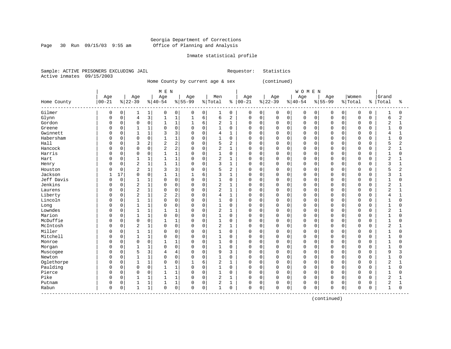#### Georgia Department of Corrections Page 30 Run 09/15/03 9:55 am Office of Planning and Analysis

#### Inmate statistical profile

Sample: ACTIVE PRISONERS EXCLUDING JAIL Requestor: Statistics Active inmates 09/15/2003

Home County by current age & sex (continued)

 | M E N | W O M E N | | Age | Age | Age | Age | Men | Age | Age | Age | Age |Women |Grand Home County |00-21 %|22-39 %|40-54 %|55-99 %|Total % |00-21 %|22-39 %|40-54 %|55-99 %|Total % |Total % ------------------------------------------------------------------------------------------------------------------------------------ Gilmer | 0 0| 1 1| 0 0| 0 0| 1 0 | 0 0| 0 0| 0 0| 0 0| 0 0 | 1 0 Glynn | 0 0| 4 3| 1 1| 1 6| 6 2 | 0 0| 0 0| 0 0| 0 0| 0 0 | 6 2 Gordon | 0 0| 0 0| 1 1| 1 6| 2 1 | 0 0| 0 0| 0 0| 0 0| 0 0 | 2 1 Greene | 0 0| 1 1| 0 0| 0 0| 1 0 | 0 0| 0 0| 0 0| 0 0| 0 0 | 1 0 Gwinnett | 0 0| 1 1| 3 3| 0 0| 4 1 | 0 0| 0 0| 0 0| 0 0| 0 0 | 4 1 Habersham | 0 0| 0 0| 1 1| 0 0| 1 0 | 0 0| 0 0| 0 0| 0 0| 0 0 | 1 0 Hall | 0 0| 3 2| 2 2| 0 0| 5 2 | 0 0| 0 0| 0 0| 0 0| 0 0 | 5 2 Hancock | 0 0| 0 0| 2 2| 0 0| 2 1 | 0 0| 0 0| 0 0| 0 0| 0 0 | 2 1 Harris | 0 0| 0 0| 1 1| 0 0| 1 0 | 0 0| 0 0| 0 0| 0 0| 0 0 | 1 0 Hart | 0 0| 1 1| 1 1| 0 0| 2 1 | 0 0| 0 0| 0 0| 0 0| 0 0 | 2 1 Henry | 0 0| 2 1| 1 1| 0 0| 3 1 | 0 0| 0 0| 0 0| 0 0| 0 0 | 3 1 Houston | 0 0| 2 1| 3 3| 0 0| 5 2 | 0 0| 0 0| 0 0| 0 0| 0 0 | 5 2 Jackson | 1 17| 0 0| 1 1| 1 6| 3 1 | 0 0| 0 0| 0 0| 0 0| 0 0 | 3 1 Jeff Davis | 0 0| 1 1| 0 0| 0 0| 1 0 | 0 0| 0 0| 0 0| 0 0| 0 0 | 1 0 Jenkins | 0 0| 2 1| 0 0| 0 0| 2 1 | 0 0| 0 0| 0 0| 0 0| 0 0 | 2 1 Laurens | 0 0| 2 1| 0 0| 0 0| 2 1 | 0 0| 0 0| 0 0| 0 0| 0 0 | 2 1 Liberty | 0 0| 2 1| 2 2| 0 0| 4 1 | 0 0| 0 0| 0 0| 0 0| 0 0 | 4 1 Lincoln | 0 0| 1 1| 0 0| 0 0| 1 0 | 0 0| 0 0| 0 0| 0 0| 0 0 | 1 0 Long | 0 0| 1 1| 0 0| 0 0| 1 0 | 0 0| 0 0| 0 0| 0 0| 0 0 | 1 0 Lowndes | 0 0| 1 1| 1 1| 0 0| 2 1 | 0 0| 0 0| 0 0| 0 0| 0 0 | 2 1 Marion | 0 0| 1 1| 0 0| 0 0| 1 0 | 0 0| 0 0| 0 0| 0 0| 0 0 | 1 0 McDuffie | 0 0| 0 0| 1 1| 0 0| 1 0 | 0 0| 0 0| 0 0| 0 0| 0 0 | 1 0 McIntosh | 0 0| 2 1| 0 0| 0 0| 2 1 | 0 0| 0 0| 0 0| 0 0| 0 0 | 2 1 Miller | 0 0| 1 1| 0 0| 0 0| 1 0 | 0 0| 0 0| 0 0| 0 0| 0 0 | 1 0 Mitchell | 0 0| 1 1| 0 0| 0 0| 1 0 | 0 0| 0 0| 0 0| 0 0| 0 0 | 1 0 Monroe | 0 0| 0 0| 1 1| 0 0| 1 0 | 0 0| 0 0| 0 0| 0 0| 0 0 | 1 0 Morgan | 0 0| 1 1| 0 0| 0 0| 1 0 | 0 0| 0 0| 0 0| 0 0| 0 0 | 1 0 Muscogee | 0 0| 5 3| 4 4| 0 0| 9 3 | 0 0| 0 0| 0 0| 0 0| 0 0 | 9 3 Newton | 0 0| 1 1| 0 0| 0 0| 1 0 | 0 0| 0 0| 0 0| 0 0| 0 0 | 1 0 Oglethorpe | 0 0| 1 1| 0 0| 1 6| 2 1 | 0 0| 0 0| 0 0| 0 0| 0 0 | 2 1 Paulding | 0 0| 0 0| 1 1| 0 0| 1 0 | 0 0| 0 0| 0 0| 0 0| 0 0 | 1 0 Pierce | 0 0| 0 0| 1 1| 0 0| 1 0 | 0 0| 0 0| 0 0| 0 0| 0 0 | 1 0 Pike | 0 0| 1 1| 1 1| 0 0| 2 1 | 0 0| 0 0| 0 0| 0 0| 0 0 | 2 1 Putnam | 0 0| 1 1| 1 1| 0 0| 2 1 | 0 0| 0 0| 0 0| 0 0| 0 0 | 2 1 Rabun | 0 0| 1 1| 0 0| 0 0| 1 0 | 0 0| 0 0| 0 0| 0 0| 0 0 | 1 0 ------------------------------------------------------------------------------------------------------------------------------------

(continued)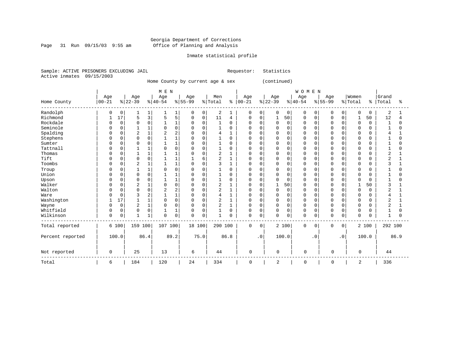Page 31 Run  $09/15/03$  9:55 am

### Inmate statistical profile

Sample: ACTIVE PRISONERS EXCLUDING JAIL Requestor: Statistics Active inmates 09/15/2003

Home County by current age & sex (continued)

|                  |             |             |                |                | M E N    |                |             |              |                |          |             |          |              |          | WOMEN        |           |             |           |             |               |                |      |
|------------------|-------------|-------------|----------------|----------------|----------|----------------|-------------|--------------|----------------|----------|-------------|----------|--------------|----------|--------------|-----------|-------------|-----------|-------------|---------------|----------------|------|
|                  | Age         |             | Age            |                | Age      |                | Age         |              | Men            |          | Age         |          | Age          |          | Age          |           | Age         |           | Women       |               | Grand          |      |
| Home County      | $00 - 21$   |             | $ 22-39$       |                | $ 40-54$ |                | $8 55-99$   |              | % Total        | နွ       | $00 - 21$   |          | $ 22-39$     |          | $ 40-54$     |           | $8 55-99$   |           | % Total     | $\frac{6}{6}$ | Total          | ႜ    |
| Randolph         | 0           | 0           |                | $\mathbf{1}$   |          | 1              | 0           | 0            | 2              |          | 0           | 0        | 0            | 0        | 0            | 0         | $\Omega$    | 0         | 0           | $\Omega$      | 2              |      |
| Richmond         |             | 17          | 5              | 3              | 5        | 5              | $\mathbf 0$ | $\mathsf 0$  | 11             | 4        | 0           | 0        | $\mathbf{1}$ | 50       | 0            | 0         | $\Omega$    | 0         | 1           | 50            | 12             |      |
| Rockdale         |             | $\mathbf 0$ | $\Omega$       | 0              |          | $\mathbf{1}$   | $\Omega$    | $\mathbf 0$  | $\mathbf{1}$   | $\Omega$ | U           | $\Omega$ | $\Omega$     | $\Omega$ | $\Omega$     | $\Omega$  |             | $\Omega$  | $\mathbf 0$ | $\Omega$      | -1             | O    |
| Seminole         |             | $\Omega$    |                | 1              |          | $\Omega$       | $\cap$      | $\Omega$     | $\mathbf{1}$   | $\Omega$ | U           | $\Omega$ | <sup>0</sup> | $\Omega$ | $\Omega$     | $\Omega$  |             |           | $\Omega$    | $\Omega$      |                | U    |
| Spalding         | U           | 0           |                | $1\,$          |          | $\overline{2}$ |             | $\Omega$     | 4              |          |             | $\Omega$ | 0            | $\Omega$ | $\Omega$     | O         |             |           | $\Omega$    | $\Omega$      |                |      |
| Stephens         |             | $\Omega$    | $\Omega$       | 0              |          | $\mathbf{1}$   |             | $\Omega$     |                | $\Omega$ | U           | $\Omega$ | 0            | $\Omega$ | $\Omega$     | O         |             | U         | $\Omega$    | <sup>0</sup>  |                |      |
| Sumter           | O           | 0           | 0              | 0              |          | $\mathbf{1}$   | n           | $\Omega$     | 1              | $\Omega$ | U           | $\Omega$ | 0            | 0        | $\Omega$     | 0         |             | $\Omega$  | $\Omega$    | $\Omega$      |                |      |
| Tattnall         |             | U           |                | 1              |          | $\Omega$       |             | $\Omega$     |                | U        |             | $\Omega$ | 0            | U        | $\Omega$     | O         |             | U         | $\Omega$    | O             |                |      |
| Thomas           |             | $\Omega$    |                | 1              |          | $\mathbf{1}$   |             | $\Omega$     | 2              |          | U           | $\Omega$ | <sup>0</sup> | $\Omega$ | $\Omega$     | $\Omega$  | ∩           | ∩         | $\Omega$    | $\Omega$      | $\overline{c}$ |      |
| Tift             | U           | 0           | $\Omega$       | 0              |          | $\mathbf{1}$   |             | 6            | 2              |          | U           | $\Omega$ | 0            | $\Omega$ | $\Omega$     | O         | ∩           | O         | $\Omega$    | $\Omega$      |                |      |
| Toombs           | U           | 0           | $\overline{2}$ | 1              |          | $\mathbf{1}$   | $\Omega$    | $\mathbf 0$  | 3              |          | U           | $\Omega$ | 0            | 0        | $\Omega$     | 0         |             | $\Omega$  | $\Omega$    | $\Omega$      | κ              |      |
| Troup            |             | 0           |                | 1              |          | $\mathbf 0$    | O           | $\mathbf 0$  |                | $\Omega$ |             | $\Omega$ | 0            | $\Omega$ | $\Omega$     | 0         |             | $\Omega$  | $\Omega$    | $\Omega$      |                |      |
| Union            |             | $\Omega$    | $\Omega$       | 0              |          | 1              |             | $\Omega$     |                | $\Omega$ | U           | $\Omega$ | 0            | $\Omega$ | $\Omega$     | $\Omega$  | $\Omega$    | $\cap$    | $\Omega$    | $\Omega$      |                |      |
| Upson            | U           | 0           | $\Omega$       | 0              |          | $\mathbf{1}$   |             | $\Omega$     |                | O        | U           | $\Omega$ | $\Omega$     | 0        | $\Omega$     | O         | ∩           | U         | $\Omega$    | <sup>0</sup>  |                |      |
| Walker           | U           | $\Omega$    |                | $\mathbf 1$    |          | $\mathbf 0$    |             | $\Omega$     | 2              |          |             | $\Omega$ |              | 50       | <sup>0</sup> | O         |             |           |             | 50            | κ              |      |
| Walton           |             | 0           | <sup>0</sup>   | 0              | 2        | 2              |             | $\Omega$     | 2              |          | U           | $\Omega$ | 0            | $\Omega$ | $\Omega$     | $\Omega$  | ∩           | U         | 0           | <sup>0</sup>  | 2              |      |
| Ware             |             | 0           |                | $\overline{2}$ |          | $\mathbf{1}$   |             | $\mathbf 0$  | 4              |          |             | 0        | 0            | $\Omega$ | $\Omega$     | 0         |             | U         | 0           | $\Omega$      |                |      |
| Washington       |             | 17          |                | $\mathbf{1}$   |          | $\Omega$       | O           | $\mathbf{0}$ | 2              |          |             | $\Omega$ | $\Omega$     | $\Omega$ | $\Omega$     | 0         |             | $\cap$    | 0           | $\Omega$      | $\overline{2}$ |      |
| Wayne            |             | $\mathbf 0$ | $\overline{2}$ | $\mathbf{1}$   | $\Omega$ | $\mathbf 0$    | $\cap$      | $\mathbf 0$  | $\overline{2}$ |          | 0           | $\Omega$ | 0            | $\Omega$ | $\Omega$     | $\Omega$  | $\Omega$    | $\cap$    | $\mathbf 0$ | $\Omega$      | $\overline{2}$ |      |
| Whitfield        | 0           | 0           | $\Omega$       | 0              |          | $\mathbf{1}$   | $\Omega$    | $\Omega$     |                | $\Omega$ | 0           | $\Omega$ | $\mathbf 0$  | $\Omega$ | $\Omega$     | $\Omega$  | $\Omega$    | $\Omega$  | $\Omega$    | $\Omega$      |                | U    |
| Wilkinson        | $\mathbf 0$ | 0           | 1              | 1              | $\Omega$ | 0              | $\Omega$    | 0            | $\mathbf{1}$   | O        | 0           | 0        | 0            | 0        | $\Omega$     | 0         | $\mathbf 0$ | 0         | $\Omega$    | $\Omega$      | -1             | U    |
| Total reported   |             | 6 100       | 159 100        |                | 107 100  |                | 18 100      |              | 290 100        |          | $\mathbf 0$ | 0        |              | 2 100    | 0            | 0         | 0           | 0         |             | 2 100         | 292 100        |      |
| Percent reported |             | 100.0       |                | 86.4           |          | 89.2           |             | 75.0         |                | 86.8     |             | . 0      |              | 100.0    |              | $\cdot$ 0 |             | $\cdot$ 0 |             | 100.0         |                | 86.9 |
| Not reported     | 0           |             | 25             |                | 13       |                | 6           |              | 44             |          | 0           |          | 0            |          | 0            |           | 0           |           | $\Omega$    |               | 44             |      |
| Total            | 6           |             | 184            |                | 120      |                | 24          |              | 334            |          | 0           |          | 2            |          | 0            |           | 0           |           | 2           |               | 336            |      |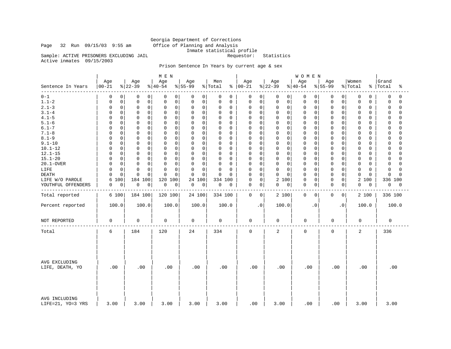Georgia Department of Corrections Page 32 Run 09/15/03 9:55 am Office of Planning and Analysis Inmate statistical profile Sample: ACTIVE PRISONERS EXCLUDING JAIL Requestor: Statistics

Active inmates 09/15/2003

### Prison Sentence In Years by current age & sex

|                                    |                     |                 | M E N           |                 |                |                      |                  | <b>WOMEN</b>     |                 |                  |                         |
|------------------------------------|---------------------|-----------------|-----------------|-----------------|----------------|----------------------|------------------|------------------|-----------------|------------------|-------------------------|
| Sentence In Years<br>$- - - - -$   | Age<br>$00 - 21$    | Age<br>$ 22-39$ | Age<br>$ 40-54$ | Age<br>$ 55-99$ | Men<br>% Total | Age<br>$8   00 - 21$ | Age<br>$ 22-39 $ | Age<br>$ 40-54$  | Age<br>$ 55-99$ | Women<br>% Total | Grand<br>%   Total<br>ႜ |
| $0 - 1$                            | 0                   | 0               | 0               | 0               | 0              | 0                    | $\mathbf 0$      | $\overline{0}$   | 0               | 0                | 0                       |
|                                    | 0                   | 0               | 0               | 0               | 0              | 0                    | 0                | 0                | 0               | 0                | $\Omega$                |
| $1.1 - 2$                          | $\mathsf 0$         | $\mathbf 0$     | $\mathsf 0$     | 0               | 0              | 0                    | 0                | $\mathbf 0$      | $\mathbf 0$     | 0                | $\Omega$                |
|                                    | $\Omega$            | $\mathsf 0$     | $\mathbf 0$     | 0               | 0              | 0                    | $\mathbf 0$      | $\mathbf 0$      | 0               | 0                | 0                       |
| $2.1 - 3$                          | $\mathsf{O}\xspace$ | $\Omega$        | 0               | $\mathbf 0$     | 0              | 0                    | 0                | $\mathbf 0$      | $\mathbf 0$     | 0                | $\Omega$                |
|                                    | 0                   | $\mathbf 0$     | $\mathbf 0$     | 0               | $\mathbf 0$    | 0                    | $\mathbf 0$      | 0                | $\Omega$        | 0                | $\Omega$                |
| $3.1 - 4$                          | $\mathbf 0$         | $\mathbf 0$     | $\mathbf 0$     | $\mathbf 0$     | 0              | $\Omega$             | $\mathbf 0$      | $\mathbf 0$      | $\Omega$        | $\Omega$         | $\Omega$                |
|                                    | 0                   | $\Omega$        | $\mathbf 0$     | 0               | 0              | $\Omega$             | $\Omega$         | $\Omega$         | $\Omega$        | 0                | $\Omega$                |
| $4.1 - 5$                          | 0                   | $\mathbf 0$     | 0               | 0               | 0              | $\mathbf 0$          | $\mathbf 0$      | $\mathbf 0$      | $\mathbf 0$     | 0                | $\Omega$                |
|                                    | <sup>0</sup>        | $\mathbf 0$     | $\mathbf 0$     | $\mathbf 0$     | 0              | 0                    | $\mathbf 0$      | $\mathbf 0$      | $\Omega$        | 0                | 0                       |
| $5.1 - 6$                          | $\mathbf 0$         | $\mathbf 0$     | $\mathbf 0$     | $\mathbf 0$     | 0              | $\mathbf 0$          | $\mathbf 0$      | $\mathbf 0$      | $\mathbf 0$     | 0                | 0                       |
|                                    | <sup>0</sup>        | 0               | $\mathbf 0$     | 0               | 0              | 0                    | $\mathbf 0$      | $\mathbf 0$      | O               | 0                | $\Omega$                |
| $6.1 - 7$                          | $\Omega$            | $\Omega$        | $\Omega$        | $\Omega$        | 0              | $\Omega$             | 0                | $\mathbf 0$      | $\Omega$        | $\mathbf 0$      | $\cap$                  |
|                                    | $\Omega$            | $\Omega$        | 0               | 0               | 0              | $\Omega$             | $\Omega$         | $\Omega$         | $\Omega$        | O                | $\Omega$                |
| $7.1 - 8$                          | $\mathsf 0$         | $\mathbf 0$     | 0               | 0               | 0              | 0                    | 0                | $\mathbf 0$      | $\mathbf 0$     | 0                | 0                       |
|                                    | 0                   | $\mathbf 0$     | $\mathbf 0$     | 0               | $\Omega$       | 0                    | $\mathbf 0$      | 0                | $\Omega$        | 0                | $\Omega$                |
| $8.1 - 9$                          | $\mathbf 0$         | $\mathbf 0$     | $\mathbf 0$     | $\mathbf 0$     | 0              | $\mathbf 0$          | $\mathbf 0$      | $\mathbf 0$      | $\mathbf 0$     | 0                | $\Omega$                |
|                                    | $\Omega$            | $\Omega$        | $\Omega$        | 0               | $\Omega$       | $\Omega$             | $\Omega$         | 0                | O               | 0                | $\Omega$                |
| $9.1 - 10$                         | $\mathbf 0$         | $\mathbf 0$     | $\mathbf 0$     | $\mathbf 0$     | 0              | $\Omega$             | 0                | $\mathbf 0$      | $\Omega$        | 0                | $\Omega$                |
|                                    | 0                   | $\mathbf 0$     | $\mathbf 0$     | 0               | $\mathbf 0$    | 0                    | $\Omega$         | $\mathbf 0$      | $\Omega$        | 0                | $\cap$                  |
| $10.1 - 12$                        | $\mathbf 0$         | $\mathbf 0$     | $\mathbf 0$     | $\mathbf 0$     | 0              | 0                    | $\mathbf 0$      | $\mathbf 0$      | $\mathbf 0$     | 0                | 0                       |
|                                    | 0                   | 0               | $\mathbf 0$     | 0               | $\Omega$       | 0                    | 0                | 0                | 0               | 0                | $\Omega$                |
| $12.1 - 15$                        | $\mathbf 0$         | $\mathbf 0$     | $\mathbf 0$     | 0               | 0              | $\mathbf 0$          | $\mathbf 0$      | $\mathbf 0$      | $\Omega$        | 0                | $\mathbf 0$             |
|                                    | $\Omega$            | $\mathbf 0$     | $\mathbf 0$     | $\mathbf 0$     | $\Omega$       | $\mathbf 0$          | $\mathbf 0$      | $\mathbf 0$      | $\mathbf 0$     | 0                | $\cap$                  |
| $15.1 - 20$                        | $\mathbf 0$         | $\mathbf 0$     | $\mathbf 0$     | $\mathbf 0$     | 0              | 0                    | 0                | $\mathbf 0$      | $\Omega$        | 0                | $\Omega$                |
|                                    | 0                   | 0               | 0               | 0               | 0              | 0                    | $\mathbf 0$      | $\mathbf 0$      | 0               | 0                | $\Omega$                |
| 20.1-OVER                          | $\mathsf 0$         | $\mathbf 0$     | $\mathbf 0$     | $\Omega$        | 0              | 0                    | 0                | $\mathbf 0$      | $\mathbf 0$     | 0                | 0                       |
|                                    | <sup>0</sup>        | $\mathbf 0$     | $\mathbf 0$     | $\mathbf 0$     | $\Omega$       | 0                    | $\mathbf 0$      | 0                | $\Omega$        | 0                | U                       |
| LIFE                               | $\mathbf 0$         | $\mathbf 0$     | $\mathbf 0$     | $\mathbf 0$     | 0              | $\mathbf 0$          | $\mathbf 0$      | $\mathbf 0$      | $\mathbf 0$     | 0                | 0                       |
|                                    | $\Omega$            | $\Omega$        | $\mathbf 0$     | 0               | 0              | 0                    | $\mathbf 0$      | $\mathbf 0$      | $\Omega$        | 0                | $\Omega$                |
| <b>DEATH</b>                       | $\mathbf 0$         | $\Omega$        | $\Omega$        | $\mathbf 0$     | 0              | $\mathbf 0$          | $\mathbf 0$      | $\mathbf 0$      | $\Omega$        | 0                | $\cap$                  |
|                                    | $\Omega$            | $\cap$          | $\Omega$        | 0               | $\Omega$       | $\Omega$             | $\Omega$         | $\mathbf 0$      | 0               | 0                | $\Omega$                |
| LIFE W/O PAROLE                    | 100<br>6            | 184<br>100      | 120<br>100      | 24 100          | 334 100        | $\mathbf 0$<br>0     | 2<br>100         | $\mathbf 0$<br>0 | 0<br>0          | 2<br>100         | 336 100                 |
| YOUTHFUL OFFENDERS                 | 0                   | $\mathbf 0$     | 0               | 0               | 0              | 0                    | $\mathbf 0$      | $\mathbf 0$      | $\mathbf 0$     | 0                | 0                       |
|                                    | 0                   | 0               | 0               | 0               | 0              | 0                    | 0                | $\overline{0}$   | 0               | 0                | 0                       |
|                                    |                     |                 |                 |                 |                |                      |                  |                  |                 |                  |                         |
| Total reported                     | 6 100               | 184 100         | 120 100         | 24 100          | 334 100        | $\mathbf 0$<br>0     | 2 100            | $\mathbf 0$<br>0 | 0<br>0          | 2 100            | 336 100                 |
| Percent reported                   | 100.0               | 100.0           | 100.0           | 100.0           | 100.0          | $\cdot$ 0            | 100.0            | $\cdot$ 0        | $\cdot$ 0       | 100.0            | 100.0                   |
| NOT REPORTED                       | 0                   | 0               | 0               | 0               | 0              | 0                    | 0                | 0                | 0               | 0                | 0                       |
| Total                              | 6                   | 184             | 120             | 24              | 334            | $\mathbf 0$          | 2                | 0                | $\mathbf 0$     | 2                | 336                     |
|                                    |                     |                 |                 |                 |                |                      |                  |                  |                 |                  |                         |
| AVG EXCLUDING<br>LIFE, DEATH, YO   | .00                 | .00             | .00             | .00             | .00            | .00                  | .00              | .00              | .00             | .00              | .00                     |
| AVG INCLUDING<br>LIFE=21, YO=3 YRS | 3.00                | 3.00            | 3.00            | 3.00            | 3.00           | .00                  | 3.00             | .00              | .00             | 3.00             | 3.00                    |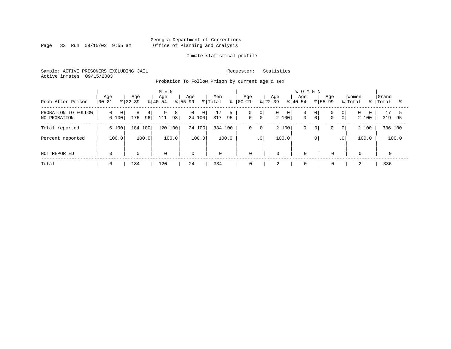Page 33 Run 09/15/03 9:55 am

#### Inmate statistical profile

Sample: ACTIVE PRISONERS EXCLUDING JAIL Requestor: Statistics Active inmates 09/15/2003

Probation To Follow Prison by current age & sex

| Prob After Prison                   | Age<br>$ 00 - 21$                   | Aqe<br>$ 22-39 $    | M E N<br>Age<br>$ 40-54 $ | Aqe<br>$8155 - 99$                         | Men<br>% Total<br>ွေ | Age<br>$ 00-21$  | Age<br>$ 22-39 $                       | <b>WOMEN</b><br>Aqe<br>Age<br>$8 40-54$<br>$8155 - 99$           | Women<br>% Total<br>ႜႜႜ            | Grand<br>Total<br>ႜ |
|-------------------------------------|-------------------------------------|---------------------|---------------------------|--------------------------------------------|----------------------|------------------|----------------------------------------|------------------------------------------------------------------|------------------------------------|---------------------|
| PROBATION TO FOLLOW<br>NO PROBATION | $\overline{0}$<br>$\Omega$<br>6 100 | 8<br>4<br>96<br>176 | 9<br>8'<br>93<br>111      | $\overline{0}$<br>0 <sup>1</sup><br>24 100 | 5<br>317<br>95       | 0<br>$\mathbf 0$ | 0<br>0<br>$\mathbf{0}$<br> 0 <br>2 100 | 0<br>$\overline{0}$<br>$\mathbf 0$<br>0 <sup>1</sup><br>$\Omega$ | 0 <br>$\Omega$<br>$\circ$<br>2 100 | 17<br>319<br>95     |
| Total reported                      | 6 100                               | 184 100             | 120 100                   | 24 100                                     | 334 100              | 0                | 2 100<br>$\overline{0}$                | 0<br>0<br>0                                                      | 2 100<br> 0                        | 336 100             |
| Percent reported                    | 100.0                               | 100.0               | 100.0                     | 100.0                                      | 100.0                | $\cdot$ 0        | 100.0                                  | $\cdot$ 0                                                        | 100.0<br>.0 <sup>1</sup>           | 100.0               |
| NOT REPORTED                        | 0                                   | $\mathbf 0$         | 0                         | $\mathbf 0$                                | 0                    | 0                | $\mathbf 0$                            | $\mathbf 0$<br>$\mathbf 0$                                       | 0                                  |                     |
| Total                               | 6                                   | 184                 | 120                       | 24                                         | 334                  | 0                | 2                                      | $\mathbf 0$<br>$\mathbf 0$                                       |                                    | 336                 |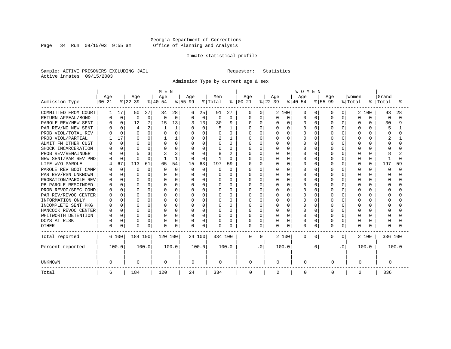Page 34 Run 09/15/03 9:55 am

#### Inmate statistical profile

Sample: ACTIVE PRISONERS EXCLUDING JAIL Requestor: Statistics Active inmates 09/15/2003

Admission Type by current age & sex

|                      |              |              |              |             | M E N     |             |             |          |          |                |            |          |              |          | <b>WOMEN</b> |          |           |              |          |              |          |       |
|----------------------|--------------|--------------|--------------|-------------|-----------|-------------|-------------|----------|----------|----------------|------------|----------|--------------|----------|--------------|----------|-----------|--------------|----------|--------------|----------|-------|
|                      | Age          |              | Age          |             | Age       |             | Age         |          | Men      |                | Age        |          | Age          |          | Age          |          | Age       |              | Women    |              | Grand    |       |
| Admission Type       | $00 - 21$    |              | $ 22-39 $    |             | $ 40-54 $ |             | $8 55-99$   |          | % Total  | ⊱              | $ 00 - 21$ |          | $ 22-39 $    |          | $ 40-54$     |          | $8 55-99$ |              | % Total  | ៖            | Total    | °     |
| COMMITTED FROM COURT |              | 17           | 50           | 27          | 34        | 28          | 6           | 25       | 91       | 27             | 0          | 0        |              | 2 100    | O            | 0        | O         | 0            | 2        | 100          | 93       | 28    |
| RETURN APPEAL/BOND   | U            | $\mathbf 0$  | 0            | $\mathbf 0$ | $\Omega$  | $\mathbf 0$ | $\Omega$    | 0        | 0        | 0              | 0          | 0        | 0            | 0        | O            | $\Omega$ | $\Omega$  | O            | $\Omega$ | $\Omega$     | $\Omega$ | ∩     |
| PAROLE REV/NEW SENT  |              | $\Omega$     | 12           | 7           | 15        | 13          |             | 13       | 30       | 9              | N          | 0        | N            | 0        | O            | $\Omega$ | $\Omega$  | O            | $\Omega$ | 0            | 30       | 9     |
| PAR REV/NO NEW SENT  |              |              | 4            | 2           |           |             |             | $\Omega$ |          |                |            | $\Omega$ |              | $\Omega$ | O            | O        | O         | O            |          |              | 5        |       |
| PROB VIOL/TOTAL REV  |              | $\Omega$     | $\Omega$     | 0           |           | $\Omega$    | $\Omega$    | U        | O        | 0              | U          | $\Omega$ | 0            | $\Omega$ | O            | O        |           | O            |          | 0            | Ω        |       |
| PROB VIOL/PARTIAL    |              | 17           | ∩            | 0           |           |             | O           | O        |          |                | N          | $\Omega$ | N            | $\Omega$ | O            | O        | U         | U            | ∩        | 0            |          |       |
| ADMIT FM OTHER CUST  |              | $\Omega$     | <sup>0</sup> | 0           |           | 0           | $\Omega$    | $\Omega$ | U        | $\Omega$       | ∩          | $\Omega$ | ი            | $\Omega$ | U            | U        | U         | U            | ∩        | 0            | Λ        |       |
| SHOCK INCARCERATION  |              | $\Omega$     | $\Omega$     | 0           |           | U           | O           | $\Omega$ | U        | <sup>0</sup>   | በ          | $\Omega$ | U            | $\Omega$ | U            | U        | U         | 0            | ∩        | <sup>n</sup> |          |       |
| PROB REV/REMAINDER   |              | $\Omega$     | Д            | 3           |           | 3           |             | $\Omega$ |          | $\overline{2}$ | በ          | $\Omega$ | U            | $\Omega$ | U            | U        | U         | 0            | ∩        | <sup>n</sup> |          |       |
| NEW SENT/PAR REV PND |              | $\Omega$     | C            | 0           |           | 1           | $\Omega$    | 0        |          | $\Omega$       |            | 0        | ი            | $\Omega$ | O            | O        | U         | 0            | $\Omega$ | 0            |          | U     |
| LIFE W/O PAROLE      |              | 67           | 113          | 61          | 65        | 54          | 15          | 63       | 197      | 59             |            | 0        | O            | $\Omega$ | O            | $\Omega$ | $\Omega$  | 0            | $\Omega$ | 0            | 197      | 59    |
| PAROLE REV BOOT CAMP |              | $\Omega$     | $\Omega$     | $\Omega$    | O         | $\Omega$    | $\Omega$    | $\Omega$ | O        | $\Omega$       | ი          | $\Omega$ | U            | $\Omega$ | O            | U        | U         | U            | $\Omega$ | 0            | n        | ∩     |
| PAR REV/RSN UNKNOWN  |              | $\Omega$     | n            | $\Omega$    |           | $\Omega$    | $\Omega$    | U        | U        | O              | ი          | $\Omega$ | U            | $\Omega$ | O            | U        | ∩         | U            | ∩        | 0            | Λ        |       |
| PROBATION/PAROLE REV |              | <sup>0</sup> | <sup>0</sup> | 0           |           | O           | O           | U        | O        | O              | ი          | $\Omega$ | U            | $\Omega$ | O            | O        | ∩         | U            | ∩        | 0            | Ω        |       |
| PB PAROLE RESCINDED  |              | $\cap$       | $\Omega$     | 0           |           | U           | O           | U        | U        | U              | በ          | $\Omega$ | በ            | $\Omega$ | U            | U        | ∩         | U            | $\cap$   | U            | Λ        |       |
| PROB REVOC/SPEC COND |              | U            | $\Omega$     | 0           |           | O           | O           | U        | O        | U              |            | 0        | ი            | $\Omega$ | U            | O        | U         | U            |          |              |          |       |
| PAR REV/REVOC CENTER |              |              | <sup>0</sup> | O           |           | O           |             | U        | O        | O              |            | $\Omega$ |              | $\Omega$ | U            | O        |           | U            |          |              |          |       |
| INFORMATION ONLY     |              |              | <sup>0</sup> | O           |           | O           |             | U        | U        | 0              | በ          | $\Omega$ | ი            | $\Omega$ | U            | O        | U         | U            |          | U            |          |       |
| INCOMPLETE SENT PKG  |              | U            | <sup>0</sup> | 0           |           | O           | O           | U        | O        | 0              | U          | $\Omega$ | ი            | $\Omega$ | O            | O        | U         | U            | ∩        | 0            |          |       |
| HANCOCK REVOC CENTER |              | $\Omega$     | $\Omega$     | 0           |           | O           | $\Omega$    | $\Omega$ | O        | $\Omega$       | U          | $\Omega$ | U            | $\Omega$ | U            | $\Omega$ | $\cap$    | $\Omega$     | $\cap$   | 0            |          |       |
| WHITWORTH DETENTION  |              | $\Omega$     | $\Omega$     | 0           |           | O           | $\Omega$    | $\Omega$ | O        | $\Omega$       | U          | $\Omega$ | U            | $\Omega$ | U            | $\Omega$ | $\cap$    | $\Omega$     | $\cap$   | 0            |          |       |
| DCYS AT RISK         |              | $\Omega$     | $\Omega$     | 0           |           | 0           | 0           | 0        | $\Omega$ | O              | 0          | 0        | 0            | 0        | 0            | 0        | $\cap$    | 0            | $\Omega$ | 0            |          |       |
| <b>OTHER</b>         | <sup>0</sup> | 0            | $\Omega$     | 0           | $\cap$    | 0           | 0           | 0        | $\Omega$ | O              | 0          | $\Omega$ | <sup>0</sup> | 0        | O            | 0        | $\cap$    | 0            | $\Omega$ | U            |          |       |
| Total reported       |              | 6 100        | 184 100      |             | 120 100   |             |             | 24 100   | 334 100  |                | 0          | $\Omega$ |              | 2 100    | $\mathbf{0}$ | 0        | 0         | $\mathbf{0}$ |          | 2 100        | 336 100  |       |
| Percent reported     |              | 100.0        |              | 100.0       |           | 100.0       |             | 100.0    |          | 100.0          |            | . 0      |              | 100.0    |              | . 0      |           | . 0          |          | 100.0        |          | 100.0 |
| <b>UNKNOWN</b>       | 0            |              | $\mathbf 0$  |             | 0         |             | $\mathbf 0$ |          | 0        |                | 0          |          | 0            |          | 0            |          | 0         |              | 0        |              | 0        |       |
| Total                | 6            |              | 184          |             | 120       |             | 24          |          | 334      |                | 0          |          | 2            |          | 0            |          | 0         |              | 2        |              | 336      |       |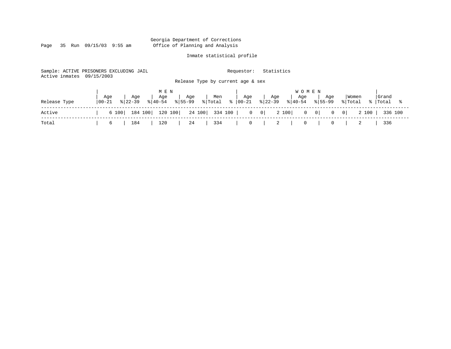Page 35 Run 09/15/03 9:55 am

#### Inmate statistical profile

Sample: ACTIVE PRISONERS EXCLUDING JAIL Requestor: Statistics Active inmates 09/15/2003 Release Type by current age & sex

|              |                   |                 |                    | MEN |                                                                                          |       |     |     |     | <b>WOMEN</b>                                                                                                       |     |                                        |                            |       |  |
|--------------|-------------------|-----------------|--------------------|-----|------------------------------------------------------------------------------------------|-------|-----|-----|-----|--------------------------------------------------------------------------------------------------------------------|-----|----------------------------------------|----------------------------|-------|--|
| Release Type | Age<br>$100 - 21$ |                 | Age<br>$8122 - 39$ | Age | $ 40-54 \t  55-99$                                                                       | , Age | Men | Age | Age | Age<br>$\frac{1}{2}$ Total $\frac{1}{2}$   00-21 $\frac{1}{2}$   22-39 $\frac{1}{2}$   40-54 $\frac{1}{2}$   55-99 | Aqe |                                        | Women<br>% Total % Total % | Grand |  |
| Active       |                   |                 |                    |     | 6 100   184 100   120 100   24 100   334 100   0 0   2 100   0 0   0 0   2 100   336 100 |       |     |     |     |                                                                                                                    |     |                                        |                            |       |  |
| Total        |                   | $6 \quad \vert$ |                    |     | 184   120   24   334                                                                     |       |     |     |     |                                                                                                                    |     | $\begin{array}{ccc} 0 & & \end{array}$ |                            | 336   |  |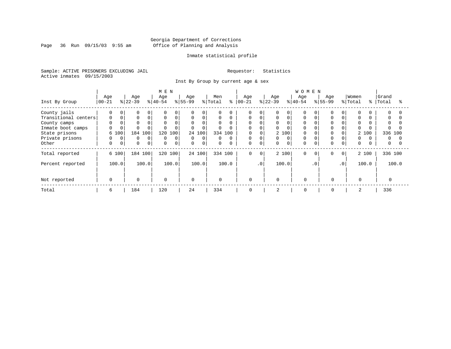Page 36 Run  $09/15/03$  9:55 am

#### Inmate statistical profile

Sample: ACTIVE PRISONERS EXCLUDING JAIL Requestor: Statistics Active inmates 09/15/2003

Inst By Group by current age & sex

|                      |             |             |           |             | M E N       |          |             |          |             |           |             |             |           |          | <b>WOMEN</b> |           |             |                 |             |       |          |          |
|----------------------|-------------|-------------|-----------|-------------|-------------|----------|-------------|----------|-------------|-----------|-------------|-------------|-----------|----------|--------------|-----------|-------------|-----------------|-------------|-------|----------|----------|
|                      | Age         |             | Age       |             | Age         |          | Age         |          | Men         |           | Age         |             | Age       |          | Age          |           | Age         |                 | Women       |       | Grand    |          |
| Inst By Group        | $ 00 - 21$  |             | $ 22-39 $ |             | $8 40-54$   |          | $ 55-99$    |          | % Total     | $\approx$ | $ 00 - 21$  |             | $ 22-39 $ |          | $8 40-54$    |           | $8 55-99$   |                 | % Total     | န္    | Total    |          |
| County jails         | $\Omega$    | 0           |           | 0           | $\Omega$    | $\Omega$ | $\Omega$    |          | $\Omega$    | $\Omega$  | $\Omega$    |             |           | $\Omega$ |              |           |             |                 | $\Omega$    |       | 0        |          |
| Transitional centers | 0           | $\Omega$    |           | 0           | $\mathbf 0$ | 0        | 0           | $\Omega$ | 0           | 0         | 0           |             | 0         | $\Omega$ | 0            |           | $\Omega$    |                 | 0           |       | 0        |          |
| County camps         |             |             |           |             | $\Omega$    | $\Omega$ | $\mathbf 0$ | 0        | $\Omega$    |           | $\Omega$    |             | 0         | $\Omega$ | $\Omega$     |           |             |                 | $\Omega$    |       | $\Omega$ |          |
| Inmate boot camps    | $\Omega$    |             |           |             |             | 0        | $\mathbf 0$ |          |             |           | $\Omega$    |             | 0         |          |              |           |             |                 | $\Omega$    |       |          |          |
| State prisons        |             | 6 100       | 184       | 100         | 120         | 100      |             | 24 100   |             | 334 100   |             | $\Omega$    |           | 2 100    | $\Omega$     |           |             |                 |             | 2 100 | 336 100  |          |
| Private prisons      | $\Omega$    | $\Omega$    | $\Omega$  | 0           | $\Omega$    | $\Omega$ | $\mathbf 0$ | $\Omega$ | $\Omega$    | $\Omega$  | $\mathbf 0$ |             | 0         | $\Omega$ | $\Omega$     |           |             |                 | $\Omega$    |       | $\Omega$ | $\Omega$ |
| Other                | $\mathbf 0$ | $\mathbf 0$ | $\Omega$  | $\mathbf 0$ | $\Omega$    | 0        | $\mathbf 0$ | 0        | $\mathbf 0$ | $\Omega$  | $\mathbf 0$ | $\mathbf 0$ | 0         | $\Omega$ | $\Omega$     |           | $\Omega$    | 0               | $\mathbf 0$ |       | 0        |          |
| Total reported       |             | 6 100       | 184 100   |             | 120 100     |          |             | 24 100   |             | 334 100   | $\mathbf 0$ | $\circ$     |           | 2 100    | $\Omega$     | $\Omega$  | $\Omega$    | $\circ$         |             | 2 100 | 336 100  |          |
| Percent reported     |             | 100.0       |           | 100.0       |             | 100.0    |             | 100.0    |             | 100.0     |             | $\cdot$ 0   |           | 100.0    |              | $\cdot$ 0 |             | .0 <sup>′</sup> |             | 100.0 |          | 100.0    |
|                      |             |             |           |             |             |          |             |          |             |           |             |             |           |          |              |           |             |                 |             |       |          |          |
| Not reported         | $\Omega$    |             | $\Omega$  |             | 0           |          | $\Omega$    |          | $\mathbf 0$ |           | $\mathbf 0$ |             | $\Omega$  |          | $\Omega$     |           | $\Omega$    |                 | $\Omega$    |       |          |          |
| Total                | 6           |             | 184       |             | 120         |          | 24          |          | 334         |           | 0           |             | 2         |          | 0            |           | $\mathbf 0$ |                 | 2           |       | 336      |          |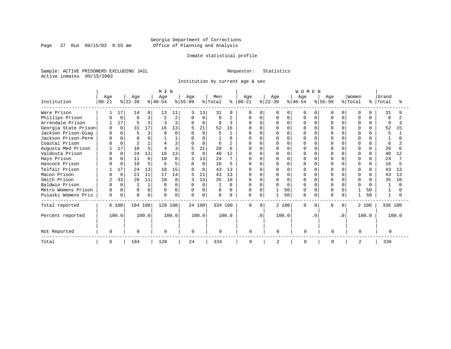Page 37 Run  $09/15/03$  9:55 am

#### Inmate statistical profile

Sample: ACTIVE PRISONERS EXCLUDING JAIL Requestor: Statistics Active inmates 09/15/2003

Institution by current age & sex

|                      |          |             |                |             |              |              | <b>WOMEN</b> |          |                     |              |              |           |              |          |          |           |           |           |          |              |         |       |
|----------------------|----------|-------------|----------------|-------------|--------------|--------------|--------------|----------|---------------------|--------------|--------------|-----------|--------------|----------|----------|-----------|-----------|-----------|----------|--------------|---------|-------|
|                      | Age      |             | Age            |             | Age          |              | Age          |          | Men                 |              | Age          |           | Age          |          | Age      |           | Age       |           | Women    |              | Grand   |       |
| Institution          | 00-21    |             | $ 22-39 $      |             | $ 40-54$     |              | $ 55-99$     |          | $\frac{1}{2}$ Total | ႜ            | $ 00 - 21 $  |           | $ 22-39 $    |          | $ 40-54$ |           | $8 55-99$ |           | % Total  | ႜ            | Total   | °     |
| Ware Prison          |          | 17          | 14             | 8           | 13           | 11           |              | 13       | 31                  | q            | 0            |           |              | $\Omega$ | O        |           | U         |           | $\cap$   |              | 31      |       |
| Phillips Prison      |          | $\mathbf 0$ | 6              | 3           |              | 2            | $\Omega$     | $\Omega$ | 8                   | $\mathbf{2}$ | 0            | $\Omega$  |              | $\Omega$ | O        | U         |           | 0         | ∩        | <sup>0</sup> | 8       |       |
| Arrendale Prison     |          | 17          | $\overline{5}$ | 3           |              | 3            | $\Omega$     | $\Omega$ | 9                   | 3            | U            | $\Omega$  |              | $\cap$   | U        |           |           |           |          | <sup>n</sup> | q       |       |
| Georgia State Prison |          | $\Omega$    | 31             | 17          | 16           | 13           |              | 21       | 52                  | 16           |              |           |              |          |          |           |           |           |          |              | 52      | 15    |
| Jackson Prison-Diag  | O        |             | 5              | 3           |              | O            |              | $\Omega$ | 5                   |              |              | $\Omega$  |              |          |          |           |           |           |          |              | 5       |       |
| Jackson Prison-Perm  | $\Omega$ |             |                | $\Omega$    |              |              |              | U        |                     | <sup>n</sup> |              |           |              | $\cap$   | U        |           |           |           |          |              |         |       |
| Coastal Prison       |          | $\Omega$    |                |             |              | ζ            |              | $\Omega$ | 6                   |              |              | $\Omega$  |              | $\cap$   | O        |           |           |           |          |              | 6       |       |
| Augusta Med Prison   |          | 17          | 10             | 5           |              | $\mathbf{3}$ |              | 21       | 20                  |              | U            | $\cap$    |              | $\Omega$ | U        |           |           |           |          |              | 20      |       |
| Valdosta Prison      |          | $\Omega$    | 24             | 13          | 16           | 13           |              | $\Omega$ | 40                  | 12           |              | $\cap$    |              | U        |          |           |           |           |          |              | 40      | 12    |
| Hays Prison          |          | 0           | 11             | 6           | 10           | 8            |              | 13       | 24                  |              | U            | $\cap$    |              | $\Omega$ | U        |           |           |           | n        |              | 24      |       |
| Hancock Prison       |          | $\Omega$    | 10             | 5           |              | 5            | $\Omega$     | 0        | 16                  | 5            |              | 0         |              | $\Omega$ |          |           |           |           | $\Omega$ |              | 16      |       |
| Telfair Prison       |          | 17          | 24             | 13          | 18           | 15           | O            | O        | 43                  | 13           | U            | $\cap$    |              |          |          |           |           |           |          |              | 43      | 13    |
| Macon Prison         |          | $\Omega$    | 21             | 11          | 17           | 14           |              | 21       | 43                  | 13           | U            | $\cap$    |              | $\Omega$ | O        |           |           |           |          |              | 43      | 13    |
| Smith Prison         | 2        | 33          | 20             | 11          | 10           | 8            |              | 13       | 35                  | 10           | U            | $\cap$    |              | $\Omega$ | U        |           |           |           | $\Omega$ |              | 35      | 10    |
| Baldwin Prison       |          | $\Omega$    |                | $\mathbf 1$ | $\Omega$     | 0            | $\Omega$     | 0        |                     | $\Omega$     | <sup>0</sup> | $\Omega$  | U            | $\Omega$ | O        |           |           |           |          |              |         |       |
| Metro Womens Prison  | $\Omega$ | $\Omega$    | $\Omega$       | $\Omega$    | 0            | $\Omega$     | $\Omega$     | $\Omega$ | $\Omega$            | $\Omega$     | <sup>0</sup> | $\Omega$  |              | 50       | U        |           |           |           |          | 50           |         |       |
| Pulaski Womens Pris  | 0        | 0           | $\Omega$       | 0           | <sup>n</sup> | 0            |              | 0        | $\Omega$            | 0            | 0            | 0         |              | 50       | 0        | 0         | U         | O         |          | 50           |         |       |
| Total reported       |          | 6 100       | 184 100        |             | 120 100      |              |              | 24 100   | 334 100             |              | $\Omega$     | $\Omega$  |              | 2 100    | $\Omega$ |           | 0         | $\Omega$  |          | 2 100        | 336 100 |       |
| Percent reported     |          | 100.0       |                | 100.0       |              | 100.0        |              | 100.0    |                     | 100.0        |              | $\cdot$ 0 |              | 100.0    |          | $\cdot$ 0 |           | $\cdot$ 0 |          | 100.0        |         | 100.0 |
| Not Reported         | $\Omega$ |             | $\Omega$       |             | $\Omega$     |              | <sup>n</sup> |          | $\Omega$            |              | U            |           | <sup>0</sup> |          | ∩        |           | $\Omega$  |           | $\Omega$ |              |         |       |
| Total                | 6        |             | 184            |             | 120          |              | 24           |          | 334                 |              | 0            |           | 2            |          |          |           | 0         |           | 2        |              | 336     |       |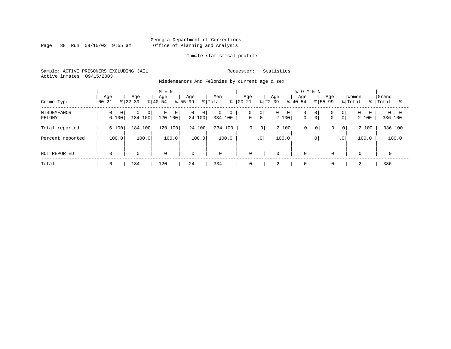Page 38 Run 09/15/03 9:55 am

#### Inmate statistical profile

Sample: ACTIVE PRISONERS EXCLUDING JAIL Requestor: Statistics Active inmates 09/15/2003

Misdemeanors And Felonies by current age & sex

| Crime Type            | Age<br>$ 00-21$ | Age<br>$8 22-39$                      | M E N<br>Age<br>$8 40-54$ | Age<br>% Total<br>$ 55-99 $                | Men<br>ႜ                    | Aqe<br>$ 00-21 $                          | Age<br>$ 22-39 $ | <b>WOMEN</b><br>Aqe<br>Age<br>$8155 - 99$<br>$8 40-54$ | Women<br>% Total                                               | Grand<br>ႜႜ<br>Total<br>°≈         |
|-----------------------|-----------------|---------------------------------------|---------------------------|--------------------------------------------|-----------------------------|-------------------------------------------|------------------|--------------------------------------------------------|----------------------------------------------------------------|------------------------------------|
| MISDEMEANOR<br>FELONY | 0<br>6 100      | $\Omega$<br>0 <sup>1</sup><br>184 100 | 0<br>0<br>120 100         | $\overline{0}$<br>0 <sup>1</sup><br>24 100 | $\mathbf 0$<br>0<br>334 100 | 0<br>$\overline{0}$<br> 0 <br>$\mathbf 0$ | 0<br>0<br>2 100  | 0<br>0 <sup>1</sup><br>$\mathbf 0$<br>$\mathbf 0$      | 0 <sup>1</sup><br>$\mathbf{0}$<br>$\overline{0}$<br>0<br>2 100 | $0 \quad 0$<br>$\Omega$<br>336 100 |
| Total reported        | 6 100           | 184 100                               | 120 100                   | 24 100                                     | 334 100                     | 0<br>$\mathbf 0$                          | 2 100            | 0<br>0                                                 | $\mathbf{0}$<br>2 100<br>0                                     | 336 100                            |
| Percent reported      | 100.0           | 100.0                                 | 100.0                     | 100.0                                      | 100.0                       | $\cdot$ 0                                 | 100.0            | .0 <sup>1</sup>                                        | 100.0<br>.0 <sup>1</sup>                                       | 100.0                              |
| NOT REPORTED          | $\Omega$        | $\mathbf 0$                           | $\mathbf 0$               | $\mathbf 0$                                | $\mathbf{0}$                | $\mathbf 0$                               | $\mathbf 0$      | $\Omega$                                               | $\mathbf 0$<br>0                                               |                                    |
| Total                 | 6               | 184                                   | 120                       | 24                                         | 334                         | 0                                         | $\bigcap$<br>∠   | $\mathbf 0$                                            | $\mathbf 0$<br>2                                               | 336                                |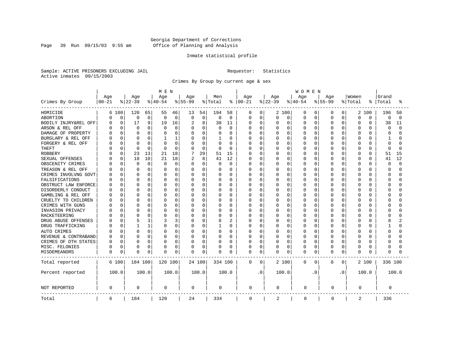Page 39 Run 09/15/03 9:55 am

#### Inmate statistical profile

Sample: ACTIVE PRISONERS EXCLUDING JAIL Requestor: Statistics Active inmates 09/15/2003

Crimes By Group by current age & sex

|                      |           | MEN<br><b>WOMEN</b> |              |       |          |             |             |        |          |                |          |             |                |          |             |          |             |                |          |              |             |          |
|----------------------|-----------|---------------------|--------------|-------|----------|-------------|-------------|--------|----------|----------------|----------|-------------|----------------|----------|-------------|----------|-------------|----------------|----------|--------------|-------------|----------|
|                      | Age       |                     | Age          |       | Age      |             | Age         |        | Men      |                | Age      |             | Age            |          | Age         |          | Age         |                | Women    |              | Grand       |          |
| Crimes By Group      | $00 - 21$ |                     | $ 22-39$     |       | $ 40-54$ |             | $8 55-99$   |        | % Total  | ∻              | $ 00-21$ |             | $ 22-39$       |          | $ 40-54$    |          | $8 55-99$   |                | % Total  | °            | Total       | °        |
| HOMICIDE             |           | 6 100               | 120          | 65    | 55       | 46          | 13          | 54     | 194      | 58             | 0        | 0           |                | 2 100    | 0           | 0        | 0           | 0              |          | 2 100        | 196         | 58       |
| ABORTION             | 0         | $\mathbf 0$         | 0            | 0     | 0        | 0           | $\mathbf 0$ | 0      | $\Omega$ | $\mathbf 0$    | 0        | $\mathbf 0$ | 0              | 0        | 0           | 0        | 0           | 0              | $\Omega$ | $\Omega$     | $\mathbf 0$ | $\Omega$ |
| BODILY INJRY&REL OFF | U         | 0                   | 17           | 9     | 19       | 16          | 2           | 8      | 38       | 11             | 0        | 0           | 0              | 0        | 0           | 0        | 0           | 0              | $\Omega$ | 0            | 38          | 11       |
| ARSON & REL OFF      |           | 0                   | 0            | O     | O        | 0           | 0           | 0      | $\Omega$ | 0              | Ω        | 0           | C              | $\Omega$ | 0           | $\Omega$ | O           | O              | $\Omega$ | O            | $\Omega$    | $\Omega$ |
| DAMAGE OF PROPERTY   |           | $\Omega$            | <sup>0</sup> | 0     |          | 0           | $\Omega$    | O      | $\Omega$ | $\Omega$       | Ω        | 0           | U              | $\Omega$ | O           | $\Omega$ | O           | U              | $\Omega$ | U            | ∩           |          |
| BURGLARY & REL OFF   |           | $\Omega$            | <sup>0</sup> | 0     | 1        | 1           | 0           | 0      |          | $\Omega$       | Ω        | $\mathbf 0$ | 0              | $\Omega$ | 0           | 0        | $\Omega$    | 0              | $\Omega$ | O            | -1          |          |
| FORGERY & REL OFF    |           | $\Omega$            | C            | O     |          | 0           | 0           | 0      | $\Omega$ | $\Omega$       | Ω        | $\mathbf 0$ | C              | $\Omega$ | 0           | 0        | $\Omega$    | O              | $\Omega$ | $\cap$       | $\Omega$    |          |
| <b>THEFT</b>         |           | 0                   | $\Omega$     | 0     | $\Omega$ | $\mathbf 0$ | O           | 0      | $\Omega$ | 0              | Ω        | 0           | O              | $\Omega$ | O           | $\Omega$ | O           | 0              | $\Omega$ | $\Omega$     | $\Omega$    | n        |
| <b>ROBBERY</b>       |           | 0                   | 23           | 13    | 21       | 18          |             | 29     | 51       | 15             | O        | 0           | N              | $\Omega$ | 0           | $\Omega$ | $\Omega$    | O              | $\Omega$ | O            | 51          | 15       |
| SEXUAL OFFENSES      |           | $\Omega$            | 18           | 10    | 21       | 18          | 2           | 8      | 41       | 12             | U        | 0           | O              | $\Omega$ | O           | $\Omega$ | O           | O              | $\Omega$ | $\Omega$     | 41          | 12       |
| OBSCENITY CRIMES     |           | $\Omega$            | $\mathbf 0$  | 0     | $\Omega$ | $\Omega$    | $\Omega$    | 0      | O        | $\Omega$       | Ω        | $\mathbf 0$ | 0              | $\Omega$ | O           | 0        | $\Omega$    | 0              | $\Omega$ | <sup>0</sup> | $\Omega$    | $\cap$   |
| TREASON & REL OFF    |           | $\Omega$            | 0            | 0     | O        | 0           | 0           | 0      | O        | $\Omega$       | 0        | 0           | 0              | $\Omega$ | 0           | 0        | $\Omega$    | 0              | $\Omega$ | $\Omega$     | $\Omega$    |          |
| CRIMES INVOLVNG GOVT |           | 0                   | C            | 0     |          | 0           | $\Omega$    | 0      |          | 0              | Ω        | $\mathbf 0$ | C              | $\Omega$ | 0           | 0        | $\Omega$    | O              | $\Omega$ | $\Omega$     | $\Omega$    |          |
| FALSIFICATIONS       |           | 0                   | $\Omega$     | 0     | U        | 0           | 0           | 0      | $\Omega$ | 0              | Ω        | 0           | 0              | $\Omega$ | 0           | $\Omega$ | $\Omega$    | 0              | $\Omega$ | O            | $\Omega$    |          |
| OBSTRUCT LAW ENFORCE |           | $\Omega$            | <sup>0</sup> | 0     | O        | $\Omega$    | 0           | 0      | $\Omega$ | $\Omega$       | Ω        | 0           | C              | $\Omega$ | 0           | 0        | O           | O              | $\Omega$ | O            | ∩           |          |
| DISORDERLY CONDUCT   |           | $\Omega$            | C            | 0     | U        | $\Omega$    | O           | O      | $\Omega$ | $\Omega$       | Ω        | 0           | U              | $\Omega$ | O           | $\Omega$ | U           | U              | $\Omega$ | U            | ∩           |          |
| GAMBLING & REL OFF   |           | $\Omega$            | <sup>0</sup> | O     | O        | 0           | O           | 0      | $\Omega$ | $\Omega$       | Ω        | 0           | 0              | $\Omega$ | 0           | $\Omega$ | O           | 0              | $\Omega$ | U            | ∩           |          |
| CRUELTY TO CHILDREN  |           | 0                   | C            | 0     |          | 0           | 0           | 0      |          | 0              |          | $\mathbf 0$ | C              | 0        | 0           | $\Omega$ | 0           | 0              | $\Omega$ | O            | C           |          |
| CRIMES WITH GUNS     |           | $\Omega$            | C            | 0     |          | 0           | 0           | 0      | $\Omega$ | 0              | Λ        | 0           | U              | $\Omega$ | 0           | 0        | O           | 0              | 0        | U            | ∩           |          |
| INVASION PRIVACY     |           | $\Omega$            | C            | 0     | O        | 0           | 0           | 0      | $\Omega$ | $\Omega$       | Ω        | 0           | 0              | $\Omega$ | 0           | 0        | $\Omega$    | O              | $\Omega$ | O            | ∩           |          |
| RACKETEERING         |           | $\Omega$            | C            | 0     |          | $\Omega$    | O           | 0      | $\Omega$ | $\Omega$       | Ω        | 0           | U              | $\Omega$ | O           | n        | O           | U              | $\Omega$ | U            | C           |          |
| DRUG ABUSE OFFENSES  |           | $\Omega$            | 5            | 3     |          | 3           | O           | 0      | 8        | $\overline{c}$ | Ω        | 0           | O              | $\Omega$ | O           | $\Omega$ | O           | $\Omega$       | $\Omega$ | U            | 8           |          |
| DRUG TRAFFICKING     |           | 0                   |              | 1     | O        | 0           | 0           | 0      |          | $\Omega$       | Ω        | $\mathbf 0$ | 0              | 0        | 0           | 0        | $\Omega$    | 0              | $\Omega$ | O            | 1           |          |
| AUTO CRIMES          |           | 0                   | $\Omega$     | 0     |          | 0           | 0           | 0      | 0        | 0              |          | 0           | C              | 0        | 0           | 0        | 0           | 0              | $\Omega$ | O            | $\Omega$    |          |
| REVENUE & CONTRABAND |           | 0                   | $\Omega$     | 0     | O        | 0           | $\Omega$    | 0      |          | 0              | Ω        | 0           | 0              | 0        | 0           | 0        | $\Omega$    | 0              | $\Omega$ | $\Omega$     | $\Omega$    |          |
| CRIMES OF OTH STATES | U         | 0                   | 0            | 0     | O        | 0           | 0           | 0      | 0        | 0              | 0        | 0           | 0              | 0        | O           | 0        | $\Omega$    | O              | $\Omega$ | $\Omega$     | $\Omega$    |          |
| MISC. FELONIES       | 0         | 0                   | C            | 0     | 0        | 0           | 0           | 0      |          | 0              | 0        | 0           | 0              | 0        | 0           | 0        | $\Omega$    | 0              | $\Omega$ | 0            | $\Omega$    |          |
| MISDEMEANORS         | 0         | 0                   | <sup>0</sup> | 0     | 0        | 0           | 0           | 0      | $\Omega$ | $\Omega$       | 0        | 0           | 0              | 0        | 0           | 0        | $\Omega$    | 0              | 0        | O            | $\Omega$    |          |
| Total reported       |           | 6 100               | 184 100      |       | 120 100  |             |             | 24 100 | 334 100  |                | 0        | 0           |                | 2 100    | 0           | 0        | 0           | $\overline{0}$ |          | 2 100        | 336 100     |          |
| Percent reported     |           | 100.0               |              | 100.0 |          | 100.0       |             | 100.0  |          | 100.0          |          | . 0         |                | 100.0    |             | . 0      |             | . 0            |          | 100.0        |             | 100.0    |
| NOT REPORTED         | 0         |                     | 0            |       | 0        |             | 0           |        | 0        |                | 0        |             | 0              |          | 0           |          | 0           |                | 0        |              | 0           |          |
| Total                | 6         |                     | 184          |       | 120      |             | 24          |        | 334      |                | 0        |             | $\overline{a}$ |          | $\mathbf 0$ |          | $\mathbf 0$ |                | 2        |              | 336         |          |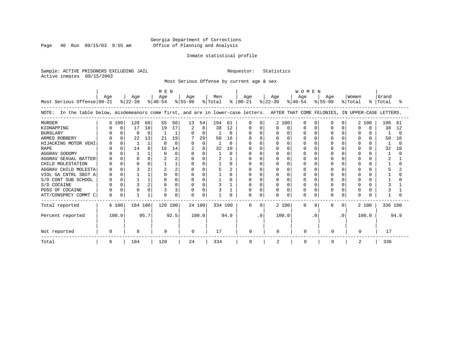Page 40 Run 09/15/03 9:55 am

#### Inmate statistical profile

Sample: ACTIVE PRISONERS EXCLUDING JAIL Requestor: Statistics Active inmates 09/15/2003

Most Serious Offense by current age & sex

|                                                                                                                                    | M E N |          |           |      |           |          |              |          |         |          |               |              | WOMEN       |          |           |           |           |           |              |              |           |      |  |  |  |
|------------------------------------------------------------------------------------------------------------------------------------|-------|----------|-----------|------|-----------|----------|--------------|----------|---------|----------|---------------|--------------|-------------|----------|-----------|-----------|-----------|-----------|--------------|--------------|-----------|------|--|--|--|
|                                                                                                                                    | Aqe   |          | Age       |      | Age       |          | Age          |          | Men     |          | Age           |              | Age         |          | Age       |           | Age       |           | Women        |              | Grand     |      |  |  |  |
| Most Serious Offense 00-21                                                                                                         |       |          | $ 22-39 $ |      | $ 40-54 $ |          | $ 55-99 $    |          | % Total |          | $8   00 - 21$ |              | $ 22 - 39 $ |          | $8 40-54$ |           | $ 55-99 $ |           | % Total      |              | %   Total |      |  |  |  |
| NOTE: In the table below, misdemeanors come first, and are in lower-case letters. AFTER THAT COME FELONIES, IN UPPER-CASE LETTERS. |       |          |           |      |           |          |              |          |         |          |               |              |             |          |           |           |           |           |              |              |           |      |  |  |  |
| <b>MURDER</b>                                                                                                                      | 6     | 100      | 120       | 68   | 55        | 50       | 13           | 54       | 194     | 61       |               | <sup>0</sup> |             | 2 100    |           | n         |           |           | 2            | 100          | 196       | 61   |  |  |  |
| KIDNAPPING                                                                                                                         |       | 0        | 17        | 10   | 19        | 17       |              | 8        | 38      | 12       |               |              |             | $\Omega$ |           | O         |           |           | O            | <sup>0</sup> | 38        | 12   |  |  |  |
| <b>BURGLARY</b>                                                                                                                    |       |          |           |      |           |          |              | $\Omega$ |         | 0        |               |              |             | $\Omega$ |           | $\Omega$  |           |           | O            |              |           |      |  |  |  |
| ARMED ROBBERY                                                                                                                      |       |          | 22        | 13   | 21        | 19       |              | 29       | 50      | 16       |               |              |             | $\Omega$ |           | n         |           |           | <sup>0</sup> |              | 50        | 16   |  |  |  |
| HIJACKING MOTOR VEHI                                                                                                               |       |          |           |      | $\cap$    | $\Omega$ | <sup>0</sup> | $\Omega$ |         | $\Omega$ |               |              |             | $\Omega$ |           |           |           |           | U            |              |           |      |  |  |  |
| <b>RAPE</b>                                                                                                                        |       |          | 14        |      | 16        | 14       |              | 8        | 32      | 10       |               |              |             | $\Omega$ |           |           |           |           |              |              | 32        | 10   |  |  |  |
| AGGRAV SODOMY                                                                                                                      |       |          |           |      | $\cap$    | $\Omega$ |              | U        |         | U.       |               |              |             | 0        |           |           |           |           |              |              |           |      |  |  |  |
| AGGRAV SEXUAL BATTER                                                                                                               |       |          |           |      |           |          |              | 0        |         |          |               |              |             | 0        |           |           |           |           |              |              |           |      |  |  |  |
| CHILD MOLESTATION                                                                                                                  |       |          |           |      |           |          |              | U        |         | 0        |               |              |             | 0        |           |           |           |           | ∩            |              |           |      |  |  |  |
| AGGRAV CHILD MOLESTA                                                                                                               |       |          |           |      |           |          |              |          |         |          |               |              |             |          |           |           |           |           |              |              |           |      |  |  |  |
| VIOL GA CNTRL SBST A                                                                                                               |       |          |           |      |           |          |              | U        |         | U        |               |              |             | 0        |           |           |           |           |              |              |           |      |  |  |  |
| S/D CONT SUB SCHOOL                                                                                                                |       |          |           |      |           |          |              | 0        |         |          |               |              |             | 0        |           |           |           |           | O            |              |           |      |  |  |  |
| S/D COCAINE                                                                                                                        |       |          |           |      |           |          |              | 0        |         |          |               | $\cap$       |             | $\Omega$ |           | n         |           |           | U            |              |           |      |  |  |  |
| POSS OF COCAINE                                                                                                                    |       |          |           |      |           |          |              | 0        |         |          |               |              |             |          |           |           |           |           | O            |              |           |      |  |  |  |
| ATT/CONSPRCY COMMT C                                                                                                               | 0     | $\Omega$ |           |      |           | O        | <sup>0</sup> | U        |         |          | O             | $\Omega$     | U           | $\Omega$ | N         | $\Omega$  |           |           | O            |              |           |      |  |  |  |
| Total reported                                                                                                                     |       | 6 100    | 184 100   |      | 120 100   |          | 24 100       |          | 334 100 |          | $\mathbf 0$   | $\Omega$     |             | 2 100    | $\Omega$  | $\Omega$  | $\Omega$  | $\Omega$  |              | 2 100        | 336 100   |      |  |  |  |
| Percent reported                                                                                                                   |       | 100.0    |           | 95.7 |           | 92.5     |              | 100.0    |         | 94.9     |               | $\cdot$ 0    |             | 100.0    |           | $\cdot$ 0 |           | $\cdot$ 0 |              | 100.0        |           | 94.9 |  |  |  |
| Not reported                                                                                                                       |       |          | 8         | 9    |           |          | $\Omega$     |          | 17      |          | $\Omega$      |              | U           |          | $\Omega$  | $\cap$    |           |           | $\Omega$     |              | 17        |      |  |  |  |
| Total                                                                                                                              | 6     |          | 184       |      | 120       |          | 24           |          | 334     |          | 0             |              | 2           |          | 0         |           |           |           | 2            |              | 336       |      |  |  |  |